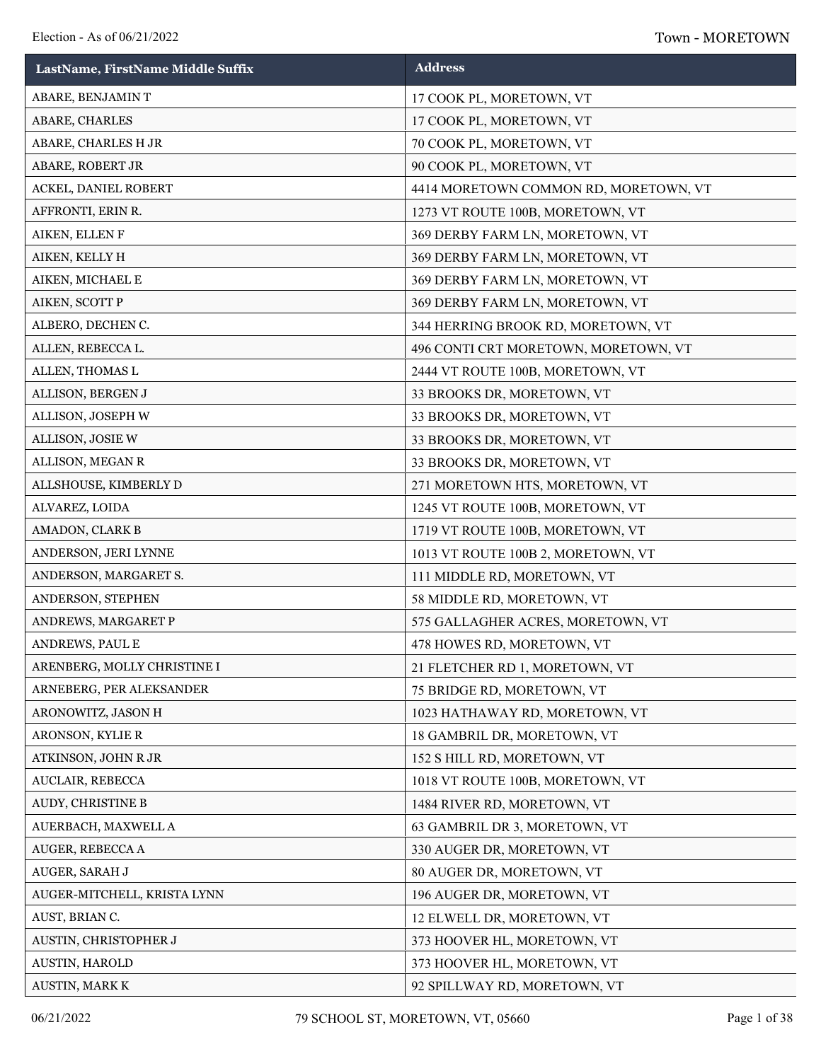| LastName, FirstName Middle Suffix | <b>Address</b>                        |
|-----------------------------------|---------------------------------------|
| ABARE, BENJAMINT                  | 17 COOK PL, MORETOWN, VT              |
| ABARE, CHARLES                    | 17 COOK PL, MORETOWN, VT              |
| ABARE, CHARLES H JR               | 70 COOK PL, MORETOWN, VT              |
| ABARE, ROBERT JR                  | 90 COOK PL, MORETOWN, VT              |
| ACKEL, DANIEL ROBERT              | 4414 MORETOWN COMMON RD, MORETOWN, VT |
| AFFRONTI, ERIN R.                 | 1273 VT ROUTE 100B, MORETOWN, VT      |
| AIKEN, ELLEN F                    | 369 DERBY FARM LN, MORETOWN, VT       |
| AIKEN, KELLY H                    | 369 DERBY FARM LN, MORETOWN, VT       |
| AIKEN, MICHAEL E                  | 369 DERBY FARM LN, MORETOWN, VT       |
| AIKEN, SCOTT P                    | 369 DERBY FARM LN, MORETOWN, VT       |
| ALBERO, DECHEN C.                 | 344 HERRING BROOK RD, MORETOWN, VT    |
| ALLEN, REBECCA L.                 | 496 CONTI CRT MORETOWN, MORETOWN, VT  |
| ALLEN, THOMAS L                   | 2444 VT ROUTE 100B, MORETOWN, VT      |
| ALLISON, BERGEN J                 | 33 BROOKS DR, MORETOWN, VT            |
| ALLISON, JOSEPH W                 | 33 BROOKS DR, MORETOWN, VT            |
| ALLISON, JOSIE W                  | 33 BROOKS DR, MORETOWN, VT            |
| ALLISON, MEGAN R                  | 33 BROOKS DR, MORETOWN, VT            |
| ALLSHOUSE, KIMBERLY D             | 271 MORETOWN HTS, MORETOWN, VT        |
| ALVAREZ, LOIDA                    | 1245 VT ROUTE 100B, MORETOWN, VT      |
| AMADON, CLARK B                   | 1719 VT ROUTE 100B, MORETOWN, VT      |
| ANDERSON, JERI LYNNE              | 1013 VT ROUTE 100B 2, MORETOWN, VT    |
| ANDERSON, MARGARET S.             | 111 MIDDLE RD, MORETOWN, VT           |
| ANDERSON, STEPHEN                 | 58 MIDDLE RD, MORETOWN, VT            |
| ANDREWS, MARGARET P               | 575 GALLAGHER ACRES, MORETOWN, VT     |
| ANDREWS, PAUL E                   | 478 HOWES RD, MORETOWN, VT            |
| ARENBERG, MOLLY CHRISTINE I       | 21 FLETCHER RD 1, MORETOWN, VT        |
| ARNEBERG, PER ALEKSANDER          | 75 BRIDGE RD, MORETOWN, VT            |
| ARONOWITZ, JASON H                | 1023 HATHAWAY RD, MORETOWN, VT        |
| ARONSON, KYLIE R                  | 18 GAMBRIL DR, MORETOWN, VT           |
| ATKINSON, JOHN R JR               | 152 S HILL RD, MORETOWN, VT           |
| AUCLAIR, REBECCA                  | 1018 VT ROUTE 100B, MORETOWN, VT      |
| AUDY, CHRISTINE B                 | 1484 RIVER RD, MORETOWN, VT           |
| AUERBACH, MAXWELL A               | 63 GAMBRIL DR 3, MORETOWN, VT         |
| AUGER, REBECCA A                  | 330 AUGER DR, MORETOWN, VT            |
| AUGER, SARAH J                    | 80 AUGER DR, MORETOWN, VT             |
| AUGER-MITCHELL, KRISTA LYNN       | 196 AUGER DR, MORETOWN, VT            |
| AUST, BRIAN C.                    | 12 ELWELL DR, MORETOWN, VT            |
| AUSTIN, CHRISTOPHER J             | 373 HOOVER HL, MORETOWN, VT           |
| AUSTIN, HAROLD                    | 373 HOOVER HL, MORETOWN, VT           |
| AUSTIN, MARK K                    | 92 SPILLWAY RD, MORETOWN, VT          |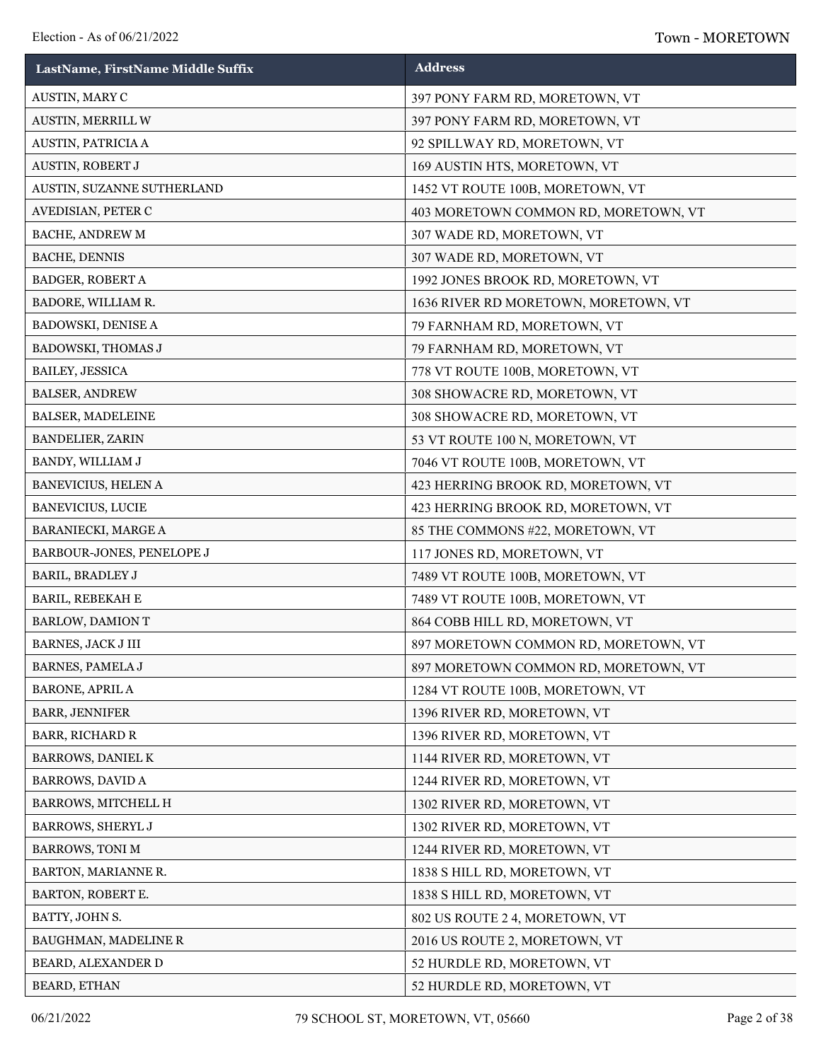| LastName, FirstName Middle Suffix | <b>Address</b>                       |
|-----------------------------------|--------------------------------------|
| AUSTIN, MARY C                    | 397 PONY FARM RD, MORETOWN, VT       |
| AUSTIN, MERRILL W                 | 397 PONY FARM RD, MORETOWN, VT       |
| AUSTIN, PATRICIA A                | 92 SPILLWAY RD, MORETOWN, VT         |
| AUSTIN, ROBERT J                  | 169 AUSTIN HTS, MORETOWN, VT         |
| AUSTIN, SUZANNE SUTHERLAND        | 1452 VT ROUTE 100B, MORETOWN, VT     |
| AVEDISIAN, PETER C                | 403 MORETOWN COMMON RD, MORETOWN, VT |
| BACHE, ANDREW M                   | 307 WADE RD, MORETOWN, VT            |
| <b>BACHE, DENNIS</b>              | 307 WADE RD, MORETOWN, VT            |
| <b>BADGER, ROBERT A</b>           | 1992 JONES BROOK RD, MORETOWN, VT    |
| BADORE, WILLIAM R.                | 1636 RIVER RD MORETOWN, MORETOWN, VT |
| <b>BADOWSKI, DENISE A</b>         | 79 FARNHAM RD, MORETOWN, VT          |
| BADOWSKI, THOMAS J                | 79 FARNHAM RD, MORETOWN, VT          |
| BAILEY, JESSICA                   | 778 VT ROUTE 100B, MORETOWN, VT      |
| <b>BALSER, ANDREW</b>             | 308 SHOWACRE RD, MORETOWN, VT        |
| BALSER, MADELEINE                 | 308 SHOWACRE RD, MORETOWN, VT        |
| <b>BANDELIER, ZARIN</b>           | 53 VT ROUTE 100 N, MORETOWN, VT      |
| BANDY, WILLIAM J                  | 7046 VT ROUTE 100B, MORETOWN, VT     |
| BANEVICIUS, HELEN A               | 423 HERRING BROOK RD, MORETOWN, VT   |
| <b>BANEVICIUS, LUCIE</b>          | 423 HERRING BROOK RD, MORETOWN, VT   |
| BARANIECKI, MARGE A               | 85 THE COMMONS #22, MORETOWN, VT     |
| BARBOUR-JONES, PENELOPE J         | 117 JONES RD, MORETOWN, VT           |
| <b>BARIL, BRADLEY J</b>           | 7489 VT ROUTE 100B, MORETOWN, VT     |
| BARIL, REBEKAH E                  | 7489 VT ROUTE 100B, MORETOWN, VT     |
| <b>BARLOW, DAMION T</b>           | 864 COBB HILL RD, MORETOWN, VT       |
| <b>BARNES, JACK J III</b>         | 897 MORETOWN COMMON RD, MORETOWN, VT |
| <b>BARNES, PAMELA J</b>           | 897 MORETOWN COMMON RD, MORETOWN, VT |
| <b>BARONE, APRIL A</b>            | 1284 VT ROUTE 100B, MORETOWN, VT     |
| <b>BARR, JENNIFER</b>             | 1396 RIVER RD, MORETOWN, VT          |
| <b>BARR, RICHARD R</b>            | 1396 RIVER RD, MORETOWN, VT          |
| BARROWS, DANIEL K                 | 1144 RIVER RD, MORETOWN, VT          |
| <b>BARROWS, DAVID A</b>           | 1244 RIVER RD, MORETOWN, VT          |
| BARROWS, MITCHELL H               | 1302 RIVER RD, MORETOWN, VT          |
| <b>BARROWS, SHERYL J</b>          | 1302 RIVER RD, MORETOWN, VT          |
| <b>BARROWS, TONI M</b>            | 1244 RIVER RD, MORETOWN, VT          |
| BARTON, MARIANNE R.               | 1838 S HILL RD, MORETOWN, VT         |
| BARTON, ROBERT E.                 | 1838 S HILL RD, MORETOWN, VT         |
| BATTY, JOHN S.                    | 802 US ROUTE 2 4, MORETOWN, VT       |
| BAUGHMAN, MADELINE R              | 2016 US ROUTE 2, MORETOWN, VT        |
| BEARD, ALEXANDER D                | 52 HURDLE RD, MORETOWN, VT           |
| BEARD, ETHAN                      | 52 HURDLE RD, MORETOWN, VT           |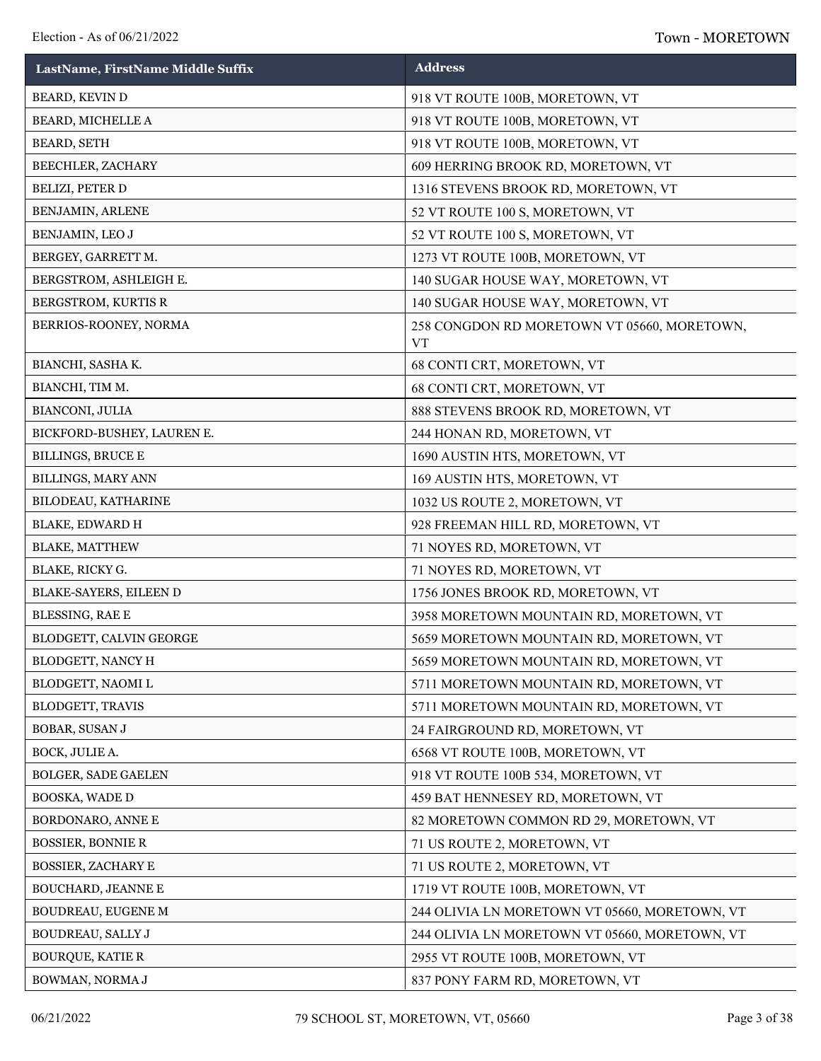| LastName, FirstName Middle Suffix | <b>Address</b>                                           |
|-----------------------------------|----------------------------------------------------------|
| BEARD, KEVIN D                    | 918 VT ROUTE 100B, MORETOWN, VT                          |
| BEARD, MICHELLE A                 | 918 VT ROUTE 100B, MORETOWN, VT                          |
| <b>BEARD, SETH</b>                | 918 VT ROUTE 100B, MORETOWN, VT                          |
| BEECHLER, ZACHARY                 | 609 HERRING BROOK RD, MORETOWN, VT                       |
| BELIZI, PETER D                   | 1316 STEVENS BROOK RD, MORETOWN, VT                      |
| BENJAMIN, ARLENE                  | 52 VT ROUTE 100 S, MORETOWN, VT                          |
| BENJAMIN, LEO J                   | 52 VT ROUTE 100 S, MORETOWN, VT                          |
| BERGEY, GARRETT M.                | 1273 VT ROUTE 100B, MORETOWN, VT                         |
| BERGSTROM, ASHLEIGH E.            | 140 SUGAR HOUSE WAY, MORETOWN, VT                        |
| BERGSTROM, KURTIS R               | 140 SUGAR HOUSE WAY, MORETOWN, VT                        |
| BERRIOS-ROONEY, NORMA             | 258 CONGDON RD MORETOWN VT 05660, MORETOWN,<br><b>VT</b> |
| BIANCHI, SASHA K.                 | 68 CONTI CRT, MORETOWN, VT                               |
| BIANCHI, TIM M.                   | 68 CONTI CRT, MORETOWN, VT                               |
| BIANCONI, JULIA                   | 888 STEVENS BROOK RD, MORETOWN, VT                       |
| BICKFORD-BUSHEY, LAUREN E.        | 244 HONAN RD, MORETOWN, VT                               |
| <b>BILLINGS, BRUCE E</b>          | 1690 AUSTIN HTS, MORETOWN, VT                            |
| BILLINGS, MARY ANN                | 169 AUSTIN HTS, MORETOWN, VT                             |
| BILODEAU, KATHARINE               | 1032 US ROUTE 2, MORETOWN, VT                            |
| <b>BLAKE, EDWARD H</b>            | 928 FREEMAN HILL RD, MORETOWN, VT                        |
| <b>BLAKE, MATTHEW</b>             | 71 NOYES RD, MORETOWN, VT                                |
| BLAKE, RICKY G.                   | 71 NOYES RD, MORETOWN, VT                                |
| BLAKE-SAYERS, EILEEN D            | 1756 JONES BROOK RD, MORETOWN, VT                        |
| BLESSING, RAE E                   | 3958 MORETOWN MOUNTAIN RD, MORETOWN, VT                  |
| BLODGETT, CALVIN GEORGE           | 5659 MORETOWN MOUNTAIN RD, MORETOWN, VT                  |
| BLODGETT, NANCY H                 | 5659 MORETOWN MOUNTAIN RD, MORETOWN, VT                  |
| BLODGETT, NAOMI L                 | 5711 MORETOWN MOUNTAIN RD, MORETOWN, VT                  |
| <b>BLODGETT, TRAVIS</b>           | 5711 MORETOWN MOUNTAIN RD, MORETOWN, VT                  |
| BOBAR, SUSAN J                    | 24 FAIRGROUND RD, MORETOWN, VT                           |
| BOCK, JULIE A.                    | 6568 VT ROUTE 100B, MORETOWN, VT                         |
| BOLGER, SADE GAELEN               | 918 VT ROUTE 100B 534, MORETOWN, VT                      |
| BOOSKA, WADE D                    | 459 BAT HENNESEY RD, MORETOWN, VT                        |
| BORDONARO, ANNE E                 | 82 MORETOWN COMMON RD 29, MORETOWN, VT                   |
| <b>BOSSIER, BONNIE R</b>          | 71 US ROUTE 2, MORETOWN, VT                              |
| <b>BOSSIER, ZACHARY E</b>         | 71 US ROUTE 2, MORETOWN, VT                              |
| BOUCHARD, JEANNE E                | 1719 VT ROUTE 100B, MORETOWN, VT                         |
| BOUDREAU, EUGENE M                | 244 OLIVIA LN MORETOWN VT 05660, MORETOWN, VT            |
| BOUDREAU, SALLY J                 | 244 OLIVIA LN MORETOWN VT 05660, MORETOWN, VT            |
| <b>BOURQUE, KATIE R</b>           | 2955 VT ROUTE 100B, MORETOWN, VT                         |
| BOWMAN, NORMA J                   | 837 PONY FARM RD, MORETOWN, VT                           |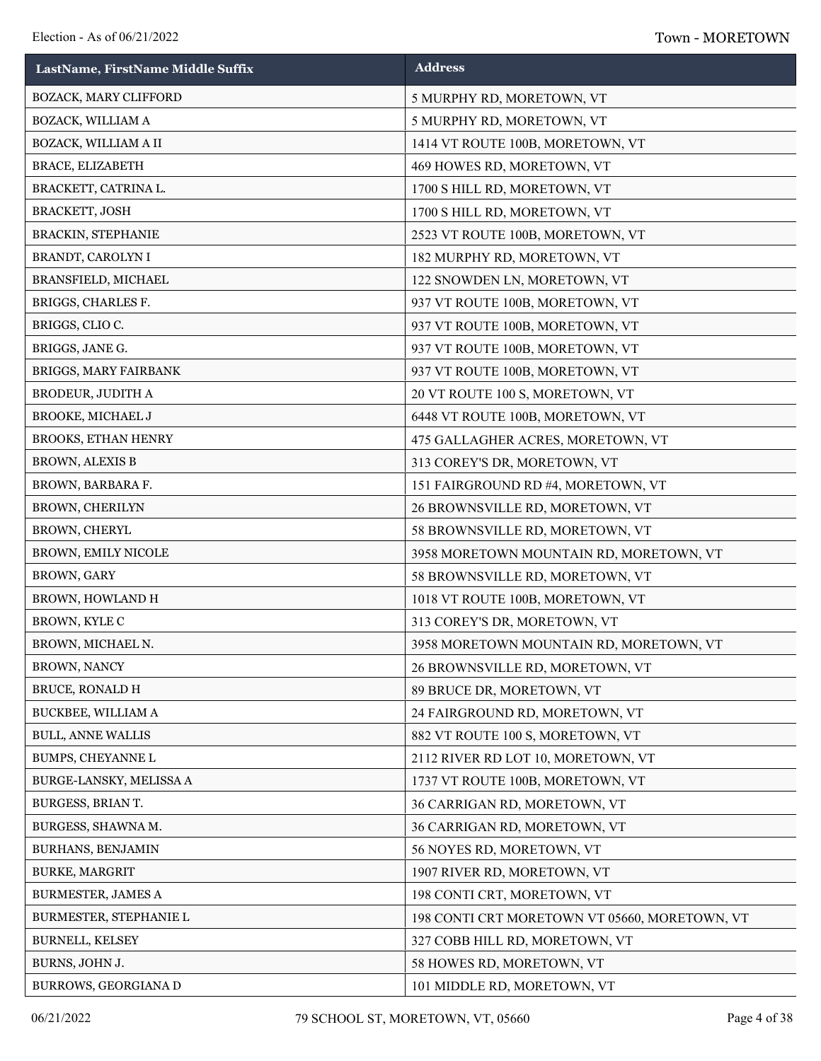| LastName, FirstName Middle Suffix | <b>Address</b>                                |
|-----------------------------------|-----------------------------------------------|
| BOZACK, MARY CLIFFORD             | 5 MURPHY RD, MORETOWN, VT                     |
| BOZACK, WILLIAM A                 | 5 MURPHY RD, MORETOWN, VT                     |
| BOZACK, WILLIAM A II              | 1414 VT ROUTE 100B, MORETOWN, VT              |
| BRACE, ELIZABETH                  | 469 HOWES RD, MORETOWN, VT                    |
| BRACKETT, CATRINA L.              | 1700 S HILL RD, MORETOWN, VT                  |
| <b>BRACKETT, JOSH</b>             | 1700 S HILL RD, MORETOWN, VT                  |
| <b>BRACKIN, STEPHANIE</b>         | 2523 VT ROUTE 100B, MORETOWN, VT              |
| BRANDT, CAROLYN I                 | 182 MURPHY RD, MORETOWN, VT                   |
| BRANSFIELD, MICHAEL               | 122 SNOWDEN LN, MORETOWN, VT                  |
| BRIGGS, CHARLES F.                | 937 VT ROUTE 100B, MORETOWN, VT               |
| BRIGGS, CLIOC.                    | 937 VT ROUTE 100B, MORETOWN, VT               |
| BRIGGS, JANE G.                   | 937 VT ROUTE 100B, MORETOWN, VT               |
| BRIGGS, MARY FAIRBANK             | 937 VT ROUTE 100B, MORETOWN, VT               |
| <b>BRODEUR, JUDITH A</b>          | 20 VT ROUTE 100 S, MORETOWN, VT               |
| BROOKE, MICHAEL J                 | 6448 VT ROUTE 100B, MORETOWN, VT              |
| <b>BROOKS, ETHAN HENRY</b>        | 475 GALLAGHER ACRES, MORETOWN, VT             |
| <b>BROWN, ALEXIS B</b>            | 313 COREY'S DR, MORETOWN, VT                  |
| BROWN, BARBARA F.                 | 151 FAIRGROUND RD #4, MORETOWN, VT            |
| <b>BROWN, CHERILYN</b>            | 26 BROWNSVILLE RD, MORETOWN, VT               |
| BROWN, CHERYL                     | 58 BROWNSVILLE RD, MORETOWN, VT               |
| BROWN, EMILY NICOLE               | 3958 MORETOWN MOUNTAIN RD, MORETOWN, VT       |
| BROWN, GARY                       | 58 BROWNSVILLE RD, MORETOWN, VT               |
| BROWN, HOWLAND H                  | 1018 VT ROUTE 100B, MORETOWN, VT              |
| BROWN, KYLE C                     | 313 COREY'S DR, MORETOWN, VT                  |
| BROWN, MICHAEL N.                 | 3958 MORETOWN MOUNTAIN RD, MORETOWN, VT       |
| BROWN, NANCY                      | 26 BROWNSVILLE RD, MORETOWN, VT               |
| <b>BRUCE, RONALD H</b>            | 89 BRUCE DR, MORETOWN, VT                     |
| BUCKBEE, WILLIAM A                | 24 FAIRGROUND RD, MORETOWN, VT                |
| <b>BULL, ANNE WALLIS</b>          | 882 VT ROUTE 100 S, MORETOWN, VT              |
| <b>BUMPS, CHEYANNE L</b>          | 2112 RIVER RD LOT 10, MORETOWN, VT            |
| BURGE-LANSKY, MELISSA A           | 1737 VT ROUTE 100B, MORETOWN, VT              |
| BURGESS, BRIAN T.                 | 36 CARRIGAN RD, MORETOWN, VT                  |
| BURGESS, SHAWNA M.                | 36 CARRIGAN RD, MORETOWN, VT                  |
| BURHANS, BENJAMIN                 | 56 NOYES RD, MORETOWN, VT                     |
| <b>BURKE, MARGRIT</b>             | 1907 RIVER RD, MORETOWN, VT                   |
| <b>BURMESTER, JAMES A</b>         | 198 CONTI CRT, MORETOWN, VT                   |
| BURMESTER, STEPHANIE L            | 198 CONTI CRT MORETOWN VT 05660, MORETOWN, VT |
| BURNELL, KELSEY                   | 327 COBB HILL RD, MORETOWN, VT                |
| BURNS, JOHN J.                    | 58 HOWES RD, MORETOWN, VT                     |
| BURROWS, GEORGIANA D              | 101 MIDDLE RD, MORETOWN, VT                   |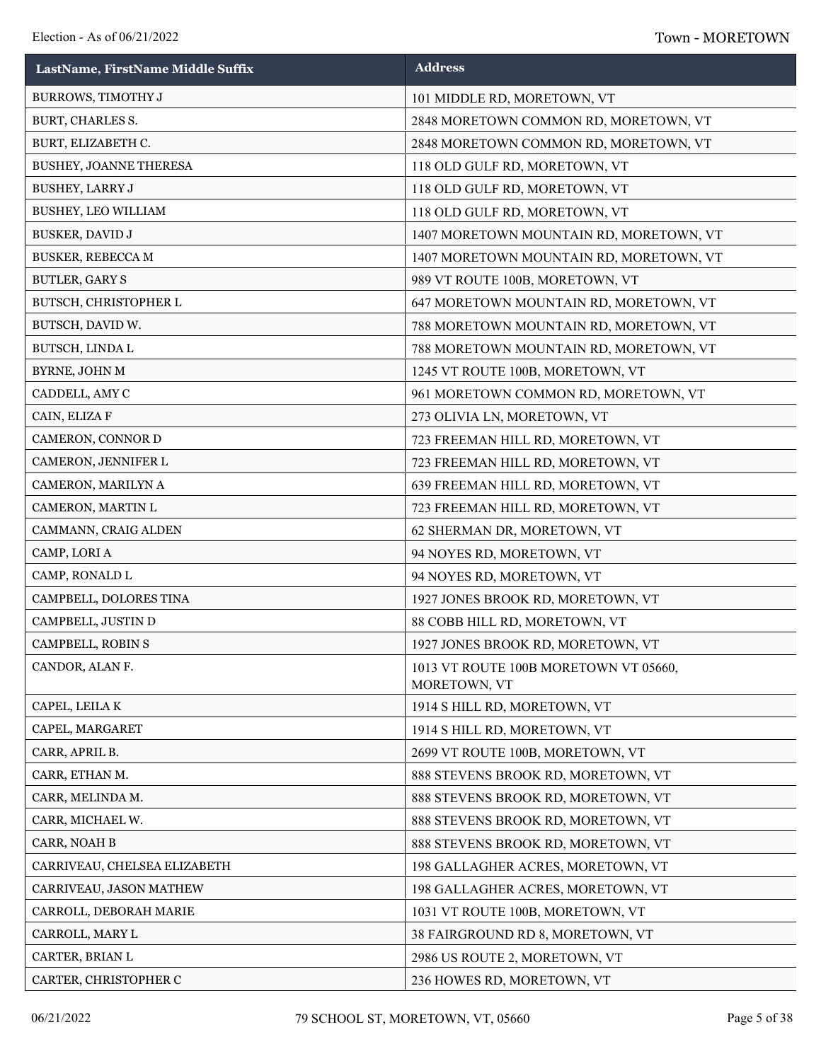| LastName, FirstName Middle Suffix | <b>Address</b>                                        |
|-----------------------------------|-------------------------------------------------------|
| <b>BURROWS, TIMOTHY J</b>         | 101 MIDDLE RD, MORETOWN, VT                           |
| BURT, CHARLES S.                  | 2848 MORETOWN COMMON RD, MORETOWN, VT                 |
| BURT, ELIZABETH C.                | 2848 MORETOWN COMMON RD, MORETOWN, VT                 |
| BUSHEY, JOANNE THERESA            | 118 OLD GULF RD, MORETOWN, VT                         |
| <b>BUSHEY, LARRY J</b>            | 118 OLD GULF RD, MORETOWN, VT                         |
| <b>BUSHEY, LEO WILLIAM</b>        | 118 OLD GULF RD, MORETOWN, VT                         |
| <b>BUSKER, DAVID J</b>            | 1407 MORETOWN MOUNTAIN RD, MORETOWN, VT               |
| <b>BUSKER, REBECCA M</b>          | 1407 MORETOWN MOUNTAIN RD, MORETOWN, VT               |
| <b>BUTLER, GARY S</b>             | 989 VT ROUTE 100B, MORETOWN, VT                       |
| BUTSCH, CHRISTOPHER L             | 647 MORETOWN MOUNTAIN RD, MORETOWN, VT                |
| BUTSCH, DAVID W.                  | 788 MORETOWN MOUNTAIN RD, MORETOWN, VT                |
| BUTSCH, LINDA L                   | 788 MORETOWN MOUNTAIN RD, MORETOWN, VT                |
| BYRNE, JOHN M                     | 1245 VT ROUTE 100B, MORETOWN, VT                      |
| CADDELL, AMY C                    | 961 MORETOWN COMMON RD, MORETOWN, VT                  |
| CAIN, ELIZA F                     | 273 OLIVIA LN, MORETOWN, VT                           |
| CAMERON, CONNOR D                 | 723 FREEMAN HILL RD, MORETOWN, VT                     |
| CAMERON, JENNIFER L               | 723 FREEMAN HILL RD, MORETOWN, VT                     |
| CAMERON, MARILYN A                | 639 FREEMAN HILL RD, MORETOWN, VT                     |
| CAMERON, MARTIN L                 | 723 FREEMAN HILL RD, MORETOWN, VT                     |
| CAMMANN, CRAIG ALDEN              | 62 SHERMAN DR, MORETOWN, VT                           |
| CAMP, LORI A                      | 94 NOYES RD, MORETOWN, VT                             |
| CAMP, RONALD L                    | 94 NOYES RD, MORETOWN, VT                             |
| CAMPBELL, DOLORES TINA            | 1927 JONES BROOK RD, MORETOWN, VT                     |
| CAMPBELL, JUSTIN D                | 88 COBB HILL RD, MORETOWN, VT                         |
| CAMPBELL, ROBIN S                 | 1927 JONES BROOK RD, MORETOWN, VT                     |
| CANDOR, ALAN F.                   | 1013 VT ROUTE 100B MORETOWN VT 05660,<br>MORETOWN, VT |
| CAPEL, LEILA K                    | 1914 S HILL RD, MORETOWN, VT                          |
| CAPEL, MARGARET                   | 1914 S HILL RD, MORETOWN, VT                          |
| CARR, APRIL B.                    | 2699 VT ROUTE 100B, MORETOWN, VT                      |
| CARR, ETHAN M.                    | 888 STEVENS BROOK RD, MORETOWN, VT                    |
| CARR, MELINDA M.                  | 888 STEVENS BROOK RD, MORETOWN, VT                    |
| CARR, MICHAEL W.                  | 888 STEVENS BROOK RD, MORETOWN, VT                    |
| CARR, NOAH B                      | 888 STEVENS BROOK RD, MORETOWN, VT                    |
| CARRIVEAU, CHELSEA ELIZABETH      | 198 GALLAGHER ACRES, MORETOWN, VT                     |
| CARRIVEAU, JASON MATHEW           | 198 GALLAGHER ACRES, MORETOWN, VT                     |
| CARROLL, DEBORAH MARIE            | 1031 VT ROUTE 100B, MORETOWN, VT                      |
| CARROLL, MARY L                   | 38 FAIRGROUND RD 8, MORETOWN, VT                      |
| CARTER, BRIAN L                   | 2986 US ROUTE 2, MORETOWN, VT                         |
| CARTER, CHRISTOPHER C             | 236 HOWES RD, MORETOWN, VT                            |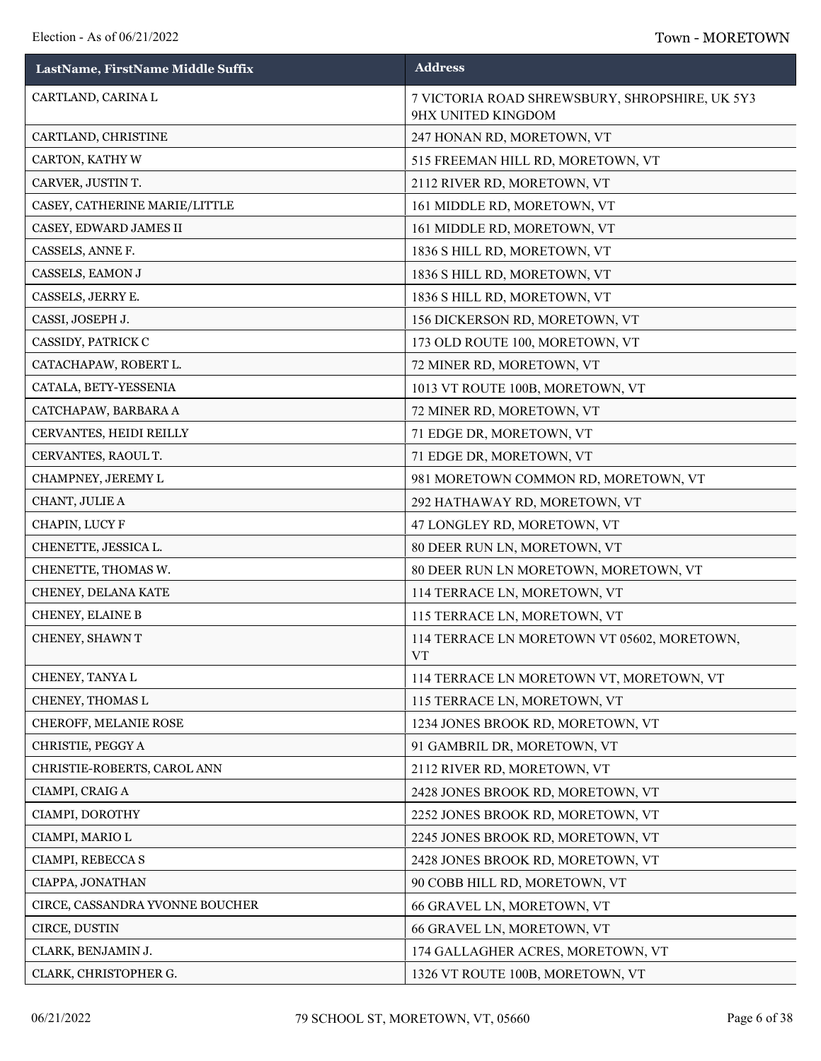| LastName, FirstName Middle Suffix | <b>Address</b>                                                       |
|-----------------------------------|----------------------------------------------------------------------|
| CARTLAND, CARINA L                | 7 VICTORIA ROAD SHREWSBURY, SHROPSHIRE, UK 5Y3<br>9HX UNITED KINGDOM |
| CARTLAND, CHRISTINE               | 247 HONAN RD, MORETOWN, VT                                           |
| CARTON, KATHY W                   | 515 FREEMAN HILL RD, MORETOWN, VT                                    |
| CARVER, JUSTIN T.                 | 2112 RIVER RD, MORETOWN, VT                                          |
| CASEY, CATHERINE MARIE/LITTLE     | 161 MIDDLE RD, MORETOWN, VT                                          |
| CASEY, EDWARD JAMES II            | 161 MIDDLE RD, MORETOWN, VT                                          |
| CASSELS, ANNE F.                  | 1836 S HILL RD, MORETOWN, VT                                         |
| CASSELS, EAMON J                  | 1836 S HILL RD, MORETOWN, VT                                         |
| CASSELS, JERRY E.                 | 1836 S HILL RD, MORETOWN, VT                                         |
| CASSI, JOSEPH J.                  | 156 DICKERSON RD, MORETOWN, VT                                       |
| CASSIDY, PATRICK C                | 173 OLD ROUTE 100, MORETOWN, VT                                      |
| CATACHAPAW, ROBERT L.             | 72 MINER RD, MORETOWN, VT                                            |
| CATALA, BETY-YESSENIA             | 1013 VT ROUTE 100B, MORETOWN, VT                                     |
| CATCHAPAW, BARBARA A              | 72 MINER RD, MORETOWN, VT                                            |
| CERVANTES, HEIDI REILLY           | 71 EDGE DR, MORETOWN, VT                                             |
| CERVANTES, RAOUL T.               | 71 EDGE DR, MORETOWN, VT                                             |
| CHAMPNEY, JEREMY L                | 981 MORETOWN COMMON RD, MORETOWN, VT                                 |
| CHANT, JULIE A                    | 292 HATHAWAY RD, MORETOWN, VT                                        |
| CHAPIN, LUCY F                    | 47 LONGLEY RD, MORETOWN, VT                                          |
| CHENETTE, JESSICA L.              | 80 DEER RUN LN, MORETOWN, VT                                         |
| CHENETTE, THOMAS W.               | 80 DEER RUN LN MORETOWN, MORETOWN, VT                                |
| CHENEY, DELANA KATE               | 114 TERRACE LN, MORETOWN, VT                                         |
| CHENEY, ELAINE B                  | 115 TERRACE LN, MORETOWN, VT                                         |
| CHENEY, SHAWN T                   | 114 TERRACE LN MORETOWN VT 05602, MORETOWN,<br><b>VT</b>             |
| CHENEY, TANYA L                   | 114 TERRACE LN MORETOWN VT, MORETOWN, VT                             |
| CHENEY, THOMAS L                  | 115 TERRACE LN, MORETOWN, VT                                         |
| CHEROFF, MELANIE ROSE             | 1234 JONES BROOK RD, MORETOWN, VT                                    |
| CHRISTIE, PEGGY A                 | 91 GAMBRIL DR, MORETOWN, VT                                          |
| CHRISTIE-ROBERTS, CAROL ANN       | 2112 RIVER RD, MORETOWN, VT                                          |
| CIAMPI, CRAIG A                   | 2428 JONES BROOK RD, MORETOWN, VT                                    |
| CIAMPI, DOROTHY                   | 2252 JONES BROOK RD, MORETOWN, VT                                    |
| CIAMPI, MARIO L                   | 2245 JONES BROOK RD, MORETOWN, VT                                    |
| CIAMPI, REBECCA S                 | 2428 JONES BROOK RD, MORETOWN, VT                                    |
| CIAPPA, JONATHAN                  | 90 COBB HILL RD, MORETOWN, VT                                        |
| CIRCE, CASSANDRA YVONNE BOUCHER   | 66 GRAVEL LN, MORETOWN, VT                                           |
| CIRCE, DUSTIN                     | 66 GRAVEL LN, MORETOWN, VT                                           |
| CLARK, BENJAMIN J.                | 174 GALLAGHER ACRES, MORETOWN, VT                                    |
| CLARK, CHRISTOPHER G.             | 1326 VT ROUTE 100B, MORETOWN, VT                                     |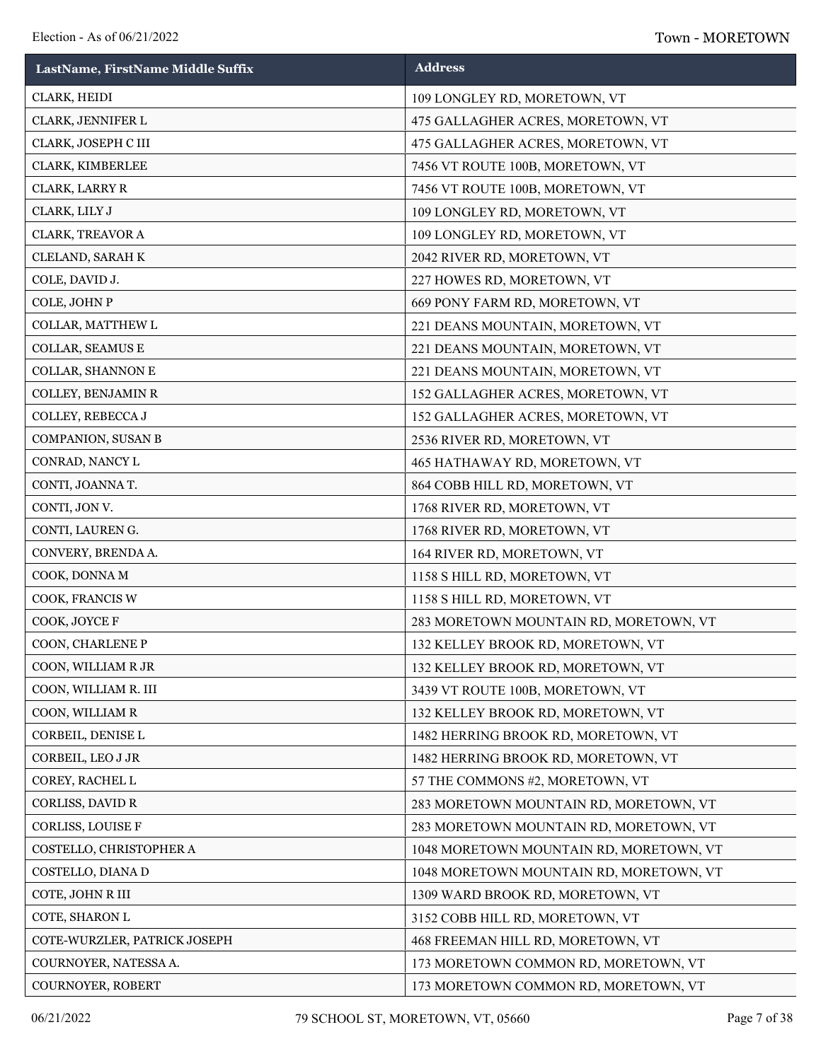| LastName, FirstName Middle Suffix | <b>Address</b>                          |
|-----------------------------------|-----------------------------------------|
| CLARK, HEIDI                      | 109 LONGLEY RD, MORETOWN, VT            |
| CLARK, JENNIFER L                 | 475 GALLAGHER ACRES, MORETOWN, VT       |
| CLARK, JOSEPH C III               | 475 GALLAGHER ACRES, MORETOWN, VT       |
| CLARK, KIMBERLEE                  | 7456 VT ROUTE 100B, MORETOWN, VT        |
| CLARK, LARRY R                    | 7456 VT ROUTE 100B, MORETOWN, VT        |
| CLARK, LILY J                     | 109 LONGLEY RD, MORETOWN, VT            |
| CLARK, TREAVOR A                  | 109 LONGLEY RD, MORETOWN, VT            |
| CLELAND, SARAH K                  | 2042 RIVER RD, MORETOWN, VT             |
| COLE, DAVID J.                    | 227 HOWES RD, MORETOWN, VT              |
| COLE, JOHN P                      | 669 PONY FARM RD, MORETOWN, VT          |
| COLLAR, MATTHEW L                 | 221 DEANS MOUNTAIN, MORETOWN, VT        |
| COLLAR, SEAMUS E                  | 221 DEANS MOUNTAIN, MORETOWN, VT        |
| COLLAR, SHANNON E                 | 221 DEANS MOUNTAIN, MORETOWN, VT        |
| COLLEY, BENJAMIN R                | 152 GALLAGHER ACRES, MORETOWN, VT       |
| COLLEY, REBECCA J                 | 152 GALLAGHER ACRES, MORETOWN, VT       |
| COMPANION, SUSAN B                | 2536 RIVER RD, MORETOWN, VT             |
| CONRAD, NANCY L                   | 465 HATHAWAY RD, MORETOWN, VT           |
| CONTI, JOANNA T.                  | 864 COBB HILL RD, MORETOWN, VT          |
| CONTI, JON V.                     | 1768 RIVER RD, MORETOWN, VT             |
| CONTI, LAUREN G.                  | 1768 RIVER RD, MORETOWN, VT             |
| CONVERY, BRENDA A.                | 164 RIVER RD, MORETOWN, VT              |
| COOK, DONNA M                     | 1158 S HILL RD, MORETOWN, VT            |
| COOK, FRANCIS W                   | 1158 S HILL RD, MORETOWN, VT            |
| COOK, JOYCE F                     | 283 MORETOWN MOUNTAIN RD, MORETOWN, VT  |
| COON, CHARLENE P                  | 132 KELLEY BROOK RD, MORETOWN, VT       |
| COON, WILLIAM R JR                | 132 KELLEY BROOK RD, MORETOWN, VT       |
| COON, WILLIAM R. III              | 3439 VT ROUTE 100B, MORETOWN, VT        |
| COON, WILLIAM R                   | 132 KELLEY BROOK RD, MORETOWN, VT       |
| CORBEIL, DENISE L                 | 1482 HERRING BROOK RD, MORETOWN, VT     |
| CORBEIL, LEO J JR                 | 1482 HERRING BROOK RD, MORETOWN, VT     |
| COREY, RACHEL L                   | 57 THE COMMONS #2, MORETOWN, VT         |
| CORLISS, DAVID R                  | 283 MORETOWN MOUNTAIN RD, MORETOWN, VT  |
| CORLISS, LOUISE F                 | 283 MORETOWN MOUNTAIN RD, MORETOWN, VT  |
| COSTELLO, CHRISTOPHER A           | 1048 MORETOWN MOUNTAIN RD, MORETOWN, VT |
| COSTELLO, DIANA D                 | 1048 MORETOWN MOUNTAIN RD, MORETOWN, VT |
| COTE, JOHN R III                  | 1309 WARD BROOK RD, MORETOWN, VT        |
| COTE, SHARON L                    | 3152 COBB HILL RD, MORETOWN, VT         |
| COTE-WURZLER, PATRICK JOSEPH      | 468 FREEMAN HILL RD, MORETOWN, VT       |
| COURNOYER, NATESSA A.             | 173 MORETOWN COMMON RD, MORETOWN, VT    |
| COURNOYER, ROBERT                 | 173 MORETOWN COMMON RD, MORETOWN, VT    |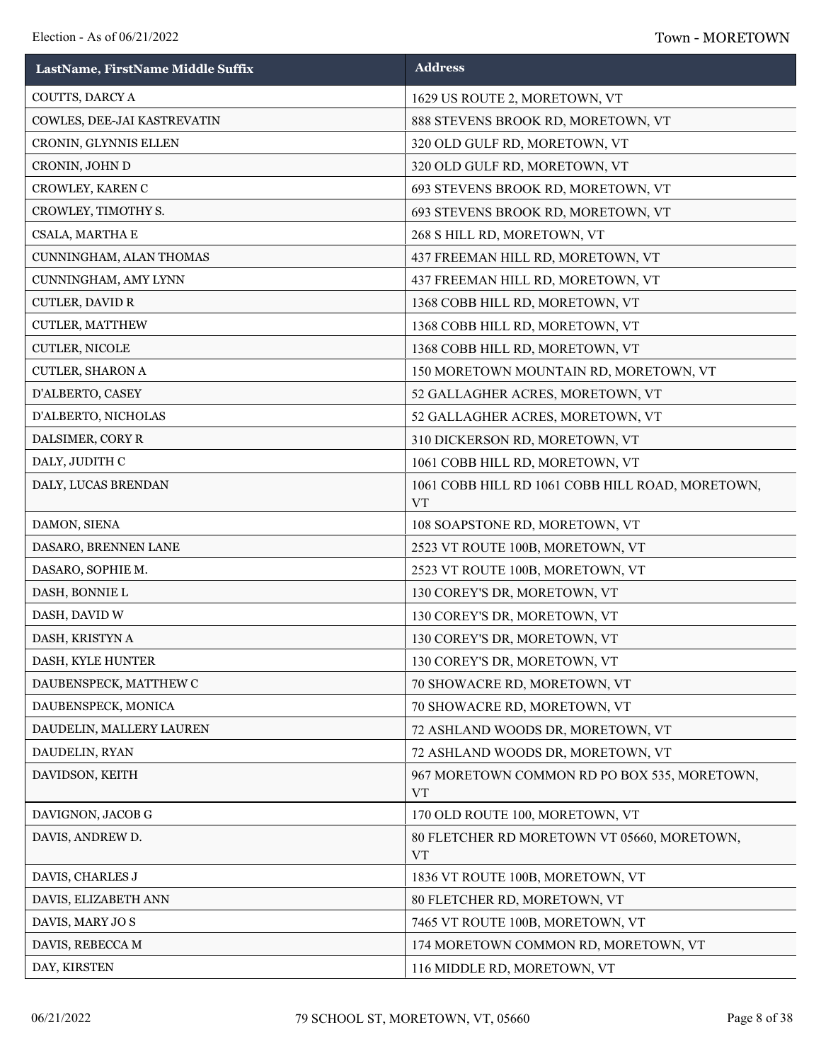| LastName, FirstName Middle Suffix | <b>Address</b>                                                |
|-----------------------------------|---------------------------------------------------------------|
| COUTTS, DARCY A                   | 1629 US ROUTE 2, MORETOWN, VT                                 |
| COWLES, DEE-JAI KASTREVATIN       | 888 STEVENS BROOK RD, MORETOWN, VT                            |
| CRONIN, GLYNNIS ELLEN             | 320 OLD GULF RD, MORETOWN, VT                                 |
| CRONIN, JOHN D                    | 320 OLD GULF RD, MORETOWN, VT                                 |
| CROWLEY, KAREN C                  | 693 STEVENS BROOK RD, MORETOWN, VT                            |
| CROWLEY, TIMOTHY S.               | 693 STEVENS BROOK RD, MORETOWN, VT                            |
| CSALA, MARTHA E                   | 268 S HILL RD, MORETOWN, VT                                   |
| CUNNINGHAM, ALAN THOMAS           | 437 FREEMAN HILL RD, MORETOWN, VT                             |
| CUNNINGHAM, AMY LYNN              | 437 FREEMAN HILL RD, MORETOWN, VT                             |
| CUTLER, DAVID R                   | 1368 COBB HILL RD, MORETOWN, VT                               |
| CUTLER, MATTHEW                   | 1368 COBB HILL RD, MORETOWN, VT                               |
| CUTLER, NICOLE                    | 1368 COBB HILL RD, MORETOWN, VT                               |
| CUTLER, SHARON A                  | 150 MORETOWN MOUNTAIN RD, MORETOWN, VT                        |
| D'ALBERTO, CASEY                  | 52 GALLAGHER ACRES, MORETOWN, VT                              |
| D'ALBERTO, NICHOLAS               | 52 GALLAGHER ACRES, MORETOWN, VT                              |
| DALSIMER, CORY R                  | 310 DICKERSON RD, MORETOWN, VT                                |
| DALY, JUDITH C                    | 1061 COBB HILL RD, MORETOWN, VT                               |
| DALY, LUCAS BRENDAN               | 1061 COBB HILL RD 1061 COBB HILL ROAD, MORETOWN,<br><b>VT</b> |
| DAMON, SIENA                      | 108 SOAPSTONE RD, MORETOWN, VT                                |
| DASARO, BRENNEN LANE              | 2523 VT ROUTE 100B, MORETOWN, VT                              |
| DASARO, SOPHIE M.                 | 2523 VT ROUTE 100B, MORETOWN, VT                              |
| DASH, BONNIE L                    | 130 COREY'S DR, MORETOWN, VT                                  |
| DASH, DAVID W                     | 130 COREY'S DR, MORETOWN, VT                                  |
| DASH, KRISTYN A                   | 130 COREY'S DR, MORETOWN, VT                                  |
| DASH, KYLE HUNTER                 | 130 COREY'S DR, MORETOWN, VT                                  |
| DAUBENSPECK, MATTHEW C            | 70 SHOWACRE RD, MORETOWN, VT                                  |
| DAUBENSPECK, MONICA               | 70 SHOWACRE RD, MORETOWN, VT                                  |
| DAUDELIN, MALLERY LAUREN          | 72 ASHLAND WOODS DR, MORETOWN, VT                             |
| DAUDELIN, RYAN                    | 72 ASHLAND WOODS DR, MORETOWN, VT                             |
| DAVIDSON, KEITH                   | 967 MORETOWN COMMON RD PO BOX 535, MORETOWN,<br><b>VT</b>     |
| DAVIGNON, JACOB G                 | 170 OLD ROUTE 100, MORETOWN, VT                               |
| DAVIS, ANDREW D.                  | 80 FLETCHER RD MORETOWN VT 05660, MORETOWN,<br><b>VT</b>      |
| DAVIS, CHARLES J                  | 1836 VT ROUTE 100B, MORETOWN, VT                              |
| DAVIS, ELIZABETH ANN              | 80 FLETCHER RD, MORETOWN, VT                                  |
| DAVIS, MARY JOS                   | 7465 VT ROUTE 100B, MORETOWN, VT                              |
| DAVIS, REBECCA M                  | 174 MORETOWN COMMON RD, MORETOWN, VT                          |
| DAY, KIRSTEN                      | 116 MIDDLE RD, MORETOWN, VT                                   |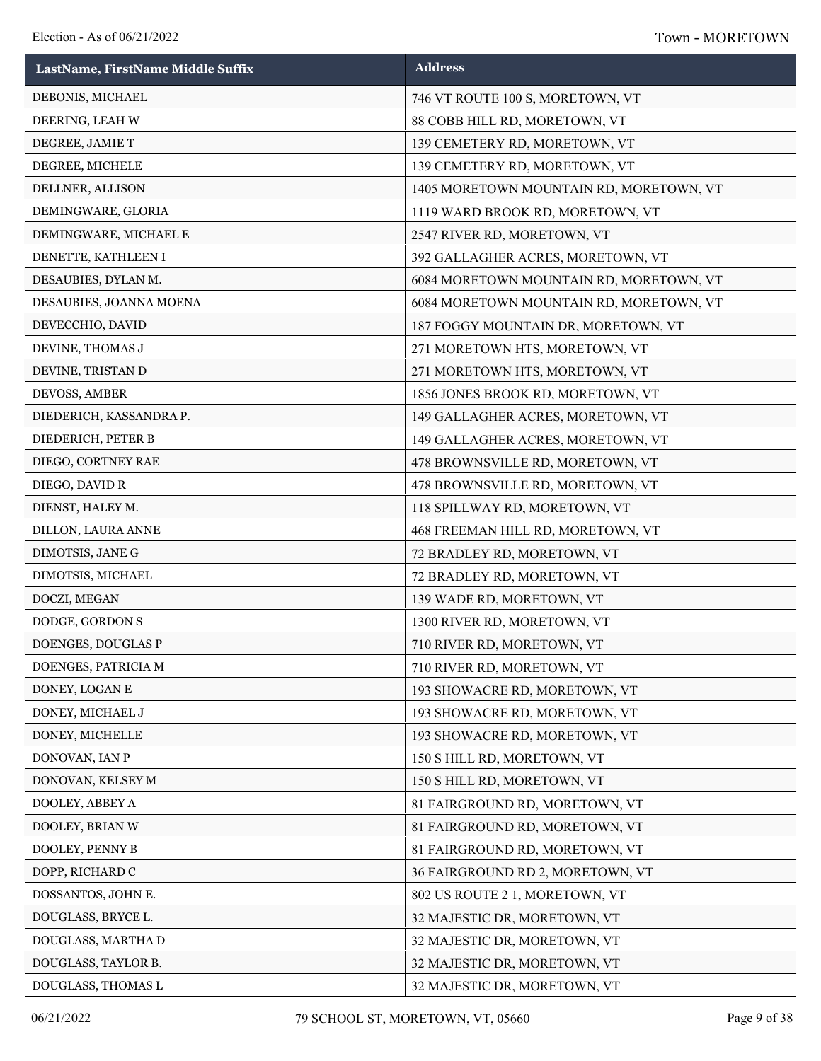| LastName, FirstName Middle Suffix | <b>Address</b>                          |
|-----------------------------------|-----------------------------------------|
| DEBONIS, MICHAEL                  | 746 VT ROUTE 100 S, MORETOWN, VT        |
| DEERING, LEAH W                   | 88 COBB HILL RD, MORETOWN, VT           |
| DEGREE, JAMIE T                   | 139 CEMETERY RD, MORETOWN, VT           |
| DEGREE, MICHELE                   | 139 CEMETERY RD, MORETOWN, VT           |
| DELLNER, ALLISON                  | 1405 MORETOWN MOUNTAIN RD, MORETOWN, VT |
| DEMINGWARE, GLORIA                | 1119 WARD BROOK RD, MORETOWN, VT        |
| DEMINGWARE, MICHAEL E             | 2547 RIVER RD, MORETOWN, VT             |
| DENETTE, KATHLEEN I               | 392 GALLAGHER ACRES, MORETOWN, VT       |
| DESAUBIES, DYLAN M.               | 6084 MORETOWN MOUNTAIN RD, MORETOWN, VT |
| DESAUBIES, JOANNA MOENA           | 6084 MORETOWN MOUNTAIN RD, MORETOWN, VT |
| DEVECCHIO, DAVID                  | 187 FOGGY MOUNTAIN DR, MORETOWN, VT     |
| DEVINE, THOMAS J                  | 271 MORETOWN HTS, MORETOWN, VT          |
| DEVINE, TRISTAN D                 | 271 MORETOWN HTS, MORETOWN, VT          |
| DEVOSS, AMBER                     | 1856 JONES BROOK RD, MORETOWN, VT       |
| DIEDERICH, KASSANDRA P.           | 149 GALLAGHER ACRES, MORETOWN, VT       |
| DIEDERICH, PETER B                | 149 GALLAGHER ACRES, MORETOWN, VT       |
| DIEGO, CORTNEY RAE                | 478 BROWNSVILLE RD, MORETOWN, VT        |
| DIEGO, DAVID R                    | 478 BROWNSVILLE RD, MORETOWN, VT        |
| DIENST, HALEY M.                  | 118 SPILLWAY RD, MORETOWN, VT           |
| DILLON, LAURA ANNE                | 468 FREEMAN HILL RD, MORETOWN, VT       |
| DIMOTSIS, JANE G                  | 72 BRADLEY RD, MORETOWN, VT             |
| DIMOTSIS, MICHAEL                 | 72 BRADLEY RD, MORETOWN, VT             |
| DOCZI, MEGAN                      | 139 WADE RD, MORETOWN, VT               |
| DODGE, GORDON S                   | 1300 RIVER RD, MORETOWN, VT             |
| DOENGES, DOUGLAS P                | 710 RIVER RD, MORETOWN, VT              |
| DOENGES, PATRICIA M               | 710 RIVER RD, MORETOWN, VT              |
| DONEY, LOGAN E                    | 193 SHOWACRE RD, MORETOWN, VT           |
| DONEY, MICHAEL J                  | 193 SHOWACRE RD, MORETOWN, VT           |
| DONEY, MICHELLE                   | 193 SHOWACRE RD, MORETOWN, VT           |
| DONOVAN, IAN P                    | 150 S HILL RD, MORETOWN, VT             |
| DONOVAN, KELSEY M                 | 150 S HILL RD, MORETOWN, VT             |
| DOOLEY, ABBEY A                   | 81 FAIRGROUND RD, MORETOWN, VT          |
| DOOLEY, BRIAN W                   | 81 FAIRGROUND RD, MORETOWN, VT          |
| DOOLEY, PENNY B                   | 81 FAIRGROUND RD, MORETOWN, VT          |
| DOPP, RICHARD C                   | 36 FAIRGROUND RD 2, MORETOWN, VT        |
| DOSSANTOS, JOHN E.                | 802 US ROUTE 2 1, MORETOWN, VT          |
| DOUGLASS, BRYCE L.                | 32 MAJESTIC DR, MORETOWN, VT            |
| DOUGLASS, MARTHA D                | 32 MAJESTIC DR, MORETOWN, VT            |
| DOUGLASS, TAYLOR B.               | 32 MAJESTIC DR, MORETOWN, VT            |
| DOUGLASS, THOMAS L                | 32 MAJESTIC DR, MORETOWN, VT            |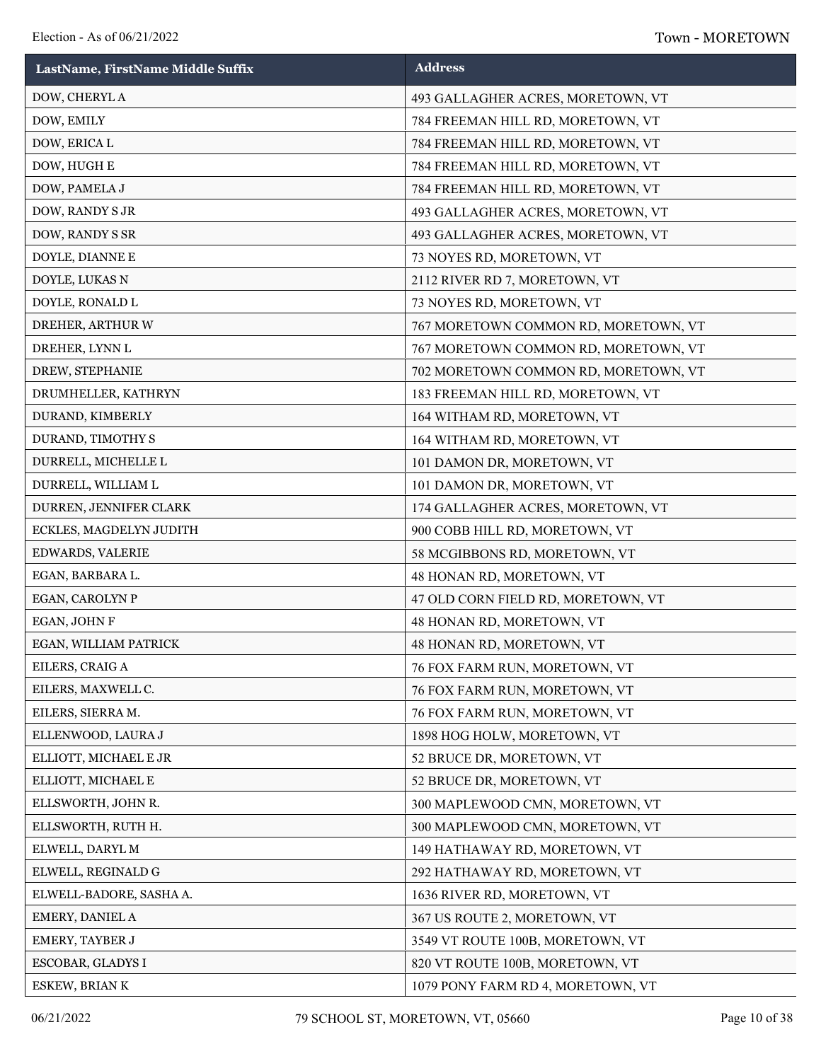| LastName, FirstName Middle Suffix | <b>Address</b>                       |
|-----------------------------------|--------------------------------------|
| DOW, CHERYL A                     | 493 GALLAGHER ACRES, MORETOWN, VT    |
| DOW, EMILY                        | 784 FREEMAN HILL RD, MORETOWN, VT    |
| DOW, ERICA L                      | 784 FREEMAN HILL RD, MORETOWN, VT    |
| DOW, HUGH E                       | 784 FREEMAN HILL RD, MORETOWN, VT    |
| DOW, PAMELA J                     | 784 FREEMAN HILL RD, MORETOWN, VT    |
| DOW, RANDY S JR                   | 493 GALLAGHER ACRES, MORETOWN, VT    |
| DOW, RANDY S SR                   | 493 GALLAGHER ACRES, MORETOWN, VT    |
| DOYLE, DIANNE E                   | 73 NOYES RD, MORETOWN, VT            |
| DOYLE, LUKAS N                    | 2112 RIVER RD 7, MORETOWN, VT        |
| DOYLE, RONALD L                   | 73 NOYES RD, MORETOWN, VT            |
| DREHER, ARTHUR W                  | 767 MORETOWN COMMON RD, MORETOWN, VT |
| DREHER, LYNN L                    | 767 MORETOWN COMMON RD, MORETOWN, VT |
| DREW, STEPHANIE                   | 702 MORETOWN COMMON RD, MORETOWN, VT |
| DRUMHELLER, KATHRYN               | 183 FREEMAN HILL RD, MORETOWN, VT    |
| DURAND, KIMBERLY                  | 164 WITHAM RD, MORETOWN, VT          |
| DURAND, TIMOTHY S                 | 164 WITHAM RD, MORETOWN, VT          |
| DURRELL, MICHELLE L               | 101 DAMON DR, MORETOWN, VT           |
| DURRELL, WILLIAM L                | 101 DAMON DR, MORETOWN, VT           |
| DURREN, JENNIFER CLARK            | 174 GALLAGHER ACRES, MORETOWN, VT    |
| ECKLES, MAGDELYN JUDITH           | 900 COBB HILL RD, MORETOWN, VT       |
| EDWARDS, VALERIE                  | 58 MCGIBBONS RD, MORETOWN, VT        |
| EGAN, BARBARA L.                  | 48 HONAN RD, MORETOWN, VT            |
| EGAN, CAROLYN P                   | 47 OLD CORN FIELD RD, MORETOWN, VT   |
| EGAN, JOHN F                      | 48 HONAN RD, MORETOWN, VT            |
| EGAN, WILLIAM PATRICK             | 48 HONAN RD, MORETOWN, VT            |
| EILERS, CRAIG A                   | 76 FOX FARM RUN, MORETOWN, VT        |
| EILERS, MAXWELL C.                | 76 FOX FARM RUN, MORETOWN, VT        |
| EILERS, SIERRA M.                 | 76 FOX FARM RUN, MORETOWN, VT        |
| ELLENWOOD, LAURA J                | 1898 HOG HOLW, MORETOWN, VT          |
| ELLIOTT, MICHAEL E JR             | 52 BRUCE DR, MORETOWN, VT            |
| ELLIOTT, MICHAEL E                | 52 BRUCE DR, MORETOWN, VT            |
| ELLSWORTH, JOHN R.                | 300 MAPLEWOOD CMN, MORETOWN, VT      |
| ELLSWORTH, RUTH H.                | 300 MAPLEWOOD CMN, MORETOWN, VT      |
| ELWELL, DARYL M                   | 149 HATHAWAY RD, MORETOWN, VT        |
| ELWELL, REGINALD G                | 292 HATHAWAY RD, MORETOWN, VT        |
| ELWELL-BADORE, SASHA A.           | 1636 RIVER RD, MORETOWN, VT          |
| EMERY, DANIEL A                   | 367 US ROUTE 2, MORETOWN, VT         |
| EMERY, TAYBER J                   | 3549 VT ROUTE 100B, MORETOWN, VT     |
| ESCOBAR, GLADYS I                 | 820 VT ROUTE 100B, MORETOWN, VT      |
| ESKEW, BRIAN K                    | 1079 PONY FARM RD 4, MORETOWN, VT    |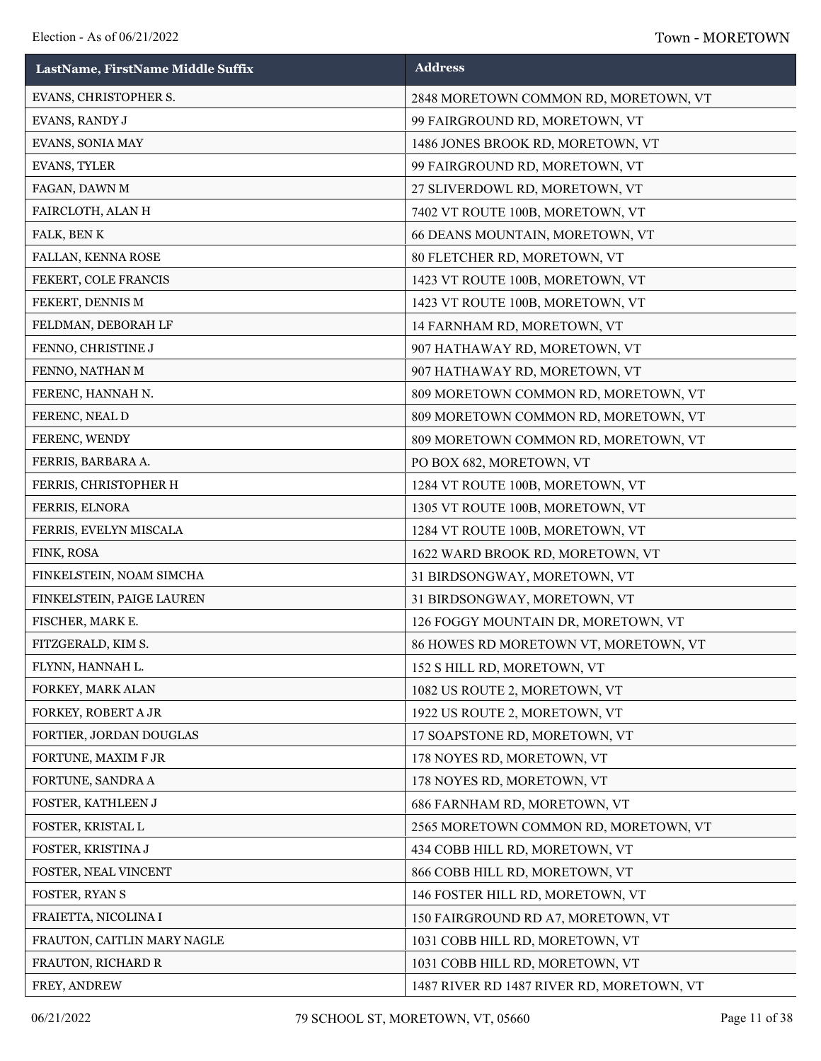| LastName, FirstName Middle Suffix | <b>Address</b>                            |
|-----------------------------------|-------------------------------------------|
| EVANS, CHRISTOPHER S.             | 2848 MORETOWN COMMON RD, MORETOWN, VT     |
| EVANS, RANDY J                    | 99 FAIRGROUND RD, MORETOWN, VT            |
| EVANS, SONIA MAY                  | 1486 JONES BROOK RD, MORETOWN, VT         |
| EVANS, TYLER                      | 99 FAIRGROUND RD, MORETOWN, VT            |
| FAGAN, DAWN M                     | 27 SLIVERDOWL RD, MORETOWN, VT            |
| FAIRCLOTH, ALAN H                 | 7402 VT ROUTE 100B, MORETOWN, VT          |
| FALK, BEN K                       | 66 DEANS MOUNTAIN, MORETOWN, VT           |
| FALLAN, KENNA ROSE                | 80 FLETCHER RD, MORETOWN, VT              |
| FEKERT, COLE FRANCIS              | 1423 VT ROUTE 100B, MORETOWN, VT          |
| FEKERT, DENNIS M                  | 1423 VT ROUTE 100B, MORETOWN, VT          |
| FELDMAN, DEBORAH LF               | 14 FARNHAM RD, MORETOWN, VT               |
| FENNO, CHRISTINE J                | 907 HATHAWAY RD, MORETOWN, VT             |
| FENNO, NATHAN M                   | 907 HATHAWAY RD, MORETOWN, VT             |
| FERENC, HANNAH N.                 | 809 MORETOWN COMMON RD, MORETOWN, VT      |
| FERENC, NEAL D                    | 809 MORETOWN COMMON RD, MORETOWN, VT      |
| FERENC, WENDY                     | 809 MORETOWN COMMON RD, MORETOWN, VT      |
| FERRIS, BARBARA A.                | PO BOX 682, MORETOWN, VT                  |
| FERRIS, CHRISTOPHER H             | 1284 VT ROUTE 100B, MORETOWN, VT          |
| FERRIS, ELNORA                    | 1305 VT ROUTE 100B, MORETOWN, VT          |
| FERRIS, EVELYN MISCALA            | 1284 VT ROUTE 100B, MORETOWN, VT          |
| FINK, ROSA                        | 1622 WARD BROOK RD, MORETOWN, VT          |
| FINKELSTEIN, NOAM SIMCHA          | 31 BIRDSONGWAY, MORETOWN, VT              |
| FINKELSTEIN, PAIGE LAUREN         | 31 BIRDSONGWAY, MORETOWN, VT              |
| FISCHER, MARK E.                  | 126 FOGGY MOUNTAIN DR, MORETOWN, VT       |
| FITZGERALD, KIM S.                | 86 HOWES RD MORETOWN VT, MORETOWN, VT     |
| FLYNN, HANNAH L.                  | 152 S HILL RD, MORETOWN, VT               |
| FORKEY, MARK ALAN                 | 1082 US ROUTE 2, MORETOWN, VT             |
| FORKEY, ROBERT A JR               | 1922 US ROUTE 2, MORETOWN, VT             |
| FORTIER, JORDAN DOUGLAS           | 17 SOAPSTONE RD, MORETOWN, VT             |
| FORTUNE, MAXIM F JR               | 178 NOYES RD, MORETOWN, VT                |
| FORTUNE, SANDRA A                 | 178 NOYES RD, MORETOWN, VT                |
| FOSTER, KATHLEEN J                | 686 FARNHAM RD, MORETOWN, VT              |
| FOSTER, KRISTAL L                 | 2565 MORETOWN COMMON RD, MORETOWN, VT     |
| FOSTER, KRISTINA J                | 434 COBB HILL RD, MORETOWN, VT            |
| FOSTER, NEAL VINCENT              | 866 COBB HILL RD, MORETOWN, VT            |
| FOSTER, RYAN S                    | 146 FOSTER HILL RD, MORETOWN, VT          |
| FRAIETTA, NICOLINA I              | 150 FAIRGROUND RD A7, MORETOWN, VT        |
| FRAUTON, CAITLIN MARY NAGLE       | 1031 COBB HILL RD, MORETOWN, VT           |
| FRAUTON, RICHARD R                | 1031 COBB HILL RD, MORETOWN, VT           |
| FREY, ANDREW                      | 1487 RIVER RD 1487 RIVER RD, MORETOWN, VT |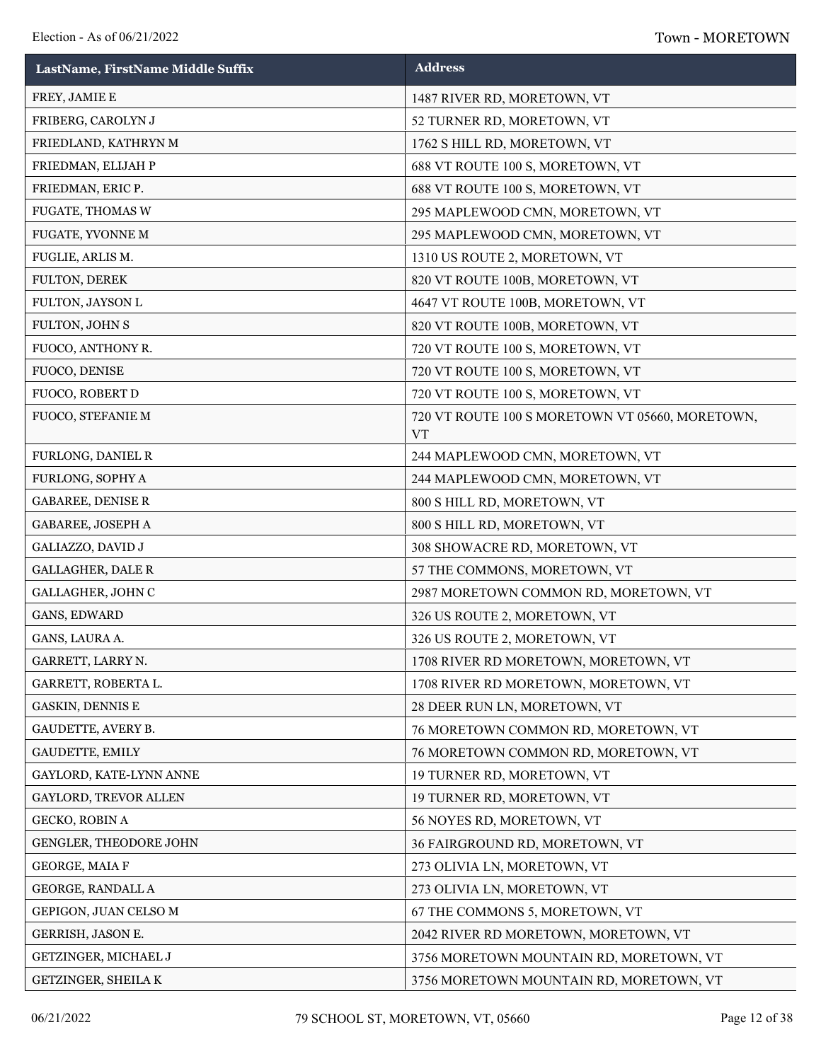| LastName, FirstName Middle Suffix | <b>Address</b>                                               |
|-----------------------------------|--------------------------------------------------------------|
| FREY, JAMIE E                     | 1487 RIVER RD, MORETOWN, VT                                  |
| FRIBERG, CAROLYN J                | 52 TURNER RD, MORETOWN, VT                                   |
| FRIEDLAND, KATHRYN M              | 1762 S HILL RD, MORETOWN, VT                                 |
| FRIEDMAN, ELIJAH P                | 688 VT ROUTE 100 S, MORETOWN, VT                             |
| FRIEDMAN, ERIC P.                 | 688 VT ROUTE 100 S, MORETOWN, VT                             |
| FUGATE, THOMAS W                  | 295 MAPLEWOOD CMN, MORETOWN, VT                              |
| FUGATE, YVONNE M                  | 295 MAPLEWOOD CMN, MORETOWN, VT                              |
| FUGLIE, ARLIS M.                  | 1310 US ROUTE 2, MORETOWN, VT                                |
| FULTON, DEREK                     | 820 VT ROUTE 100B, MORETOWN, VT                              |
| FULTON, JAYSON L                  | 4647 VT ROUTE 100B, MORETOWN, VT                             |
| FULTON, JOHN S                    | 820 VT ROUTE 100B, MORETOWN, VT                              |
| FUOCO, ANTHONY R.                 | 720 VT ROUTE 100 S, MORETOWN, VT                             |
| FUOCO, DENISE                     | 720 VT ROUTE 100 S, MORETOWN, VT                             |
| FUOCO, ROBERT D                   | 720 VT ROUTE 100 S, MORETOWN, VT                             |
| FUOCO, STEFANIE M                 | 720 VT ROUTE 100 S MORETOWN VT 05660, MORETOWN,<br><b>VT</b> |
| FURLONG, DANIEL R                 | 244 MAPLEWOOD CMN, MORETOWN, VT                              |
| FURLONG, SOPHY A                  | 244 MAPLEWOOD CMN, MORETOWN, VT                              |
| GABAREE, DENISE R                 | 800 S HILL RD, MORETOWN, VT                                  |
| GABAREE, JOSEPH A                 | 800 S HILL RD, MORETOWN, VT                                  |
| GALIAZZO, DAVID J                 | 308 SHOWACRE RD, MORETOWN, VT                                |
| <b>GALLAGHER, DALE R</b>          | 57 THE COMMONS, MORETOWN, VT                                 |
| GALLAGHER, JOHN C                 | 2987 MORETOWN COMMON RD, MORETOWN, VT                        |
| GANS, EDWARD                      | 326 US ROUTE 2, MORETOWN, VT                                 |
| GANS, LAURA A.                    | 326 US ROUTE 2, MORETOWN, VT                                 |
| GARRETT, LARRY N.                 | 1708 RIVER RD MORETOWN, MORETOWN, VT                         |
| GARRETT, ROBERTA L.               | 1708 RIVER RD MORETOWN, MORETOWN, VT                         |
| GASKIN, DENNIS E                  | 28 DEER RUN LN, MORETOWN, VT                                 |
| GAUDETTE, AVERY B.                | 76 MORETOWN COMMON RD, MORETOWN, VT                          |
| GAUDETTE, EMILY                   | 76 MORETOWN COMMON RD, MORETOWN, VT                          |
| GAYLORD, KATE-LYNN ANNE           | 19 TURNER RD, MORETOWN, VT                                   |
| GAYLORD, TREVOR ALLEN             | 19 TURNER RD, MORETOWN, VT                                   |
| GECKO, ROBIN A                    | 56 NOYES RD, MORETOWN, VT                                    |
| GENGLER, THEODORE JOHN            | 36 FAIRGROUND RD, MORETOWN, VT                               |
| GEORGE, MAIA F                    | 273 OLIVIA LN, MORETOWN, VT                                  |
| GEORGE, RANDALL A                 | 273 OLIVIA LN, MORETOWN, VT                                  |
| GEPIGON, JUAN CELSO M             | 67 THE COMMONS 5, MORETOWN, VT                               |
| GERRISH, JASON E.                 | 2042 RIVER RD MORETOWN, MORETOWN, VT                         |
| GETZINGER, MICHAEL J              | 3756 MORETOWN MOUNTAIN RD, MORETOWN, VT                      |
| GETZINGER, SHEILA K               | 3756 MORETOWN MOUNTAIN RD, MORETOWN, VT                      |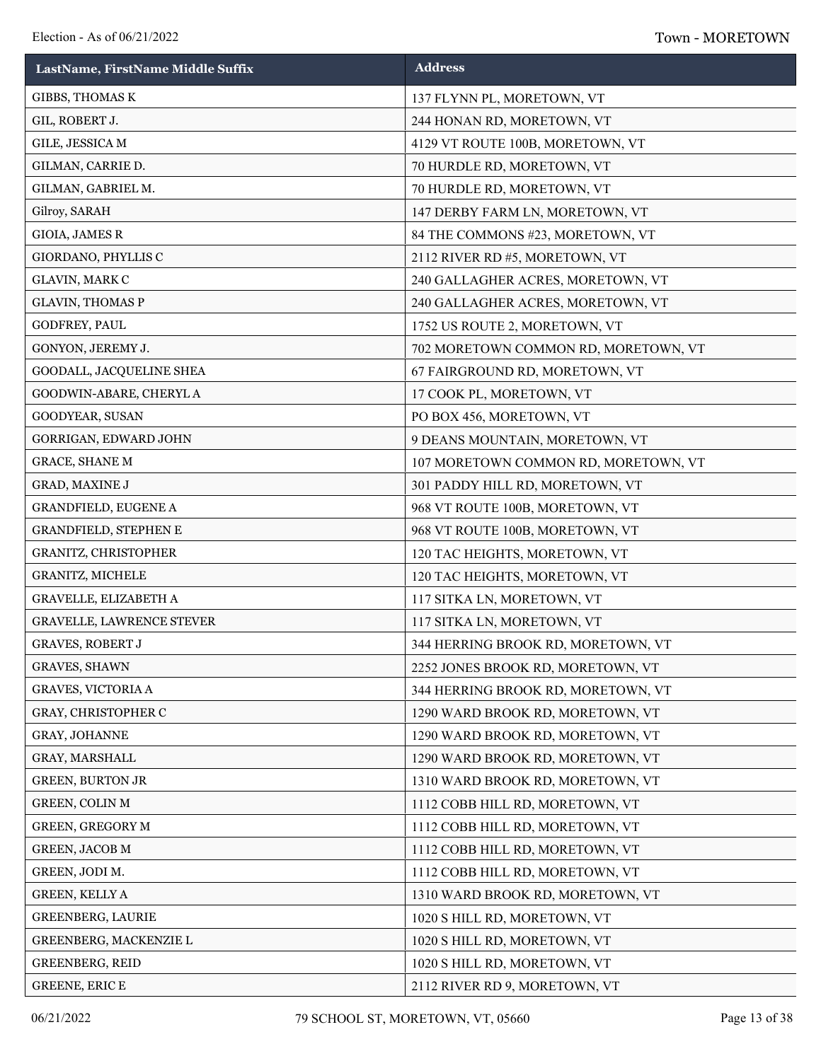| LastName, FirstName Middle Suffix | <b>Address</b>                       |
|-----------------------------------|--------------------------------------|
| GIBBS, THOMAS K                   | 137 FLYNN PL, MORETOWN, VT           |
| GIL, ROBERT J.                    | 244 HONAN RD, MORETOWN, VT           |
| GILE, JESSICA M                   | 4129 VT ROUTE 100B, MORETOWN, VT     |
| GILMAN, CARRIE D.                 | 70 HURDLE RD, MORETOWN, VT           |
| GILMAN, GABRIEL M.                | 70 HURDLE RD, MORETOWN, VT           |
| Gilroy, SARAH                     | 147 DERBY FARM LN, MORETOWN, VT      |
| GIOIA, JAMES R                    | 84 THE COMMONS #23, MORETOWN, VT     |
| GIORDANO, PHYLLIS C               | 2112 RIVER RD #5, MORETOWN, VT       |
| GLAVIN, MARK C                    | 240 GALLAGHER ACRES, MORETOWN, VT    |
| <b>GLAVIN, THOMAS P</b>           | 240 GALLAGHER ACRES, MORETOWN, VT    |
| GODFREY, PAUL                     | 1752 US ROUTE 2, MORETOWN, VT        |
| GONYON, JEREMY J.                 | 702 MORETOWN COMMON RD, MORETOWN, VT |
| GOODALL, JACQUELINE SHEA          | 67 FAIRGROUND RD, MORETOWN, VT       |
| GOODWIN-ABARE, CHERYL A           | 17 COOK PL, MORETOWN, VT             |
| GOODYEAR, SUSAN                   | PO BOX 456, MORETOWN, VT             |
| GORRIGAN, EDWARD JOHN             | 9 DEANS MOUNTAIN, MORETOWN, VT       |
| <b>GRACE, SHANE M</b>             | 107 MORETOWN COMMON RD, MORETOWN, VT |
| GRAD, MAXINE J                    | 301 PADDY HILL RD, MORETOWN, VT      |
| GRANDFIELD, EUGENE A              | 968 VT ROUTE 100B, MORETOWN, VT      |
| GRANDFIELD, STEPHEN E             | 968 VT ROUTE 100B, MORETOWN, VT      |
| GRANITZ, CHRISTOPHER              | 120 TAC HEIGHTS, MORETOWN, VT        |
| GRANITZ, MICHELE                  | 120 TAC HEIGHTS, MORETOWN, VT        |
| <b>GRAVELLE, ELIZABETH A</b>      | 117 SITKA LN, MORETOWN, VT           |
| GRAVELLE, LAWRENCE STEVER         | 117 SITKA LN, MORETOWN, VT           |
| <b>GRAVES, ROBERT J</b>           | 344 HERRING BROOK RD, MORETOWN, VT   |
| <b>GRAVES, SHAWN</b>              | 2252 JONES BROOK RD, MORETOWN, VT    |
| <b>GRAVES, VICTORIA A</b>         | 344 HERRING BROOK RD, MORETOWN, VT   |
| GRAY, CHRISTOPHER C               | 1290 WARD BROOK RD, MORETOWN, VT     |
| GRAY, JOHANNE                     | 1290 WARD BROOK RD, MORETOWN, VT     |
| GRAY, MARSHALL                    | 1290 WARD BROOK RD, MORETOWN, VT     |
| <b>GREEN, BURTON JR</b>           | 1310 WARD BROOK RD, MORETOWN, VT     |
| <b>GREEN, COLIN M</b>             | 1112 COBB HILL RD, MORETOWN, VT      |
| <b>GREEN, GREGORY M</b>           | 1112 COBB HILL RD, MORETOWN, VT      |
| <b>GREEN, JACOB M</b>             | 1112 COBB HILL RD, MORETOWN, VT      |
| GREEN, JODI M.                    | 1112 COBB HILL RD, MORETOWN, VT      |
| GREEN, KELLY A                    | 1310 WARD BROOK RD, MORETOWN, VT     |
| <b>GREENBERG, LAURIE</b>          | 1020 S HILL RD, MORETOWN, VT         |
| GREENBERG, MACKENZIE L            | 1020 S HILL RD, MORETOWN, VT         |
| <b>GREENBERG, REID</b>            | 1020 S HILL RD, MORETOWN, VT         |
| GREENE, ERICE                     | 2112 RIVER RD 9, MORETOWN, VT        |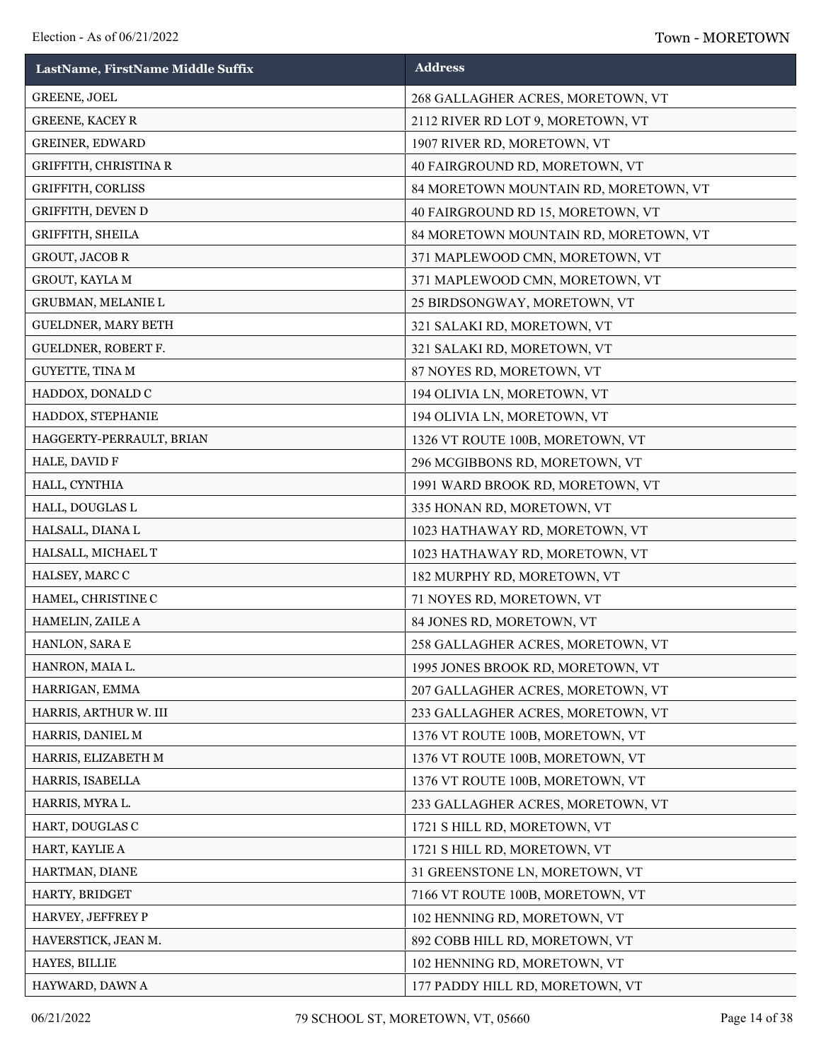| LastName, FirstName Middle Suffix | <b>Address</b>                        |
|-----------------------------------|---------------------------------------|
| <b>GREENE, JOEL</b>               | 268 GALLAGHER ACRES, MORETOWN, VT     |
| <b>GREENE, KACEY R</b>            | 2112 RIVER RD LOT 9, MORETOWN, VT     |
| <b>GREINER, EDWARD</b>            | 1907 RIVER RD, MORETOWN, VT           |
| <b>GRIFFITH, CHRISTINA R</b>      | 40 FAIRGROUND RD, MORETOWN, VT        |
| GRIFFITH, CORLISS                 | 84 MORETOWN MOUNTAIN RD, MORETOWN, VT |
| GRIFFITH, DEVEN D                 | 40 FAIRGROUND RD 15, MORETOWN, VT     |
| GRIFFITH, SHEILA                  | 84 MORETOWN MOUNTAIN RD, MORETOWN, VT |
| <b>GROUT, JACOB R</b>             | 371 MAPLEWOOD CMN, MORETOWN, VT       |
| GROUT, KAYLA M                    | 371 MAPLEWOOD CMN, MORETOWN, VT       |
| GRUBMAN, MELANIE L                | 25 BIRDSONGWAY, MORETOWN, VT          |
| GUELDNER, MARY BETH               | 321 SALAKI RD, MORETOWN, VT           |
| GUELDNER, ROBERT F.               | 321 SALAKI RD, MORETOWN, VT           |
| GUYETTE, TINA M                   | 87 NOYES RD, MORETOWN, VT             |
| HADDOX, DONALD C                  | 194 OLIVIA LN, MORETOWN, VT           |
| HADDOX, STEPHANIE                 | 194 OLIVIA LN, MORETOWN, VT           |
| HAGGERTY-PERRAULT, BRIAN          | 1326 VT ROUTE 100B, MORETOWN, VT      |
| HALE, DAVID F                     | 296 MCGIBBONS RD, MORETOWN, VT        |
| HALL, CYNTHIA                     | 1991 WARD BROOK RD, MORETOWN, VT      |
| HALL, DOUGLAS L                   | 335 HONAN RD, MORETOWN, VT            |
| HALSALL, DIANA L                  | 1023 HATHAWAY RD, MORETOWN, VT        |
| HALSALL, MICHAEL T                | 1023 HATHAWAY RD, MORETOWN, VT        |
| HALSEY, MARC C                    | 182 MURPHY RD, MORETOWN, VT           |
| HAMEL, CHRISTINE C                | 71 NOYES RD, MORETOWN, VT             |
| HAMELIN, ZAILE A                  | 84 JONES RD, MORETOWN, VT             |
| HANLON, SARA E                    | 258 GALLAGHER ACRES, MORETOWN, VT     |
| HANRON, MAIA L.                   | 1995 JONES BROOK RD, MORETOWN, VT     |
| HARRIGAN, EMMA                    | 207 GALLAGHER ACRES, MORETOWN, VT     |
| HARRIS, ARTHUR W. III             | 233 GALLAGHER ACRES, MORETOWN, VT     |
| HARRIS, DANIEL M                  | 1376 VT ROUTE 100B, MORETOWN, VT      |
| HARRIS, ELIZABETH M               | 1376 VT ROUTE 100B, MORETOWN, VT      |
| HARRIS, ISABELLA                  | 1376 VT ROUTE 100B, MORETOWN, VT      |
| HARRIS, MYRA L.                   | 233 GALLAGHER ACRES, MORETOWN, VT     |
| HART, DOUGLAS C                   | 1721 S HILL RD, MORETOWN, VT          |
| HART, KAYLIE A                    | 1721 S HILL RD, MORETOWN, VT          |
| HARTMAN, DIANE                    | 31 GREENSTONE LN, MORETOWN, VT        |
| HARTY, BRIDGET                    | 7166 VT ROUTE 100B, MORETOWN, VT      |
| HARVEY, JEFFREY P                 | 102 HENNING RD, MORETOWN, VT          |
| HAVERSTICK, JEAN M.               | 892 COBB HILL RD, MORETOWN, VT        |
| HAYES, BILLIE                     | 102 HENNING RD, MORETOWN, VT          |
| HAYWARD, DAWN A                   | 177 PADDY HILL RD, MORETOWN, VT       |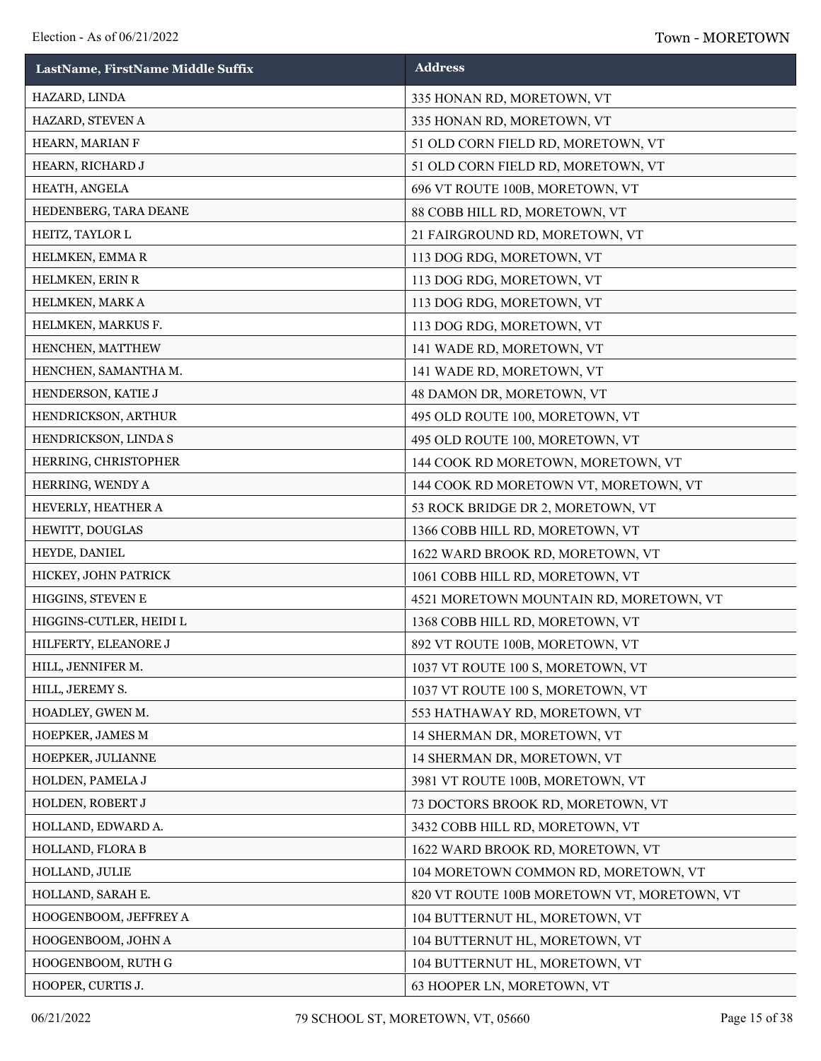| LastName, FirstName Middle Suffix | <b>Address</b>                              |
|-----------------------------------|---------------------------------------------|
| HAZARD, LINDA                     | 335 HONAN RD, MORETOWN, VT                  |
| HAZARD, STEVEN A                  | 335 HONAN RD, MORETOWN, VT                  |
| HEARN, MARIAN F                   | 51 OLD CORN FIELD RD, MORETOWN, VT          |
| HEARN, RICHARD J                  | 51 OLD CORN FIELD RD, MORETOWN, VT          |
| HEATH, ANGELA                     | 696 VT ROUTE 100B, MORETOWN, VT             |
| HEDENBERG, TARA DEANE             | 88 COBB HILL RD, MORETOWN, VT               |
| HEITZ, TAYLOR L                   | 21 FAIRGROUND RD, MORETOWN, VT              |
| HELMKEN, EMMAR                    | 113 DOG RDG, MORETOWN, VT                   |
| HELMKEN, ERIN R                   | 113 DOG RDG, MORETOWN, VT                   |
| HELMKEN, MARK A                   | 113 DOG RDG, MORETOWN, VT                   |
| HELMKEN, MARKUS F.                | 113 DOG RDG, MORETOWN, VT                   |
| HENCHEN, MATTHEW                  | 141 WADE RD, MORETOWN, VT                   |
| HENCHEN, SAMANTHA M.              | 141 WADE RD, MORETOWN, VT                   |
| HENDERSON, KATIE J                | 48 DAMON DR, MORETOWN, VT                   |
| HENDRICKSON, ARTHUR               | 495 OLD ROUTE 100, MORETOWN, VT             |
| HENDRICKSON, LINDA S              | 495 OLD ROUTE 100, MORETOWN, VT             |
| HERRING, CHRISTOPHER              | 144 COOK RD MORETOWN, MORETOWN, VT          |
| HERRING, WENDY A                  | 144 COOK RD MORETOWN VT, MORETOWN, VT       |
| HEVERLY, HEATHER A                | 53 ROCK BRIDGE DR 2, MORETOWN, VT           |
| HEWITT, DOUGLAS                   | 1366 COBB HILL RD, MORETOWN, VT             |
| HEYDE, DANIEL                     | 1622 WARD BROOK RD, MORETOWN, VT            |
| HICKEY, JOHN PATRICK              | 1061 COBB HILL RD, MORETOWN, VT             |
| HIGGINS, STEVEN E                 | 4521 MORETOWN MOUNTAIN RD, MORETOWN, VT     |
| HIGGINS-CUTLER, HEIDI L           | 1368 COBB HILL RD, MORETOWN, VT             |
| HILFERTY, ELEANORE J              | 892 VT ROUTE 100B, MORETOWN, VT             |
| HILL, JENNIFER M.                 | 1037 VT ROUTE 100 S, MORETOWN, VT           |
| HILL, JEREMY S.                   | 1037 VT ROUTE 100 S, MORETOWN, VT           |
| HOADLEY, GWEN M.                  | 553 HATHAWAY RD, MORETOWN, VT               |
| HOEPKER, JAMES M                  | 14 SHERMAN DR, MORETOWN, VT                 |
| HOEPKER, JULIANNE                 | 14 SHERMAN DR, MORETOWN, VT                 |
| HOLDEN, PAMELA J                  | 3981 VT ROUTE 100B, MORETOWN, VT            |
| HOLDEN, ROBERT J                  | 73 DOCTORS BROOK RD, MORETOWN, VT           |
| HOLLAND, EDWARD A.                | 3432 COBB HILL RD, MORETOWN, VT             |
| HOLLAND, FLORA B                  | 1622 WARD BROOK RD, MORETOWN, VT            |
| HOLLAND, JULIE                    | 104 MORETOWN COMMON RD, MORETOWN, VT        |
| HOLLAND, SARAH E.                 | 820 VT ROUTE 100B MORETOWN VT, MORETOWN, VT |
| HOOGENBOOM, JEFFREY A             | 104 BUTTERNUT HL, MORETOWN, VT              |
| HOOGENBOOM, JOHN A                | 104 BUTTERNUT HL, MORETOWN, VT              |
| HOOGENBOOM, RUTH G                | 104 BUTTERNUT HL, MORETOWN, VT              |
| HOOPER, CURTIS J.                 | 63 HOOPER LN, MORETOWN, VT                  |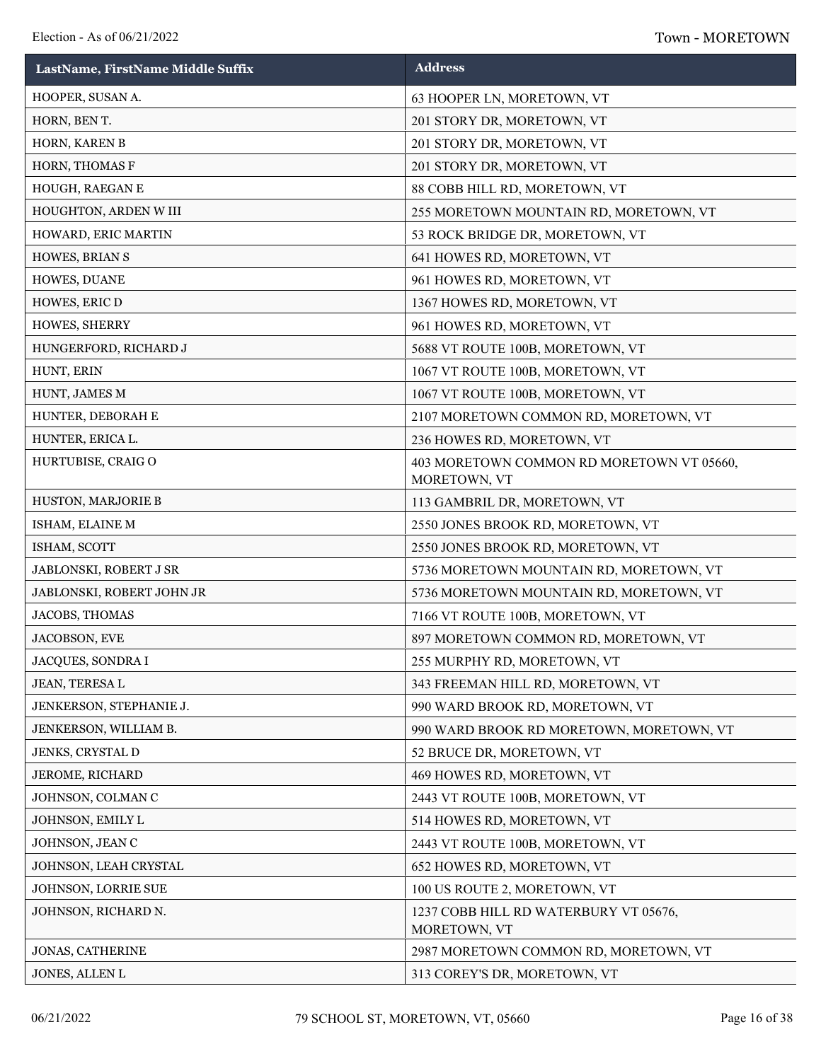| LastName, FirstName Middle Suffix | <b>Address</b>                                            |
|-----------------------------------|-----------------------------------------------------------|
| HOOPER, SUSAN A.                  | 63 HOOPER LN, MORETOWN, VT                                |
| HORN, BEN T.                      | 201 STORY DR, MORETOWN, VT                                |
| HORN, KAREN B                     | 201 STORY DR, MORETOWN, VT                                |
| HORN, THOMAS F                    | 201 STORY DR, MORETOWN, VT                                |
| HOUGH, RAEGAN E                   | 88 COBB HILL RD, MORETOWN, VT                             |
| HOUGHTON, ARDEN W III             | 255 MORETOWN MOUNTAIN RD, MORETOWN, VT                    |
| HOWARD, ERIC MARTIN               | 53 ROCK BRIDGE DR, MORETOWN, VT                           |
| HOWES, BRIAN S                    | 641 HOWES RD, MORETOWN, VT                                |
| HOWES, DUANE                      | 961 HOWES RD, MORETOWN, VT                                |
| HOWES, ERIC D                     | 1367 HOWES RD, MORETOWN, VT                               |
| HOWES, SHERRY                     | 961 HOWES RD, MORETOWN, VT                                |
| HUNGERFORD, RICHARD J             | 5688 VT ROUTE 100B, MORETOWN, VT                          |
| HUNT, ERIN                        | 1067 VT ROUTE 100B, MORETOWN, VT                          |
| HUNT, JAMES M                     | 1067 VT ROUTE 100B, MORETOWN, VT                          |
| HUNTER, DEBORAH E                 | 2107 MORETOWN COMMON RD, MORETOWN, VT                     |
| HUNTER, ERICA L.                  | 236 HOWES RD, MORETOWN, VT                                |
| HURTUBISE, CRAIGO                 | 403 MORETOWN COMMON RD MORETOWN VT 05660,<br>MORETOWN, VT |
| HUSTON, MARJORIE B                | 113 GAMBRIL DR, MORETOWN, VT                              |
| ISHAM, ELAINE M                   | 2550 JONES BROOK RD, MORETOWN, VT                         |
| ISHAM, SCOTT                      | 2550 JONES BROOK RD, MORETOWN, VT                         |
| JABLONSKI, ROBERT J SR            | 5736 MORETOWN MOUNTAIN RD, MORETOWN, VT                   |
| JABLONSKI, ROBERT JOHN JR         | 5736 MORETOWN MOUNTAIN RD, MORETOWN, VT                   |
| JACOBS, THOMAS                    | 7166 VT ROUTE 100B, MORETOWN, VT                          |
| JACOBSON, EVE                     | 897 MORETOWN COMMON RD, MORETOWN, VT                      |
| JACQUES, SONDRA I                 | 255 MURPHY RD, MORETOWN, VT                               |
| JEAN, TERESA L                    | 343 FREEMAN HILL RD, MORETOWN, VT                         |
| JENKERSON, STEPHANIE J.           | 990 WARD BROOK RD, MORETOWN, VT                           |
| JENKERSON, WILLIAM B.             | 990 WARD BROOK RD MORETOWN, MORETOWN, VT                  |
| JENKS, CRYSTAL D                  | 52 BRUCE DR, MORETOWN, VT                                 |
| <b>JEROME, RICHARD</b>            | 469 HOWES RD, MORETOWN, VT                                |
| JOHNSON, COLMAN C                 | 2443 VT ROUTE 100B, MORETOWN, VT                          |
| JOHNSON, EMILY L                  | 514 HOWES RD, MORETOWN, VT                                |
| JOHNSON, JEAN C                   | 2443 VT ROUTE 100B, MORETOWN, VT                          |
| JOHNSON, LEAH CRYSTAL             | 652 HOWES RD, MORETOWN, VT                                |
| JOHNSON, LORRIE SUE               | 100 US ROUTE 2, MORETOWN, VT                              |
| JOHNSON, RICHARD N.               | 1237 COBB HILL RD WATERBURY VT 05676,<br>MORETOWN, VT     |
| <b>JONAS, CATHERINE</b>           | 2987 MORETOWN COMMON RD, MORETOWN, VT                     |
| JONES, ALLEN L                    | 313 COREY'S DR, MORETOWN, VT                              |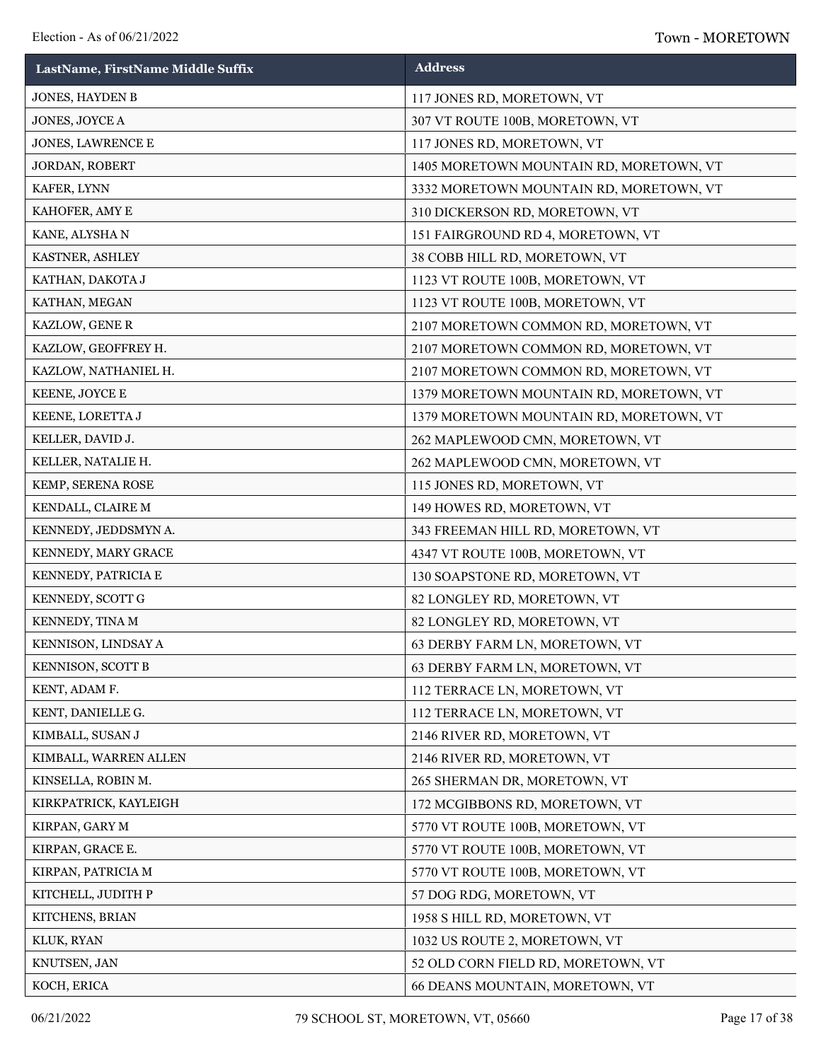| LastName, FirstName Middle Suffix | <b>Address</b>                          |
|-----------------------------------|-----------------------------------------|
| JONES, HAYDEN B                   | 117 JONES RD, MORETOWN, VT              |
| JONES, JOYCE A                    | 307 VT ROUTE 100B, MORETOWN, VT         |
| JONES, LAWRENCE E                 | 117 JONES RD, MORETOWN, VT              |
| JORDAN, ROBERT                    | 1405 MORETOWN MOUNTAIN RD, MORETOWN, VT |
| KAFER, LYNN                       | 3332 MORETOWN MOUNTAIN RD, MORETOWN, VT |
| KAHOFER, AMY E                    | 310 DICKERSON RD, MORETOWN, VT          |
| KANE, ALYSHA N                    | 151 FAIRGROUND RD 4, MORETOWN, VT       |
| KASTNER, ASHLEY                   | 38 COBB HILL RD, MORETOWN, VT           |
| KATHAN, DAKOTA J                  | 1123 VT ROUTE 100B, MORETOWN, VT        |
| KATHAN, MEGAN                     | 1123 VT ROUTE 100B, MORETOWN, VT        |
| KAZLOW, GENE R                    | 2107 MORETOWN COMMON RD, MORETOWN, VT   |
| KAZLOW, GEOFFREY H.               | 2107 MORETOWN COMMON RD, MORETOWN, VT   |
| KAZLOW, NATHANIEL H.              | 2107 MORETOWN COMMON RD, MORETOWN, VT   |
| KEENE, JOYCE E                    | 1379 MORETOWN MOUNTAIN RD, MORETOWN, VT |
| KEENE, LORETTA J                  | 1379 MORETOWN MOUNTAIN RD, MORETOWN, VT |
| KELLER, DAVID J.                  | 262 MAPLEWOOD CMN, MORETOWN, VT         |
| KELLER, NATALIE H.                | 262 MAPLEWOOD CMN, MORETOWN, VT         |
| KEMP, SERENA ROSE                 | 115 JONES RD, MORETOWN, VT              |
| KENDALL, CLAIRE M                 | 149 HOWES RD, MORETOWN, VT              |
| KENNEDY, JEDDSMYN A.              | 343 FREEMAN HILL RD, MORETOWN, VT       |
| KENNEDY, MARY GRACE               | 4347 VT ROUTE 100B, MORETOWN, VT        |
| KENNEDY, PATRICIA E               | 130 SOAPSTONE RD, MORETOWN, VT          |
| KENNEDY, SCOTT G                  | 82 LONGLEY RD, MORETOWN, VT             |
| KENNEDY, TINA M                   | 82 LONGLEY RD, MORETOWN, VT             |
| KENNISON, LINDSAY A               | 63 DERBY FARM LN, MORETOWN, VT          |
| KENNISON, SCOTT B                 | 63 DERBY FARM LN, MORETOWN, VT          |
| KENT, ADAM F.                     | 112 TERRACE LN, MORETOWN, VT            |
| KENT, DANIELLE G.                 | 112 TERRACE LN, MORETOWN, VT            |
| KIMBALL, SUSAN J                  | 2146 RIVER RD, MORETOWN, VT             |
| KIMBALL, WARREN ALLEN             | 2146 RIVER RD, MORETOWN, VT             |
| KINSELLA, ROBIN M.                | 265 SHERMAN DR, MORETOWN, VT            |
| KIRKPATRICK, KAYLEIGH             | 172 MCGIBBONS RD, MORETOWN, VT          |
| KIRPAN, GARY M                    | 5770 VT ROUTE 100B, MORETOWN, VT        |
| KIRPAN, GRACE E.                  | 5770 VT ROUTE 100B, MORETOWN, VT        |
| KIRPAN, PATRICIA M                | 5770 VT ROUTE 100B, MORETOWN, VT        |
| KITCHELL, JUDITH P                | 57 DOG RDG, MORETOWN, VT                |
| KITCHENS, BRIAN                   | 1958 S HILL RD, MORETOWN, VT            |
| KLUK, RYAN                        | 1032 US ROUTE 2, MORETOWN, VT           |
| KNUTSEN, JAN                      | 52 OLD CORN FIELD RD, MORETOWN, VT      |
| KOCH, ERICA                       | 66 DEANS MOUNTAIN, MORETOWN, VT         |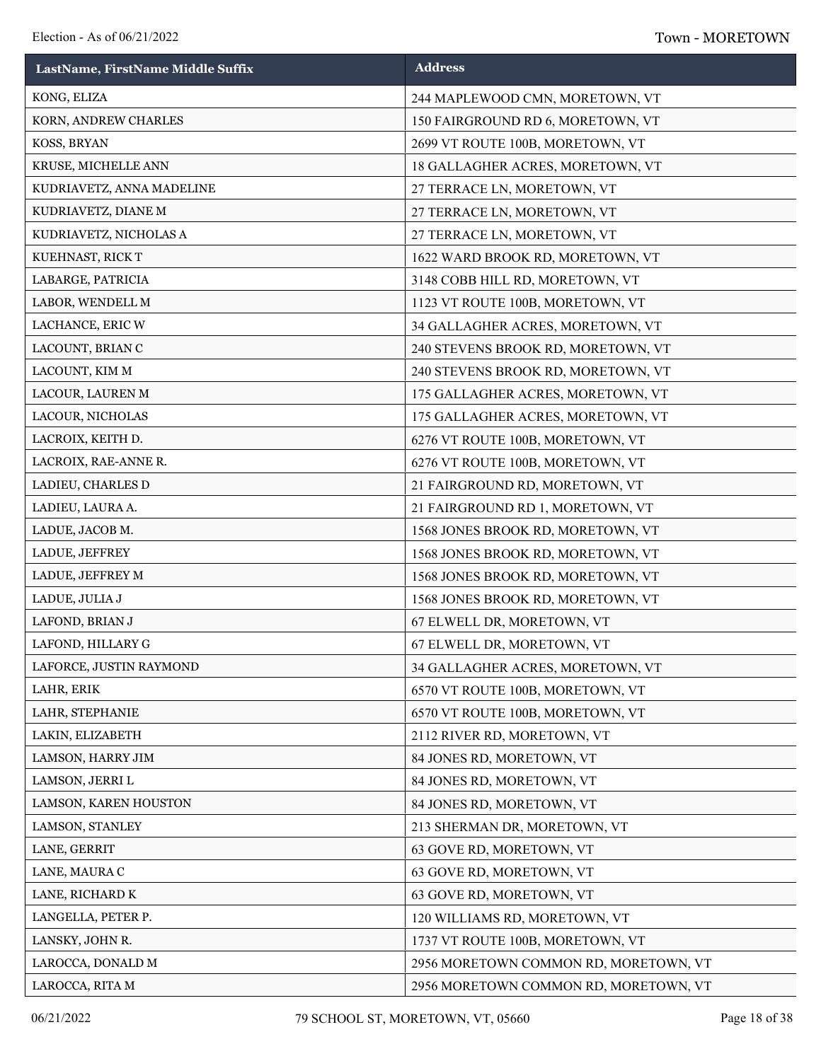| LastName, FirstName Middle Suffix | <b>Address</b>                        |
|-----------------------------------|---------------------------------------|
| KONG, ELIZA                       | 244 MAPLEWOOD CMN, MORETOWN, VT       |
| KORN, ANDREW CHARLES              | 150 FAIRGROUND RD 6, MORETOWN, VT     |
| KOSS, BRYAN                       | 2699 VT ROUTE 100B, MORETOWN, VT      |
| KRUSE, MICHELLE ANN               | 18 GALLAGHER ACRES, MORETOWN, VT      |
| KUDRIAVETZ, ANNA MADELINE         | 27 TERRACE LN, MORETOWN, VT           |
| KUDRIAVETZ, DIANE M               | 27 TERRACE LN, MORETOWN, VT           |
| KUDRIAVETZ, NICHOLAS A            | 27 TERRACE LN, MORETOWN, VT           |
| KUEHNAST, RICK T                  | 1622 WARD BROOK RD, MORETOWN, VT      |
| LABARGE, PATRICIA                 | 3148 COBB HILL RD, MORETOWN, VT       |
| LABOR, WENDELL M                  | 1123 VT ROUTE 100B, MORETOWN, VT      |
| LACHANCE, ERIC W                  | 34 GALLAGHER ACRES, MORETOWN, VT      |
| LACOUNT, BRIAN C                  | 240 STEVENS BROOK RD, MORETOWN, VT    |
| LACOUNT, KIM M                    | 240 STEVENS BROOK RD, MORETOWN, VT    |
| LACOUR, LAUREN M                  | 175 GALLAGHER ACRES, MORETOWN, VT     |
| LACOUR, NICHOLAS                  | 175 GALLAGHER ACRES, MORETOWN, VT     |
| LACROIX, KEITH D.                 | 6276 VT ROUTE 100B, MORETOWN, VT      |
| LACROIX, RAE-ANNE R.              | 6276 VT ROUTE 100B, MORETOWN, VT      |
| LADIEU, CHARLES D                 | 21 FAIRGROUND RD, MORETOWN, VT        |
| LADIEU, LAURA A.                  | 21 FAIRGROUND RD 1, MORETOWN, VT      |
| LADUE, JACOB M.                   | 1568 JONES BROOK RD, MORETOWN, VT     |
| LADUE, JEFFREY                    | 1568 JONES BROOK RD, MORETOWN, VT     |
| LADUE, JEFFREY M                  | 1568 JONES BROOK RD, MORETOWN, VT     |
| LADUE, JULIA J                    | 1568 JONES BROOK RD, MORETOWN, VT     |
| LAFOND, BRIAN J                   | 67 ELWELL DR, MORETOWN, VT            |
| LAFOND, HILLARY G                 | 67 ELWELL DR, MORETOWN, VT            |
| LAFORCE, JUSTIN RAYMOND           | 34 GALLAGHER ACRES, MORETOWN, VT      |
| LAHR, ERIK                        | 6570 VT ROUTE 100B, MORETOWN, VT      |
| LAHR, STEPHANIE                   | 6570 VT ROUTE 100B, MORETOWN, VT      |
| LAKIN, ELIZABETH                  | 2112 RIVER RD, MORETOWN, VT           |
| LAMSON, HARRY JIM                 | 84 JONES RD, MORETOWN, VT             |
| LAMSON, JERRI L                   | 84 JONES RD, MORETOWN, VT             |
| LAMSON, KAREN HOUSTON             | 84 JONES RD, MORETOWN, VT             |
| LAMSON, STANLEY                   | 213 SHERMAN DR, MORETOWN, VT          |
| LANE, GERRIT                      | 63 GOVE RD, MORETOWN, VT              |
| LANE, MAURA C                     | 63 GOVE RD, MORETOWN, VT              |
| LANE, RICHARD K                   | 63 GOVE RD, MORETOWN, VT              |
| LANGELLA, PETER P.                | 120 WILLIAMS RD, MORETOWN, VT         |
| LANSKY, JOHN R.                   | 1737 VT ROUTE 100B, MORETOWN, VT      |
| LAROCCA, DONALD M                 | 2956 MORETOWN COMMON RD, MORETOWN, VT |
| LAROCCA, RITA M                   | 2956 MORETOWN COMMON RD, MORETOWN, VT |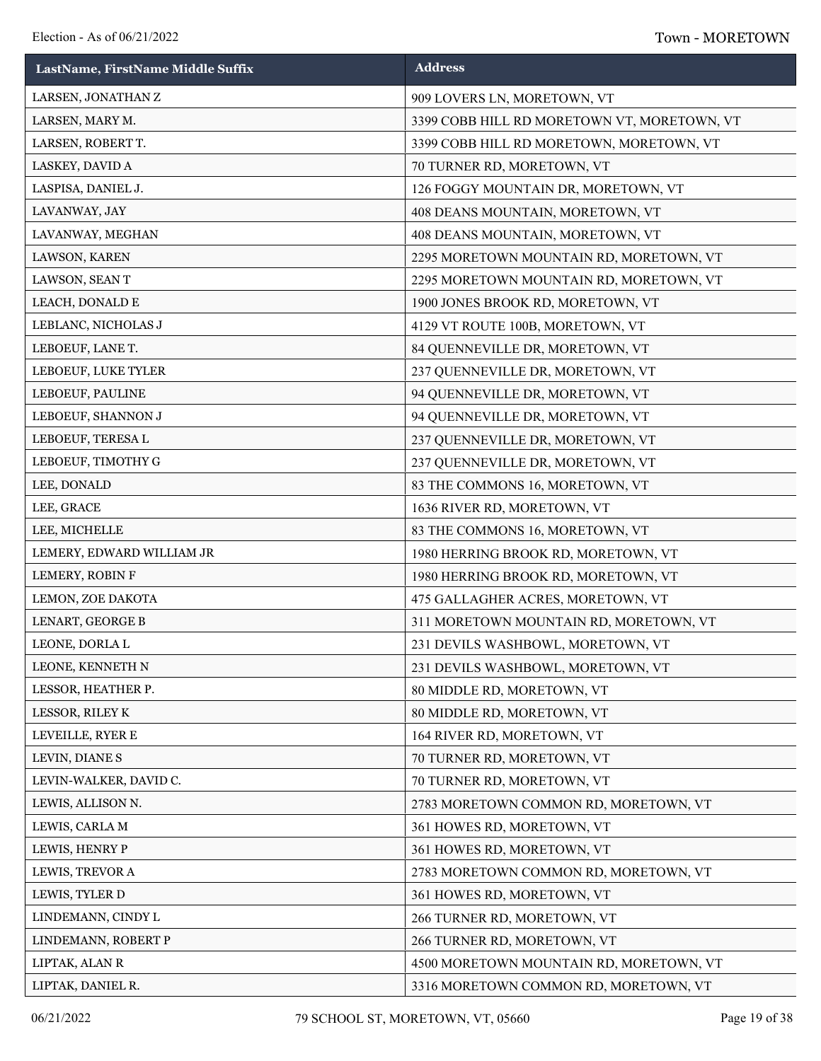| LastName, FirstName Middle Suffix | <b>Address</b>                              |
|-----------------------------------|---------------------------------------------|
| LARSEN, JONATHAN Z                | 909 LOVERS LN, MORETOWN, VT                 |
| LARSEN, MARY M.                   | 3399 COBB HILL RD MORETOWN VT, MORETOWN, VT |
| LARSEN, ROBERT T.                 | 3399 COBB HILL RD MORETOWN, MORETOWN, VT    |
| LASKEY, DAVID A                   | 70 TURNER RD, MORETOWN, VT                  |
| LASPISA, DANIEL J.                | 126 FOGGY MOUNTAIN DR, MORETOWN, VT         |
| LAVANWAY, JAY                     | 408 DEANS MOUNTAIN, MORETOWN, VT            |
| LAVANWAY, MEGHAN                  | 408 DEANS MOUNTAIN, MORETOWN, VT            |
| LAWSON, KAREN                     | 2295 MORETOWN MOUNTAIN RD, MORETOWN, VT     |
| LAWSON, SEAN T                    | 2295 MORETOWN MOUNTAIN RD, MORETOWN, VT     |
| LEACH, DONALD E                   | 1900 JONES BROOK RD, MORETOWN, VT           |
| LEBLANC, NICHOLAS J               | 4129 VT ROUTE 100B, MORETOWN, VT            |
| LEBOEUF, LANE T.                  | 84 QUENNEVILLE DR, MORETOWN, VT             |
| LEBOEUF, LUKE TYLER               | 237 QUENNEVILLE DR, MORETOWN, VT            |
| LEBOEUF, PAULINE                  | 94 QUENNEVILLE DR, MORETOWN, VT             |
| LEBOEUF, SHANNON J                | 94 QUENNEVILLE DR, MORETOWN, VT             |
| LEBOEUF, TERESA L                 | 237 QUENNEVILLE DR, MORETOWN, VT            |
| LEBOEUF, TIMOTHY G                | 237 QUENNEVILLE DR, MORETOWN, VT            |
| LEE, DONALD                       | 83 THE COMMONS 16, MORETOWN, VT             |
| LEE, GRACE                        | 1636 RIVER RD, MORETOWN, VT                 |
| LEE, MICHELLE                     | 83 THE COMMONS 16, MORETOWN, VT             |
| LEMERY, EDWARD WILLIAM JR         | 1980 HERRING BROOK RD, MORETOWN, VT         |
| LEMERY, ROBIN F                   | 1980 HERRING BROOK RD, MORETOWN, VT         |
| LEMON, ZOE DAKOTA                 | 475 GALLAGHER ACRES, MORETOWN, VT           |
| LENART, GEORGE B                  | 311 MORETOWN MOUNTAIN RD, MORETOWN, VT      |
| LEONE, DORLA L                    | 231 DEVILS WASHBOWL, MORETOWN, VT           |
| LEONE, KENNETH N                  | 231 DEVILS WASHBOWL, MORETOWN, VT           |
| LESSOR, HEATHER P.                | 80 MIDDLE RD, MORETOWN, VT                  |
| LESSOR, RILEY K                   | 80 MIDDLE RD, MORETOWN, VT                  |
| LEVEILLE, RYER E                  | 164 RIVER RD, MORETOWN, VT                  |
| LEVIN, DIANE S                    | 70 TURNER RD, MORETOWN, VT                  |
| LEVIN-WALKER, DAVID C.            | 70 TURNER RD, MORETOWN, VT                  |
| LEWIS, ALLISON N.                 | 2783 MORETOWN COMMON RD, MORETOWN, VT       |
| LEWIS, CARLA M                    | 361 HOWES RD, MORETOWN, VT                  |
| LEWIS, HENRY P                    | 361 HOWES RD, MORETOWN, VT                  |
| LEWIS, TREVOR A                   | 2783 MORETOWN COMMON RD, MORETOWN, VT       |
| LEWIS, TYLER D                    | 361 HOWES RD, MORETOWN, VT                  |
| LINDEMANN, CINDY L                | 266 TURNER RD, MORETOWN, VT                 |
| LINDEMANN, ROBERT P               | 266 TURNER RD, MORETOWN, VT                 |
| LIPTAK, ALAN R                    | 4500 MORETOWN MOUNTAIN RD, MORETOWN, VT     |
| LIPTAK, DANIEL R.                 | 3316 MORETOWN COMMON RD, MORETOWN, VT       |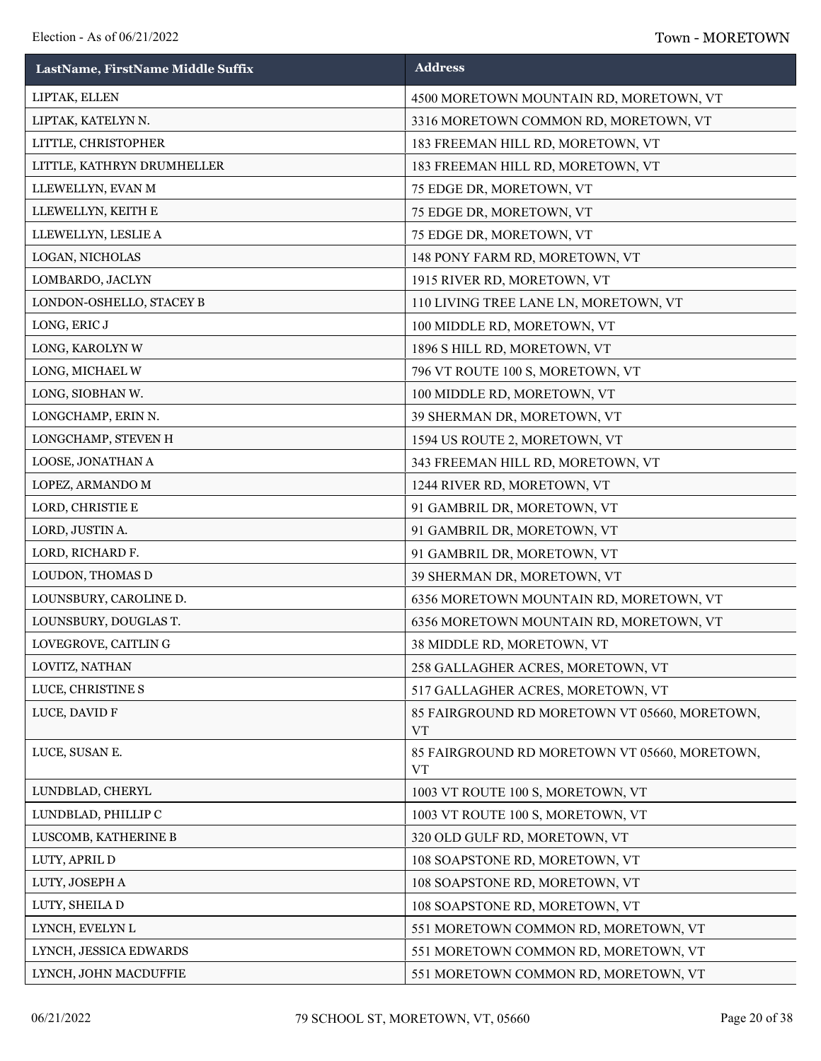| LastName, FirstName Middle Suffix | <b>Address</b>                                             |
|-----------------------------------|------------------------------------------------------------|
| LIPTAK, ELLEN                     | 4500 MORETOWN MOUNTAIN RD, MORETOWN, VT                    |
| LIPTAK, KATELYN N.                | 3316 MORETOWN COMMON RD, MORETOWN, VT                      |
| LITTLE, CHRISTOPHER               | 183 FREEMAN HILL RD, MORETOWN, VT                          |
| LITTLE, KATHRYN DRUMHELLER        | 183 FREEMAN HILL RD, MORETOWN, VT                          |
| LLEWELLYN, EVAN M                 | 75 EDGE DR, MORETOWN, VT                                   |
| LLEWELLYN, KEITH E                | 75 EDGE DR, MORETOWN, VT                                   |
| LLEWELLYN, LESLIE A               | 75 EDGE DR, MORETOWN, VT                                   |
| LOGAN, NICHOLAS                   | 148 PONY FARM RD, MORETOWN, VT                             |
| LOMBARDO, JACLYN                  | 1915 RIVER RD, MORETOWN, VT                                |
| LONDON-OSHELLO, STACEY B          | 110 LIVING TREE LANE LN, MORETOWN, VT                      |
| LONG, ERIC J                      | 100 MIDDLE RD, MORETOWN, VT                                |
| LONG, KAROLYN W                   | 1896 S HILL RD, MORETOWN, VT                               |
| LONG, MICHAEL W                   | 796 VT ROUTE 100 S, MORETOWN, VT                           |
| LONG, SIOBHAN W.                  | 100 MIDDLE RD, MORETOWN, VT                                |
| LONGCHAMP, ERIN N.                | 39 SHERMAN DR, MORETOWN, VT                                |
| LONGCHAMP, STEVEN H               | 1594 US ROUTE 2, MORETOWN, VT                              |
| LOOSE, JONATHAN A                 | 343 FREEMAN HILL RD, MORETOWN, VT                          |
| LOPEZ, ARMANDO M                  | 1244 RIVER RD, MORETOWN, VT                                |
| LORD, CHRISTIE E                  | 91 GAMBRIL DR, MORETOWN, VT                                |
| LORD, JUSTIN A.                   | 91 GAMBRIL DR, MORETOWN, VT                                |
| LORD, RICHARD F.                  | 91 GAMBRIL DR, MORETOWN, VT                                |
| LOUDON, THOMAS D                  | 39 SHERMAN DR, MORETOWN, VT                                |
| LOUNSBURY, CAROLINE D.            | 6356 MORETOWN MOUNTAIN RD, MORETOWN, VT                    |
| LOUNSBURY, DOUGLAS T.             | 6356 MORETOWN MOUNTAIN RD, MORETOWN, VT                    |
| LOVEGROVE, CAITLING               | 38 MIDDLE RD, MORETOWN, VT                                 |
| LOVITZ, NATHAN                    | 258 GALLAGHER ACRES, MORETOWN, VT                          |
| LUCE, CHRISTINE S                 | 517 GALLAGHER ACRES, MORETOWN, VT                          |
| LUCE, DAVID F                     | 85 FAIRGROUND RD MORETOWN VT 05660, MORETOWN,<br><b>VT</b> |
| LUCE, SUSAN E.                    | 85 FAIRGROUND RD MORETOWN VT 05660, MORETOWN,<br><b>VT</b> |
| LUNDBLAD, CHERYL                  | 1003 VT ROUTE 100 S, MORETOWN, VT                          |
| LUNDBLAD, PHILLIP C               | 1003 VT ROUTE 100 S, MORETOWN, VT                          |
| LUSCOMB, KATHERINE B              | 320 OLD GULF RD, MORETOWN, VT                              |
| LUTY, APRIL D                     | 108 SOAPSTONE RD, MORETOWN, VT                             |
| LUTY, JOSEPH A                    | 108 SOAPSTONE RD, MORETOWN, VT                             |
| LUTY, SHEILA D                    | 108 SOAPSTONE RD, MORETOWN, VT                             |
| LYNCH, EVELYN L                   | 551 MORETOWN COMMON RD, MORETOWN, VT                       |
| LYNCH, JESSICA EDWARDS            | 551 MORETOWN COMMON RD, MORETOWN, VT                       |
| LYNCH, JOHN MACDUFFIE             | 551 MORETOWN COMMON RD, MORETOWN, VT                       |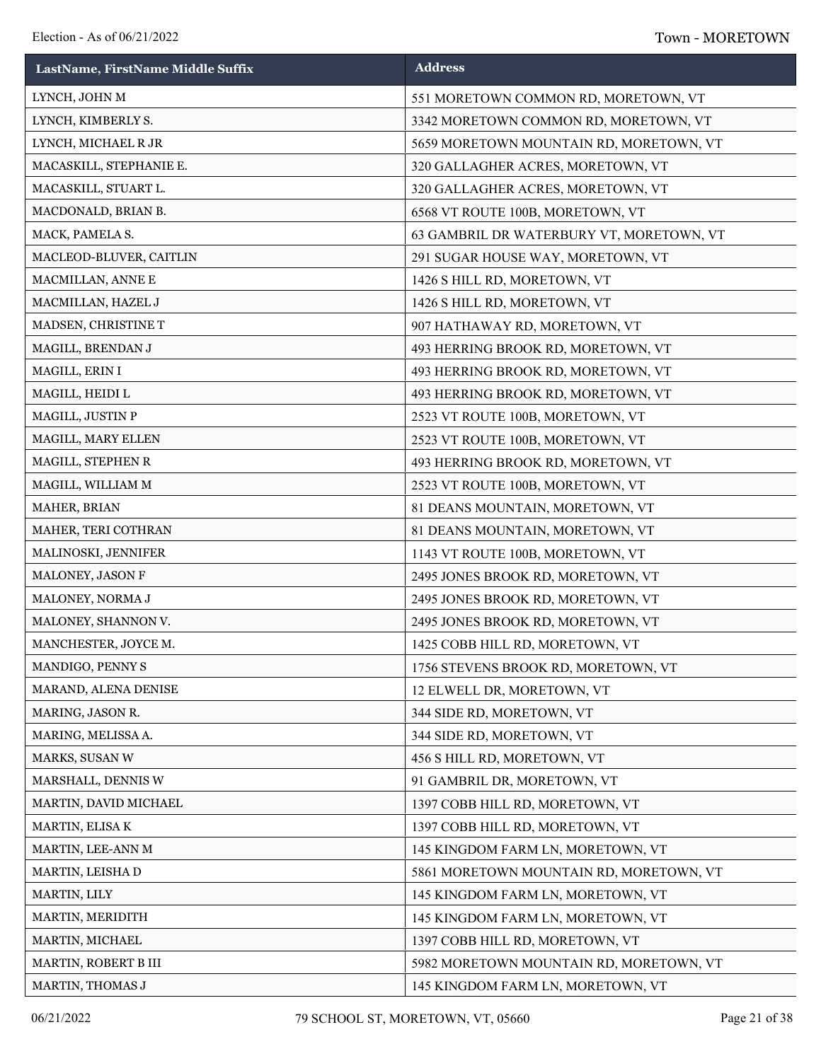| LastName, FirstName Middle Suffix | <b>Address</b>                           |
|-----------------------------------|------------------------------------------|
| LYNCH, JOHN M                     | 551 MORETOWN COMMON RD, MORETOWN, VT     |
| LYNCH, KIMBERLY S.                | 3342 MORETOWN COMMON RD, MORETOWN, VT    |
| LYNCH, MICHAEL R JR               | 5659 MORETOWN MOUNTAIN RD, MORETOWN, VT  |
| MACASKILL, STEPHANIE E.           | 320 GALLAGHER ACRES, MORETOWN, VT        |
| MACASKILL, STUART L.              | 320 GALLAGHER ACRES, MORETOWN, VT        |
| MACDONALD, BRIAN B.               | 6568 VT ROUTE 100B, MORETOWN, VT         |
| MACK, PAMELA S.                   | 63 GAMBRIL DR WATERBURY VT, MORETOWN, VT |
| MACLEOD-BLUVER, CAITLIN           | 291 SUGAR HOUSE WAY, MORETOWN, VT        |
| MACMILLAN, ANNE E                 | 1426 S HILL RD, MORETOWN, VT             |
| MACMILLAN, HAZEL J                | 1426 S HILL RD, MORETOWN, VT             |
| MADSEN, CHRISTINE T               | 907 HATHAWAY RD, MORETOWN, VT            |
| MAGILL, BRENDAN J                 | 493 HERRING BROOK RD, MORETOWN, VT       |
| MAGILL, ERIN I                    | 493 HERRING BROOK RD, MORETOWN, VT       |
| MAGILL, HEIDI L                   | 493 HERRING BROOK RD, MORETOWN, VT       |
| MAGILL, JUSTIN P                  | 2523 VT ROUTE 100B, MORETOWN, VT         |
| MAGILL, MARY ELLEN                | 2523 VT ROUTE 100B, MORETOWN, VT         |
| MAGILL, STEPHEN R                 | 493 HERRING BROOK RD, MORETOWN, VT       |
| MAGILL, WILLIAM M                 | 2523 VT ROUTE 100B, MORETOWN, VT         |
| MAHER, BRIAN                      | 81 DEANS MOUNTAIN, MORETOWN, VT          |
| MAHER, TERI COTHRAN               | 81 DEANS MOUNTAIN, MORETOWN, VT          |
| MALINOSKI, JENNIFER               | 1143 VT ROUTE 100B, MORETOWN, VT         |
| MALONEY, JASON F                  | 2495 JONES BROOK RD, MORETOWN, VT        |
| MALONEY, NORMA J                  | 2495 JONES BROOK RD, MORETOWN, VT        |
| MALONEY, SHANNON V.               | 2495 JONES BROOK RD, MORETOWN, VT        |
| MANCHESTER, JOYCE M.              | 1425 COBB HILL RD, MORETOWN, VT          |
| MANDIGO, PENNY S                  | 1756 STEVENS BROOK RD, MORETOWN, VT      |
| MARAND, ALENA DENISE              | 12 ELWELL DR, MORETOWN, VT               |
| MARING, JASON R.                  | 344 SIDE RD, MORETOWN, VT                |
| MARING, MELISSA A.                | 344 SIDE RD, MORETOWN, VT                |
| MARKS, SUSAN W                    | 456 S HILL RD, MORETOWN, VT              |
| MARSHALL, DENNIS W                | 91 GAMBRIL DR, MORETOWN, VT              |
| MARTIN, DAVID MICHAEL             | 1397 COBB HILL RD, MORETOWN, VT          |
| MARTIN, ELISA K                   | 1397 COBB HILL RD, MORETOWN, VT          |
| MARTIN, LEE-ANN M                 | 145 KINGDOM FARM LN, MORETOWN, VT        |
| MARTIN, LEISHA D                  | 5861 MORETOWN MOUNTAIN RD, MORETOWN, VT  |
| MARTIN, LILY                      | 145 KINGDOM FARM LN, MORETOWN, VT        |
| MARTIN, MERIDITH                  | 145 KINGDOM FARM LN, MORETOWN, VT        |
| MARTIN, MICHAEL                   | 1397 COBB HILL RD, MORETOWN, VT          |
| MARTIN, ROBERT B III              | 5982 MORETOWN MOUNTAIN RD, MORETOWN, VT  |
| MARTIN, THOMAS J                  | 145 KINGDOM FARM LN, MORETOWN, VT        |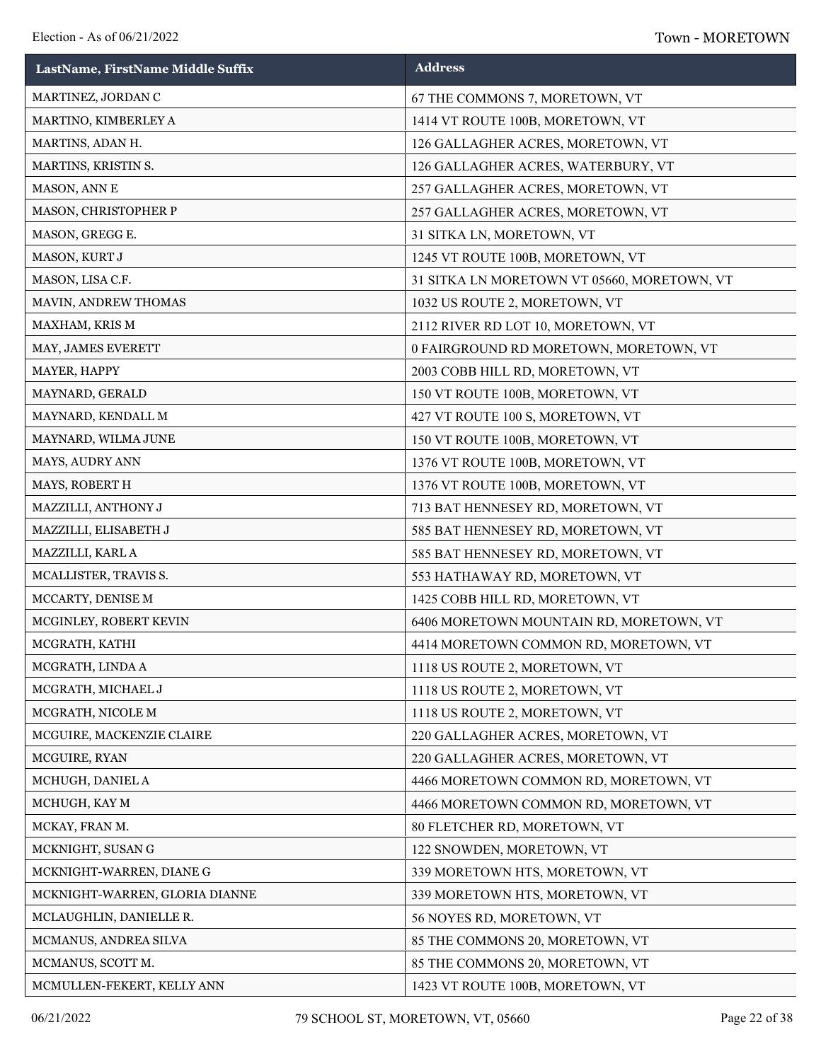| LastName, FirstName Middle Suffix | <b>Address</b>                              |
|-----------------------------------|---------------------------------------------|
| MARTINEZ, JORDAN C                | 67 THE COMMONS 7, MORETOWN, VT              |
| MARTINO, KIMBERLEY A              | 1414 VT ROUTE 100B, MORETOWN, VT            |
| MARTINS, ADAN H.                  | 126 GALLAGHER ACRES, MORETOWN, VT           |
| MARTINS, KRISTIN S.               | 126 GALLAGHER ACRES, WATERBURY, VT          |
| MASON, ANN E                      | 257 GALLAGHER ACRES, MORETOWN, VT           |
| MASON, CHRISTOPHER P              | 257 GALLAGHER ACRES, MORETOWN, VT           |
| MASON, GREGG E.                   | 31 SITKA LN, MORETOWN, VT                   |
| MASON, KURT J                     | 1245 VT ROUTE 100B, MORETOWN, VT            |
| MASON, LISA C.F.                  | 31 SITKA LN MORETOWN VT 05660, MORETOWN, VT |
| MAVIN, ANDREW THOMAS              | 1032 US ROUTE 2, MORETOWN, VT               |
| MAXHAM, KRIS M                    | 2112 RIVER RD LOT 10, MORETOWN, VT          |
| MAY, JAMES EVERETT                | 0 FAIRGROUND RD MORETOWN, MORETOWN, VT      |
| MAYER, HAPPY                      | 2003 COBB HILL RD, MORETOWN, VT             |
| MAYNARD, GERALD                   | 150 VT ROUTE 100B, MORETOWN, VT             |
| MAYNARD, KENDALL M                | 427 VT ROUTE 100 S, MORETOWN, VT            |
| MAYNARD, WILMA JUNE               | 150 VT ROUTE 100B, MORETOWN, VT             |
| MAYS, AUDRY ANN                   | 1376 VT ROUTE 100B, MORETOWN, VT            |
| MAYS, ROBERT H                    | 1376 VT ROUTE 100B, MORETOWN, VT            |
| MAZZILLI, ANTHONY J               | 713 BAT HENNESEY RD, MORETOWN, VT           |
| MAZZILLI, ELISABETH J             | 585 BAT HENNESEY RD, MORETOWN, VT           |
| MAZZILLI, KARL A                  | 585 BAT HENNESEY RD, MORETOWN, VT           |
| MCALLISTER, TRAVIS S.             | 553 HATHAWAY RD, MORETOWN, VT               |
| MCCARTY, DENISE M                 | 1425 COBB HILL RD, MORETOWN, VT             |
| MCGINLEY, ROBERT KEVIN            | 6406 MORETOWN MOUNTAIN RD, MORETOWN, VT     |
| MCGRATH, KATHI                    | 4414 MORETOWN COMMON RD, MORETOWN, VT       |
| MCGRATH, LINDA A                  | 1118 US ROUTE 2, MORETOWN, VT               |
| MCGRATH, MICHAEL J                | 1118 US ROUTE 2, MORETOWN, VT               |
| MCGRATH, NICOLE M                 | 1118 US ROUTE 2, MORETOWN, VT               |
| MCGUIRE, MACKENZIE CLAIRE         | 220 GALLAGHER ACRES, MORETOWN, VT           |
| MCGUIRE, RYAN                     | 220 GALLAGHER ACRES, MORETOWN, VT           |
| MCHUGH, DANIEL A                  | 4466 MORETOWN COMMON RD, MORETOWN, VT       |
| MCHUGH, KAY M                     | 4466 MORETOWN COMMON RD, MORETOWN, VT       |
| MCKAY, FRAN M.                    | 80 FLETCHER RD, MORETOWN, VT                |
| MCKNIGHT, SUSAN G                 | 122 SNOWDEN, MORETOWN, VT                   |
| MCKNIGHT-WARREN, DIANE G          | 339 MORETOWN HTS, MORETOWN, VT              |
| MCKNIGHT-WARREN, GLORIA DIANNE    | 339 MORETOWN HTS, MORETOWN, VT              |
| MCLAUGHLIN, DANIELLE R.           | 56 NOYES RD, MORETOWN, VT                   |
| MCMANUS, ANDREA SILVA             | 85 THE COMMONS 20, MORETOWN, VT             |
| MCMANUS, SCOTT M.                 | 85 THE COMMONS 20, MORETOWN, VT             |
| MCMULLEN-FEKERT, KELLY ANN        | 1423 VT ROUTE 100B, MORETOWN, VT            |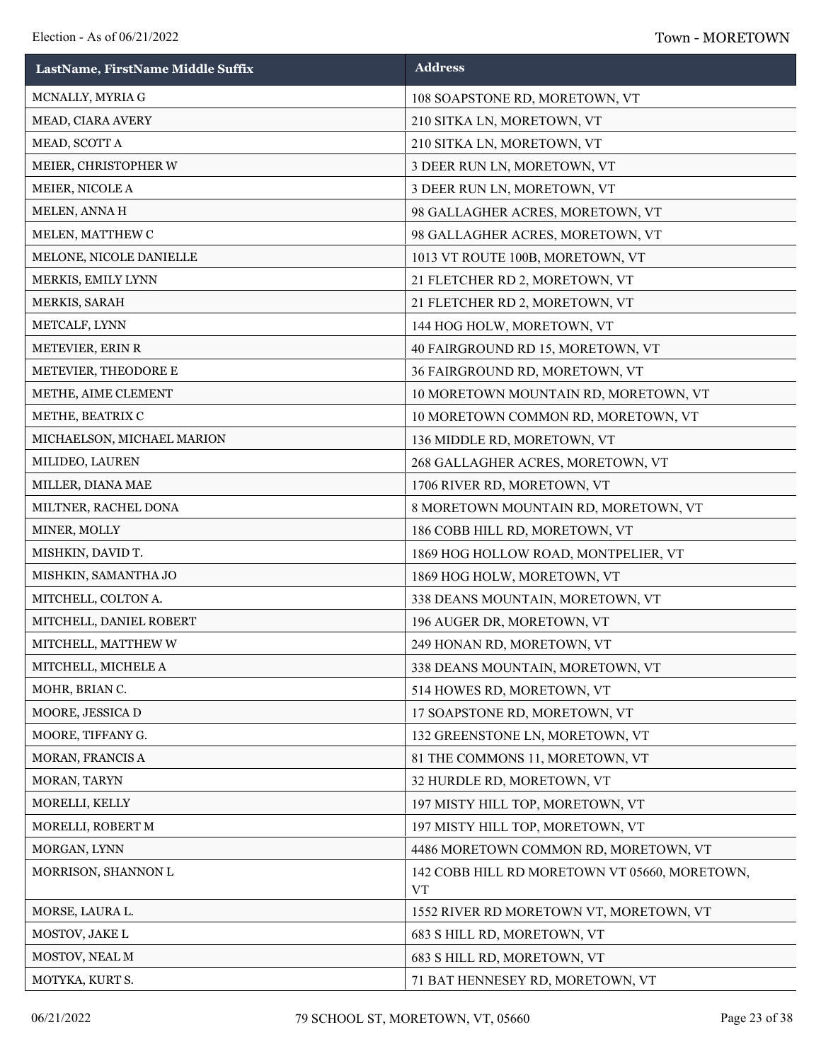| LastName, FirstName Middle Suffix | <b>Address</b>                                             |
|-----------------------------------|------------------------------------------------------------|
| MCNALLY, MYRIA G                  | 108 SOAPSTONE RD, MORETOWN, VT                             |
| MEAD, CIARA AVERY                 | 210 SITKA LN, MORETOWN, VT                                 |
| MEAD, SCOTT A                     | 210 SITKA LN, MORETOWN, VT                                 |
| MEIER, CHRISTOPHER W              | 3 DEER RUN LN, MORETOWN, VT                                |
| MEIER, NICOLE A                   | 3 DEER RUN LN, MORETOWN, VT                                |
| MELEN, ANNA H                     | 98 GALLAGHER ACRES, MORETOWN, VT                           |
| MELEN, MATTHEW C                  | 98 GALLAGHER ACRES, MORETOWN, VT                           |
| MELONE, NICOLE DANIELLE           | 1013 VT ROUTE 100B, MORETOWN, VT                           |
| MERKIS, EMILY LYNN                | 21 FLETCHER RD 2, MORETOWN, VT                             |
| MERKIS, SARAH                     | 21 FLETCHER RD 2, MORETOWN, VT                             |
| METCALF, LYNN                     | 144 HOG HOLW, MORETOWN, VT                                 |
| METEVIER, ERIN R                  | 40 FAIRGROUND RD 15, MORETOWN, VT                          |
| METEVIER, THEODORE E              | 36 FAIRGROUND RD, MORETOWN, VT                             |
| METHE, AIME CLEMENT               | 10 MORETOWN MOUNTAIN RD, MORETOWN, VT                      |
| METHE, BEATRIX C                  | 10 MORETOWN COMMON RD, MORETOWN, VT                        |
| MICHAELSON, MICHAEL MARION        | 136 MIDDLE RD, MORETOWN, VT                                |
| MILIDEO, LAUREN                   | 268 GALLAGHER ACRES, MORETOWN, VT                          |
| MILLER, DIANA MAE                 | 1706 RIVER RD, MORETOWN, VT                                |
| MILTNER, RACHEL DONA              | 8 MORETOWN MOUNTAIN RD, MORETOWN, VT                       |
| MINER, MOLLY                      | 186 COBB HILL RD, MORETOWN, VT                             |
| MISHKIN, DAVID T.                 | 1869 HOG HOLLOW ROAD, MONTPELIER, VT                       |
| MISHKIN, SAMANTHA JO              | 1869 HOG HOLW, MORETOWN, VT                                |
| MITCHELL, COLTON A.               | 338 DEANS MOUNTAIN, MORETOWN, VT                           |
| MITCHELL, DANIEL ROBERT           | 196 AUGER DR, MORETOWN, VT                                 |
| MITCHELL, MATTHEW W               | 249 HONAN RD, MORETOWN, VT                                 |
| MITCHELL, MICHELE A               | 338 DEANS MOUNTAIN, MORETOWN, VT                           |
| MOHR, BRIAN C.                    | 514 HOWES RD, MORETOWN, VT                                 |
| MOORE, JESSICA D                  | 17 SOAPSTONE RD, MORETOWN, VT                              |
| MOORE, TIFFANY G.                 | 132 GREENSTONE LN, MORETOWN, VT                            |
| MORAN, FRANCIS A                  | 81 THE COMMONS 11, MORETOWN, VT                            |
| MORAN, TARYN                      | 32 HURDLE RD, MORETOWN, VT                                 |
| MORELLI, KELLY                    | 197 MISTY HILL TOP, MORETOWN, VT                           |
| MORELLI, ROBERT M                 | 197 MISTY HILL TOP, MORETOWN, VT                           |
| MORGAN, LYNN                      | 4486 MORETOWN COMMON RD, MORETOWN, VT                      |
| MORRISON, SHANNON L               | 142 COBB HILL RD MORETOWN VT 05660, MORETOWN,<br><b>VT</b> |
| MORSE, LAURA L.                   | 1552 RIVER RD MORETOWN VT, MORETOWN, VT                    |
| MOSTOV, JAKE L                    | 683 S HILL RD, MORETOWN, VT                                |
| MOSTOV, NEAL M                    | 683 S HILL RD, MORETOWN, VT                                |
| MOTYKA, KURT S.                   | 71 BAT HENNESEY RD, MORETOWN, VT                           |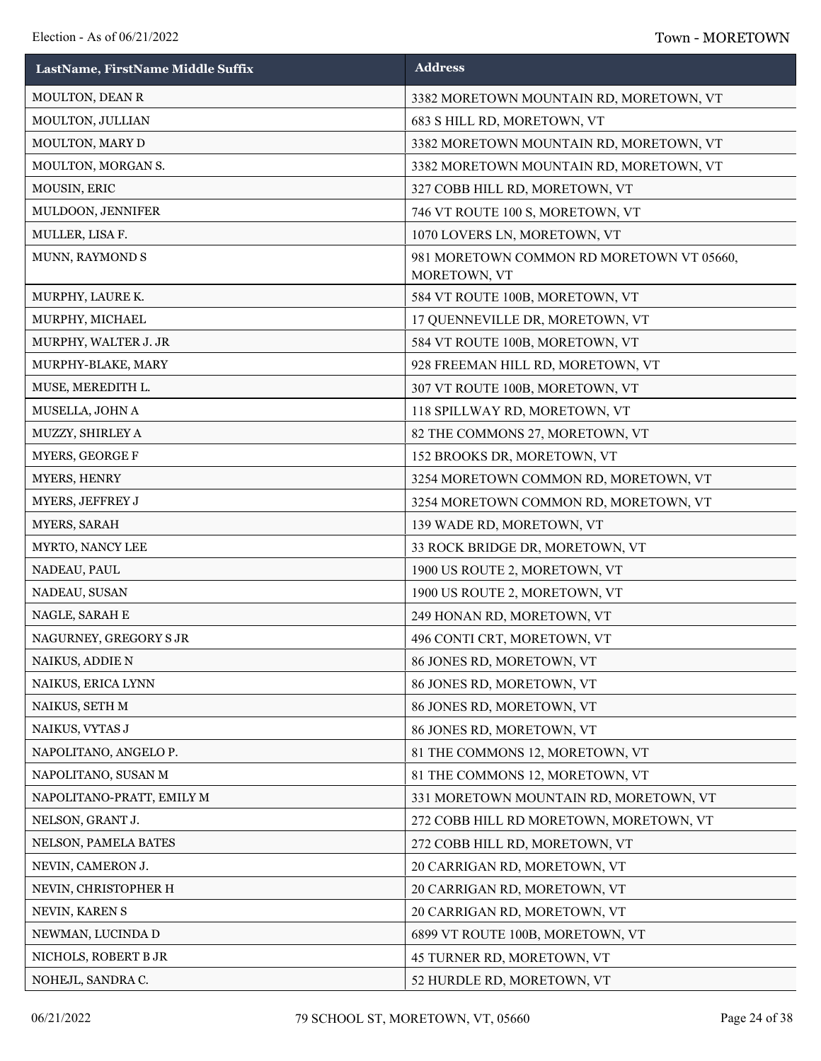| LastName, FirstName Middle Suffix | <b>Address</b>                                            |
|-----------------------------------|-----------------------------------------------------------|
| MOULTON, DEAN R                   | 3382 MORETOWN MOUNTAIN RD, MORETOWN, VT                   |
| MOULTON, JULLIAN                  | 683 S HILL RD, MORETOWN, VT                               |
| MOULTON, MARY D                   | 3382 MORETOWN MOUNTAIN RD, MORETOWN, VT                   |
| MOULTON, MORGAN S.                | 3382 MORETOWN MOUNTAIN RD, MORETOWN, VT                   |
| MOUSIN, ERIC                      | 327 COBB HILL RD, MORETOWN, VT                            |
| MULDOON, JENNIFER                 | 746 VT ROUTE 100 S, MORETOWN, VT                          |
| MULLER, LISA F.                   | 1070 LOVERS LN, MORETOWN, VT                              |
| MUNN, RAYMOND S                   | 981 MORETOWN COMMON RD MORETOWN VT 05660,<br>MORETOWN, VT |
| MURPHY, LAURE K.                  | 584 VT ROUTE 100B, MORETOWN, VT                           |
| MURPHY, MICHAEL                   | 17 QUENNEVILLE DR, MORETOWN, VT                           |
| MURPHY, WALTER J. JR              | 584 VT ROUTE 100B, MORETOWN, VT                           |
| MURPHY-BLAKE, MARY                | 928 FREEMAN HILL RD, MORETOWN, VT                         |
| MUSE, MEREDITH L.                 | 307 VT ROUTE 100B, MORETOWN, VT                           |
| MUSELLA, JOHN A                   | 118 SPILLWAY RD, MORETOWN, VT                             |
| MUZZY, SHIRLEY A                  | 82 THE COMMONS 27, MORETOWN, VT                           |
| MYERS, GEORGE F                   | 152 BROOKS DR, MORETOWN, VT                               |
| MYERS, HENRY                      | 3254 MORETOWN COMMON RD, MORETOWN, VT                     |
| MYERS, JEFFREY J                  | 3254 MORETOWN COMMON RD, MORETOWN, VT                     |
| MYERS, SARAH                      | 139 WADE RD, MORETOWN, VT                                 |
| MYRTO, NANCY LEE                  | 33 ROCK BRIDGE DR, MORETOWN, VT                           |
| NADEAU, PAUL                      | 1900 US ROUTE 2, MORETOWN, VT                             |
| NADEAU, SUSAN                     | 1900 US ROUTE 2, MORETOWN, VT                             |
| NAGLE, SARAH E                    | 249 HONAN RD, MORETOWN, VT                                |
| NAGURNEY, GREGORY S JR            | 496 CONTI CRT, MORETOWN, VT                               |
| NAIKUS, ADDIE N                   | 86 JONES RD, MORETOWN, VT                                 |
| NAIKUS, ERICA LYNN                | 86 JONES RD, MORETOWN, VT                                 |
| NAIKUS, SETH M                    | 86 JONES RD, MORETOWN, VT                                 |
| NAIKUS, VYTAS J                   | 86 JONES RD, MORETOWN, VT                                 |
| NAPOLITANO, ANGELO P.             | 81 THE COMMONS 12, MORETOWN, VT                           |
| NAPOLITANO, SUSAN M               | 81 THE COMMONS 12, MORETOWN, VT                           |
| NAPOLITANO-PRATT, EMILY M         | 331 MORETOWN MOUNTAIN RD, MORETOWN, VT                    |
| NELSON, GRANT J.                  | 272 COBB HILL RD MORETOWN, MORETOWN, VT                   |
| NELSON, PAMELA BATES              | 272 COBB HILL RD, MORETOWN, VT                            |
| NEVIN, CAMERON J.                 | 20 CARRIGAN RD, MORETOWN, VT                              |
| NEVIN, CHRISTOPHER H              | 20 CARRIGAN RD, MORETOWN, VT                              |
| NEVIN, KAREN S                    | 20 CARRIGAN RD, MORETOWN, VT                              |
| NEWMAN, LUCINDA D                 | 6899 VT ROUTE 100B, MORETOWN, VT                          |
| NICHOLS, ROBERT B JR              | 45 TURNER RD, MORETOWN, VT                                |
| NOHEJL, SANDRA C.                 | 52 HURDLE RD, MORETOWN, VT                                |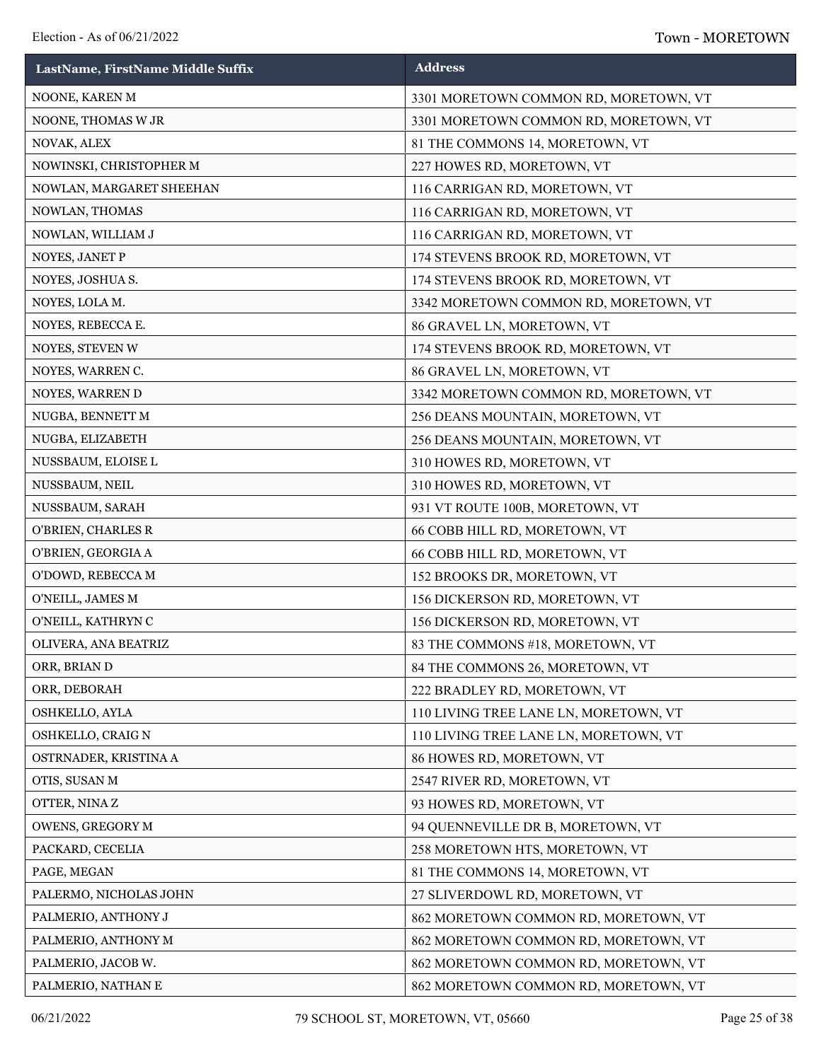| LastName, FirstName Middle Suffix | <b>Address</b>                        |
|-----------------------------------|---------------------------------------|
| NOONE, KAREN M                    | 3301 MORETOWN COMMON RD, MORETOWN, VT |
| NOONE, THOMAS W JR                | 3301 MORETOWN COMMON RD, MORETOWN, VT |
| NOVAK, ALEX                       | 81 THE COMMONS 14, MORETOWN, VT       |
| NOWINSKI, CHRISTOPHER M           | 227 HOWES RD, MORETOWN, VT            |
| NOWLAN, MARGARET SHEEHAN          | 116 CARRIGAN RD, MORETOWN, VT         |
| NOWLAN, THOMAS                    | 116 CARRIGAN RD, MORETOWN, VT         |
| NOWLAN, WILLIAM J                 | 116 CARRIGAN RD, MORETOWN, VT         |
| NOYES, JANET P                    | 174 STEVENS BROOK RD, MORETOWN, VT    |
| NOYES, JOSHUA S.                  | 174 STEVENS BROOK RD, MORETOWN, VT    |
| NOYES, LOLA M.                    | 3342 MORETOWN COMMON RD, MORETOWN, VT |
| NOYES, REBECCA E.                 | 86 GRAVEL LN, MORETOWN, VT            |
| NOYES, STEVEN W                   | 174 STEVENS BROOK RD, MORETOWN, VT    |
| NOYES, WARREN C.                  | 86 GRAVEL LN, MORETOWN, VT            |
| NOYES, WARREN D                   | 3342 MORETOWN COMMON RD, MORETOWN, VT |
| NUGBA, BENNETT M                  | 256 DEANS MOUNTAIN, MORETOWN, VT      |
| NUGBA, ELIZABETH                  | 256 DEANS MOUNTAIN, MORETOWN, VT      |
| NUSSBAUM, ELOISE L                | 310 HOWES RD, MORETOWN, VT            |
| NUSSBAUM, NEIL                    | 310 HOWES RD, MORETOWN, VT            |
| NUSSBAUM, SARAH                   | 931 VT ROUTE 100B, MORETOWN, VT       |
| O'BRIEN, CHARLES R                | 66 COBB HILL RD, MORETOWN, VT         |
| O'BRIEN, GEORGIA A                | 66 COBB HILL RD, MORETOWN, VT         |
| O'DOWD, REBECCA M                 | 152 BROOKS DR, MORETOWN, VT           |
| O'NEILL, JAMES M                  | 156 DICKERSON RD, MORETOWN, VT        |
| O'NEILL, KATHRYN C                | 156 DICKERSON RD, MORETOWN, VT        |
| OLIVERA, ANA BEATRIZ              | 83 THE COMMONS #18, MORETOWN, VT      |
| ORR, BRIAN D                      | 84 THE COMMONS 26, MORETOWN, VT       |
| ORR, DEBORAH                      | 222 BRADLEY RD, MORETOWN, VT          |
| OSHKELLO, AYLA                    | 110 LIVING TREE LANE LN, MORETOWN, VT |
| OSHKELLO, CRAIG N                 | 110 LIVING TREE LANE LN, MORETOWN, VT |
| OSTRNADER, KRISTINA A             | 86 HOWES RD, MORETOWN, VT             |
| OTIS, SUSAN M                     | 2547 RIVER RD, MORETOWN, VT           |
| OTTER, NINAZ                      | 93 HOWES RD, MORETOWN, VT             |
| OWENS, GREGORY M                  | 94 QUENNEVILLE DR B, MORETOWN, VT     |
| PACKARD, CECELIA                  | 258 MORETOWN HTS, MORETOWN, VT        |
| PAGE, MEGAN                       | 81 THE COMMONS 14, MORETOWN, VT       |
| PALERMO, NICHOLAS JOHN            | 27 SLIVERDOWL RD, MORETOWN, VT        |
| PALMERIO, ANTHONY J               | 862 MORETOWN COMMON RD, MORETOWN, VT  |
| PALMERIO, ANTHONY M               | 862 MORETOWN COMMON RD, MORETOWN, VT  |
| PALMERIO, JACOB W.                | 862 MORETOWN COMMON RD, MORETOWN, VT  |
| PALMERIO, NATHAN E                | 862 MORETOWN COMMON RD, MORETOWN, VT  |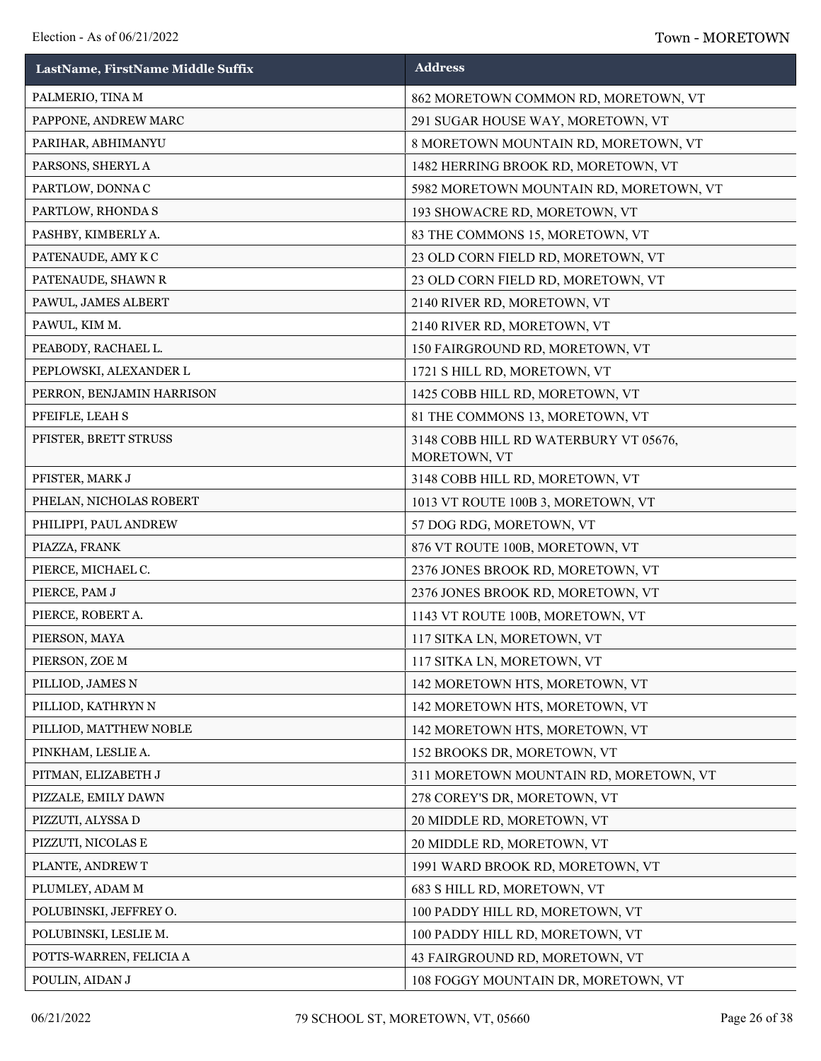| LastName, FirstName Middle Suffix | <b>Address</b>                                        |
|-----------------------------------|-------------------------------------------------------|
| PALMERIO, TINA M                  | 862 MORETOWN COMMON RD, MORETOWN, VT                  |
| PAPPONE, ANDREW MARC              | 291 SUGAR HOUSE WAY, MORETOWN, VT                     |
| PARIHAR, ABHIMANYU                | 8 MORETOWN MOUNTAIN RD, MORETOWN, VT                  |
| PARSONS, SHERYL A                 | 1482 HERRING BROOK RD, MORETOWN, VT                   |
| PARTLOW, DONNA C                  | 5982 MORETOWN MOUNTAIN RD, MORETOWN, VT               |
| PARTLOW, RHONDA S                 | 193 SHOWACRE RD, MORETOWN, VT                         |
| PASHBY, KIMBERLY A.               | 83 THE COMMONS 15, MORETOWN, VT                       |
| PATENAUDE, AMY KC                 | 23 OLD CORN FIELD RD, MORETOWN, VT                    |
| PATENAUDE, SHAWN R                | 23 OLD CORN FIELD RD, MORETOWN, VT                    |
| PAWUL, JAMES ALBERT               | 2140 RIVER RD, MORETOWN, VT                           |
| PAWUL, KIM M.                     | 2140 RIVER RD, MORETOWN, VT                           |
| PEABODY, RACHAEL L.               | 150 FAIRGROUND RD, MORETOWN, VT                       |
| PEPLOWSKI, ALEXANDER L            | 1721 S HILL RD, MORETOWN, VT                          |
| PERRON, BENJAMIN HARRISON         | 1425 COBB HILL RD, MORETOWN, VT                       |
| PFEIFLE, LEAH S                   | 81 THE COMMONS 13, MORETOWN, VT                       |
| PFISTER, BRETT STRUSS             | 3148 COBB HILL RD WATERBURY VT 05676,<br>MORETOWN, VT |
| PFISTER, MARK J                   | 3148 COBB HILL RD, MORETOWN, VT                       |
| PHELAN, NICHOLAS ROBERT           | 1013 VT ROUTE 100B 3, MORETOWN, VT                    |
| PHILIPPI, PAUL ANDREW             | 57 DOG RDG, MORETOWN, VT                              |
| PIAZZA, FRANK                     | 876 VT ROUTE 100B, MORETOWN, VT                       |
| PIERCE, MICHAEL C.                | 2376 JONES BROOK RD, MORETOWN, VT                     |
| PIERCE, PAM J                     | 2376 JONES BROOK RD, MORETOWN, VT                     |
| PIERCE, ROBERT A.                 | 1143 VT ROUTE 100B, MORETOWN, VT                      |
| PIERSON, MAYA                     | 117 SITKA LN, MORETOWN, VT                            |
| PIERSON, ZOE M                    | 117 SITKA LN, MORETOWN, VT                            |
| PILLIOD, JAMES N                  | 142 MORETOWN HTS, MORETOWN, VT                        |
| PILLIOD, KATHRYN N                | 142 MORETOWN HTS, MORETOWN, VT                        |
| PILLIOD, MATTHEW NOBLE            | 142 MORETOWN HTS, MORETOWN, VT                        |
| PINKHAM, LESLIE A.                | 152 BROOKS DR, MORETOWN, VT                           |
| PITMAN, ELIZABETH J               | 311 MORETOWN MOUNTAIN RD, MORETOWN, VT                |
| PIZZALE, EMILY DAWN               | 278 COREY'S DR, MORETOWN, VT                          |
| PIZZUTI, ALYSSA D                 | 20 MIDDLE RD, MORETOWN, VT                            |
| PIZZUTI, NICOLAS E                | 20 MIDDLE RD, MORETOWN, VT                            |
| PLANTE, ANDREW T                  | 1991 WARD BROOK RD, MORETOWN, VT                      |
| PLUMLEY, ADAM M                   | 683 S HILL RD, MORETOWN, VT                           |
| POLUBINSKI, JEFFREY O.            | 100 PADDY HILL RD, MORETOWN, VT                       |
| POLUBINSKI, LESLIE M.             | 100 PADDY HILL RD, MORETOWN, VT                       |
| POTTS-WARREN, FELICIA A           | 43 FAIRGROUND RD, MORETOWN, VT                        |
| POULIN, AIDAN J                   | 108 FOGGY MOUNTAIN DR, MORETOWN, VT                   |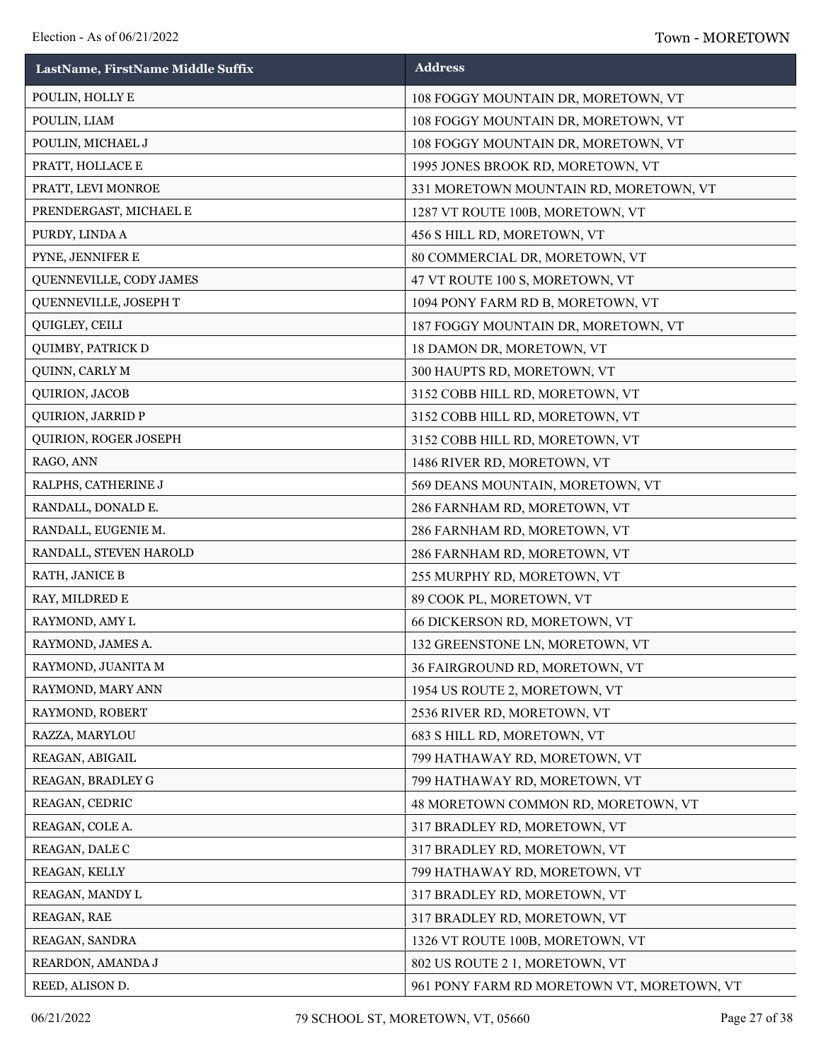| LastName, FirstName Middle Suffix | <b>Address</b>                             |
|-----------------------------------|--------------------------------------------|
| POULIN, HOLLY E                   | 108 FOGGY MOUNTAIN DR, MORETOWN, VT        |
| POULIN, LIAM                      | 108 FOGGY MOUNTAIN DR, MORETOWN, VT        |
| POULIN, MICHAEL J                 | 108 FOGGY MOUNTAIN DR, MORETOWN, VT        |
| PRATT, HOLLACE E                  | 1995 JONES BROOK RD, MORETOWN, VT          |
| PRATT, LEVI MONROE                | 331 MORETOWN MOUNTAIN RD, MORETOWN, VT     |
| PRENDERGAST, MICHAEL E            | 1287 VT ROUTE 100B, MORETOWN, VT           |
| PURDY, LINDA A                    | 456 S HILL RD, MORETOWN, VT                |
| PYNE, JENNIFER E                  | 80 COMMERCIAL DR, MORETOWN, VT             |
| QUENNEVILLE, CODY JAMES           | 47 VT ROUTE 100 S, MORETOWN, VT            |
| QUENNEVILLE, JOSEPH T             | 1094 PONY FARM RD B, MORETOWN, VT          |
| QUIGLEY, CEILI                    | 187 FOGGY MOUNTAIN DR, MORETOWN, VT        |
| QUIMBY, PATRICK D                 | 18 DAMON DR, MORETOWN, VT                  |
| QUINN, CARLY M                    | 300 HAUPTS RD, MORETOWN, VT                |
| QUIRION, JACOB                    | 3152 COBB HILL RD, MORETOWN, VT            |
| <b>QUIRION, JARRID P</b>          | 3152 COBB HILL RD, MORETOWN, VT            |
| QUIRION, ROGER JOSEPH             | 3152 COBB HILL RD, MORETOWN, VT            |
| RAGO, ANN                         | 1486 RIVER RD, MORETOWN, VT                |
| RALPHS, CATHERINE J               | 569 DEANS MOUNTAIN, MORETOWN, VT           |
| RANDALL, DONALD E.                | 286 FARNHAM RD, MORETOWN, VT               |
| RANDALL, EUGENIE M.               | 286 FARNHAM RD, MORETOWN, VT               |
| RANDALL, STEVEN HAROLD            | 286 FARNHAM RD, MORETOWN, VT               |
| RATH, JANICE B                    | 255 MURPHY RD, MORETOWN, VT                |
| RAY, MILDRED E                    | 89 COOK PL, MORETOWN, VT                   |
| RAYMOND, AMY L                    | 66 DICKERSON RD, MORETOWN, VT              |
| RAYMOND, JAMES A.                 | 132 GREENSTONE LN, MORETOWN, VT            |
| RAYMOND, JUANITA M                | 36 FAIRGROUND RD, MORETOWN, VT             |
| RAYMOND, MARY ANN                 | 1954 US ROUTE 2, MORETOWN, VT              |
| RAYMOND, ROBERT                   | 2536 RIVER RD, MORETOWN, VT                |
| RAZZA, MARYLOU                    | 683 S HILL RD, MORETOWN, VT                |
| REAGAN, ABIGAIL                   | 799 HATHAWAY RD, MORETOWN, VT              |
| REAGAN, BRADLEY G                 | 799 HATHAWAY RD, MORETOWN, VT              |
| REAGAN, CEDRIC                    | 48 MORETOWN COMMON RD, MORETOWN, VT        |
| REAGAN, COLE A.                   | 317 BRADLEY RD, MORETOWN, VT               |
| REAGAN, DALE C                    | 317 BRADLEY RD, MORETOWN, VT               |
| REAGAN, KELLY                     | 799 HATHAWAY RD, MORETOWN, VT              |
| REAGAN, MANDY L                   | 317 BRADLEY RD, MORETOWN, VT               |
| REAGAN, RAE                       | 317 BRADLEY RD, MORETOWN, VT               |
| REAGAN, SANDRA                    | 1326 VT ROUTE 100B, MORETOWN, VT           |
| REARDON, AMANDA J                 | 802 US ROUTE 2 1, MORETOWN, VT             |
| REED, ALISON D.                   | 961 PONY FARM RD MORETOWN VT, MORETOWN, VT |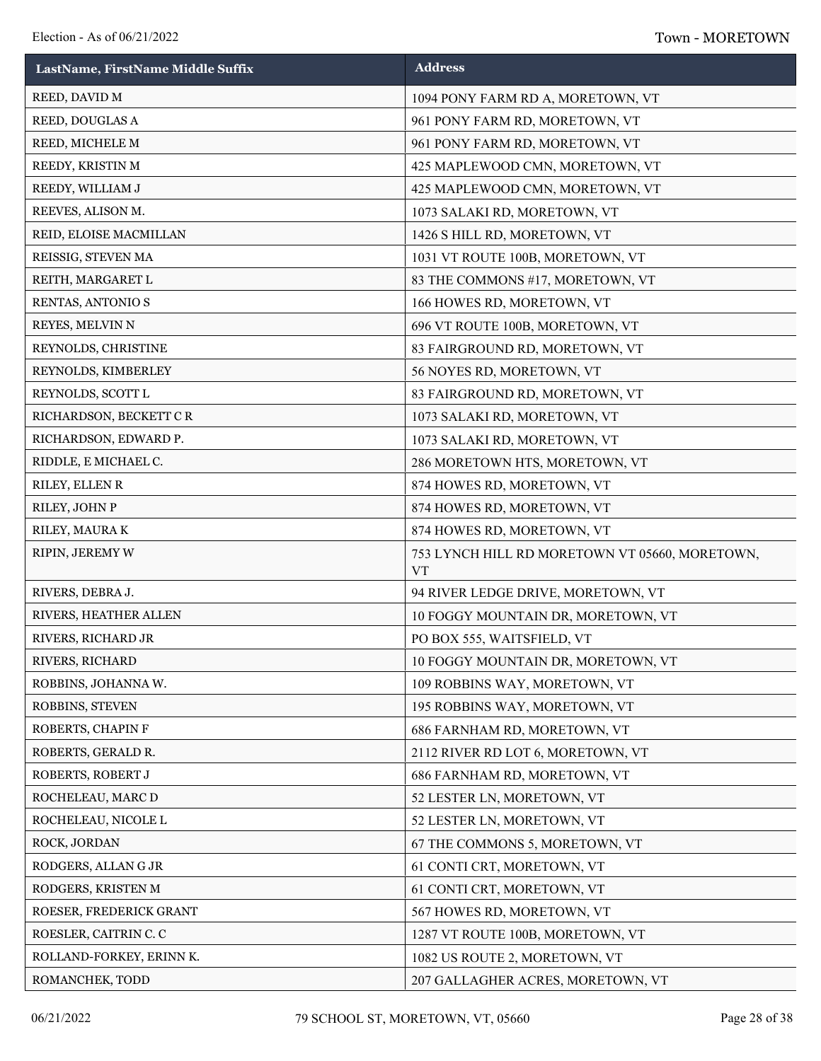| LastName, FirstName Middle Suffix | <b>Address</b>                                              |
|-----------------------------------|-------------------------------------------------------------|
| REED, DAVID M                     | 1094 PONY FARM RD A, MORETOWN, VT                           |
| REED, DOUGLAS A                   | 961 PONY FARM RD, MORETOWN, VT                              |
| REED, MICHELE M                   | 961 PONY FARM RD, MORETOWN, VT                              |
| REEDY, KRISTIN M                  | 425 MAPLEWOOD CMN, MORETOWN, VT                             |
| REEDY, WILLIAM J                  | 425 MAPLEWOOD CMN, MORETOWN, VT                             |
| REEVES, ALISON M.                 | 1073 SALAKI RD, MORETOWN, VT                                |
| REID, ELOISE MACMILLAN            | 1426 S HILL RD, MORETOWN, VT                                |
| REISSIG, STEVEN MA                | 1031 VT ROUTE 100B, MORETOWN, VT                            |
| REITH, MARGARET L                 | 83 THE COMMONS #17, MORETOWN, VT                            |
| RENTAS, ANTONIO S                 | 166 HOWES RD, MORETOWN, VT                                  |
| REYES, MELVIN N                   | 696 VT ROUTE 100B, MORETOWN, VT                             |
| REYNOLDS, CHRISTINE               | 83 FAIRGROUND RD, MORETOWN, VT                              |
| REYNOLDS, KIMBERLEY               | 56 NOYES RD, MORETOWN, VT                                   |
| REYNOLDS, SCOTT L                 | 83 FAIRGROUND RD, MORETOWN, VT                              |
| RICHARDSON, BECKETT CR            | 1073 SALAKI RD, MORETOWN, VT                                |
| RICHARDSON, EDWARD P.             | 1073 SALAKI RD, MORETOWN, VT                                |
| RIDDLE, E MICHAEL C.              | 286 MORETOWN HTS, MORETOWN, VT                              |
| RILEY, ELLEN R                    | 874 HOWES RD, MORETOWN, VT                                  |
| RILEY, JOHN P                     | 874 HOWES RD, MORETOWN, VT                                  |
| RILEY, MAURA K                    | 874 HOWES RD, MORETOWN, VT                                  |
| RIPIN, JEREMY W                   | 753 LYNCH HILL RD MORETOWN VT 05660, MORETOWN,<br><b>VT</b> |
| RIVERS, DEBRA J.                  | 94 RIVER LEDGE DRIVE, MORETOWN, VT                          |
| RIVERS, HEATHER ALLEN             | 10 FOGGY MOUNTAIN DR, MORETOWN, VT                          |
| RIVERS, RICHARD JR                | PO BOX 555, WAITSFIELD, VT                                  |
| RIVERS, RICHARD                   | 10 FOGGY MOUNTAIN DR, MORETOWN, VT                          |
| ROBBINS, JOHANNA W.               | 109 ROBBINS WAY, MORETOWN, VT                               |
| ROBBINS, STEVEN                   | 195 ROBBINS WAY, MORETOWN, VT                               |
| ROBERTS, CHAPIN F                 | 686 FARNHAM RD, MORETOWN, VT                                |
| ROBERTS, GERALD R.                | 2112 RIVER RD LOT 6, MORETOWN, VT                           |
| ROBERTS, ROBERT J                 | 686 FARNHAM RD, MORETOWN, VT                                |
| ROCHELEAU, MARC D                 | 52 LESTER LN, MORETOWN, VT                                  |
| ROCHELEAU, NICOLE L               | 52 LESTER LN, MORETOWN, VT                                  |
| ROCK, JORDAN                      | 67 THE COMMONS 5, MORETOWN, VT                              |
| RODGERS, ALLAN G JR               | 61 CONTI CRT, MORETOWN, VT                                  |
| RODGERS, KRISTEN M                | 61 CONTI CRT, MORETOWN, VT                                  |
| ROESER, FREDERICK GRANT           | 567 HOWES RD, MORETOWN, VT                                  |
| ROESLER, CAITRIN C. C             | 1287 VT ROUTE 100B, MORETOWN, VT                            |
| ROLLAND-FORKEY, ERINN K.          | 1082 US ROUTE 2, MORETOWN, VT                               |
| ROMANCHEK, TODD                   | 207 GALLAGHER ACRES, MORETOWN, VT                           |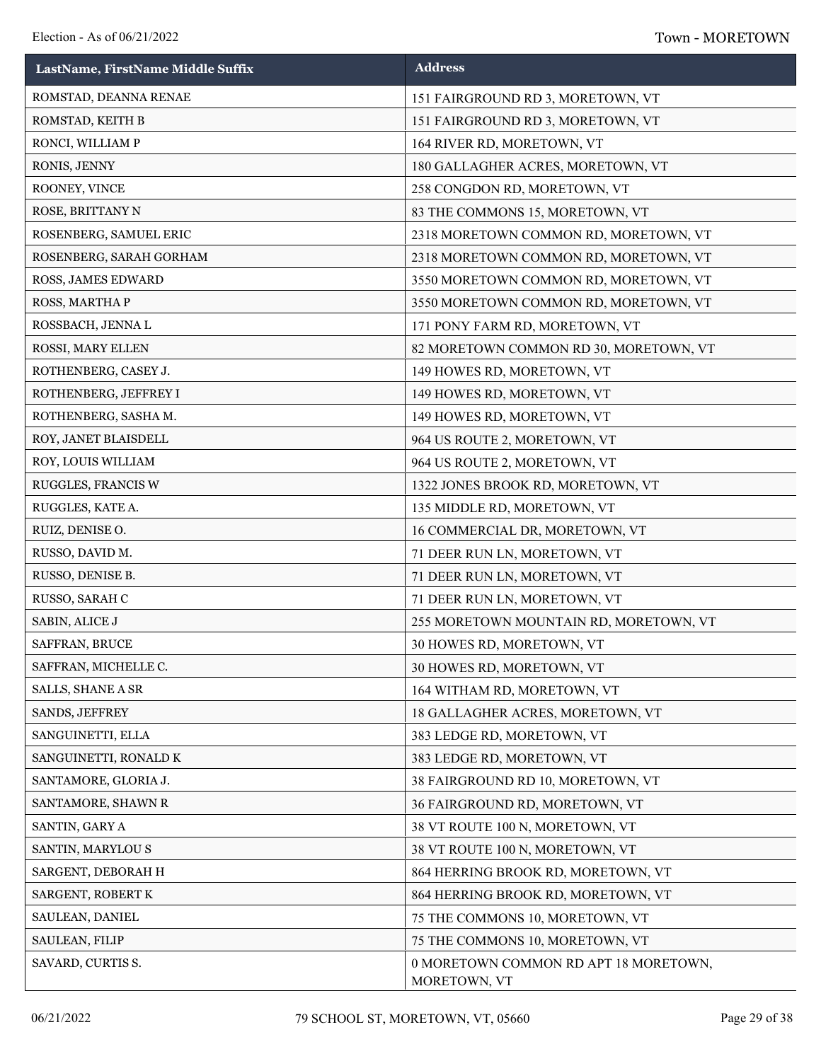| LastName, FirstName Middle Suffix | <b>Address</b>                                        |
|-----------------------------------|-------------------------------------------------------|
| ROMSTAD, DEANNA RENAE             | 151 FAIRGROUND RD 3, MORETOWN, VT                     |
| ROMSTAD, KEITH B                  | 151 FAIRGROUND RD 3, MORETOWN, VT                     |
| RONCI, WILLIAM P                  | 164 RIVER RD, MORETOWN, VT                            |
| RONIS, JENNY                      | 180 GALLAGHER ACRES, MORETOWN, VT                     |
| ROONEY, VINCE                     | 258 CONGDON RD, MORETOWN, VT                          |
| ROSE, BRITTANY N                  | 83 THE COMMONS 15, MORETOWN, VT                       |
| ROSENBERG, SAMUEL ERIC            | 2318 MORETOWN COMMON RD, MORETOWN, VT                 |
| ROSENBERG, SARAH GORHAM           | 2318 MORETOWN COMMON RD, MORETOWN, VT                 |
| ROSS, JAMES EDWARD                | 3550 MORETOWN COMMON RD, MORETOWN, VT                 |
| ROSS, MARTHA P                    | 3550 MORETOWN COMMON RD, MORETOWN, VT                 |
| ROSSBACH, JENNA L                 | 171 PONY FARM RD, MORETOWN, VT                        |
| ROSSI, MARY ELLEN                 | 82 MORETOWN COMMON RD 30, MORETOWN, VT                |
| ROTHENBERG, CASEY J.              | 149 HOWES RD, MORETOWN, VT                            |
| ROTHENBERG, JEFFREY I             | 149 HOWES RD, MORETOWN, VT                            |
| ROTHENBERG, SASHA M.              | 149 HOWES RD, MORETOWN, VT                            |
| ROY, JANET BLAISDELL              | 964 US ROUTE 2, MORETOWN, VT                          |
| ROY, LOUIS WILLIAM                | 964 US ROUTE 2, MORETOWN, VT                          |
| RUGGLES, FRANCIS W                | 1322 JONES BROOK RD, MORETOWN, VT                     |
| RUGGLES, KATE A.                  | 135 MIDDLE RD, MORETOWN, VT                           |
| RUIZ, DENISE O.                   | 16 COMMERCIAL DR, MORETOWN, VT                        |
| RUSSO, DAVID M.                   | 71 DEER RUN LN, MORETOWN, VT                          |
| RUSSO, DENISE B.                  | 71 DEER RUN LN, MORETOWN, VT                          |
| RUSSO, SARAH C                    | 71 DEER RUN LN, MORETOWN, VT                          |
| SABIN, ALICE J                    | 255 MORETOWN MOUNTAIN RD, MORETOWN, VT                |
| SAFFRAN, BRUCE                    | 30 HOWES RD, MORETOWN, VT                             |
| SAFFRAN, MICHELLE C.              | 30 HOWES RD, MORETOWN, VT                             |
| SALLS, SHANE A SR                 | 164 WITHAM RD, MORETOWN, VT                           |
| SANDS, JEFFREY                    | 18 GALLAGHER ACRES, MORETOWN, VT                      |
| SANGUINETTI, ELLA                 | 383 LEDGE RD, MORETOWN, VT                            |
| SANGUINETTI, RONALD K             | 383 LEDGE RD, MORETOWN, VT                            |
| SANTAMORE, GLORIA J.              | 38 FAIRGROUND RD 10, MORETOWN, VT                     |
| SANTAMORE, SHAWN R                | 36 FAIRGROUND RD, MORETOWN, VT                        |
| SANTIN, GARY A                    | 38 VT ROUTE 100 N, MORETOWN, VT                       |
| SANTIN, MARYLOU S                 | 38 VT ROUTE 100 N, MORETOWN, VT                       |
| SARGENT, DEBORAH H                | 864 HERRING BROOK RD, MORETOWN, VT                    |
| SARGENT, ROBERT K                 | 864 HERRING BROOK RD, MORETOWN, VT                    |
| SAULEAN, DANIEL                   | 75 THE COMMONS 10, MORETOWN, VT                       |
| SAULEAN, FILIP                    | 75 THE COMMONS 10, MORETOWN, VT                       |
| SAVARD, CURTIS S.                 | 0 MORETOWN COMMON RD APT 18 MORETOWN,<br>MORETOWN, VT |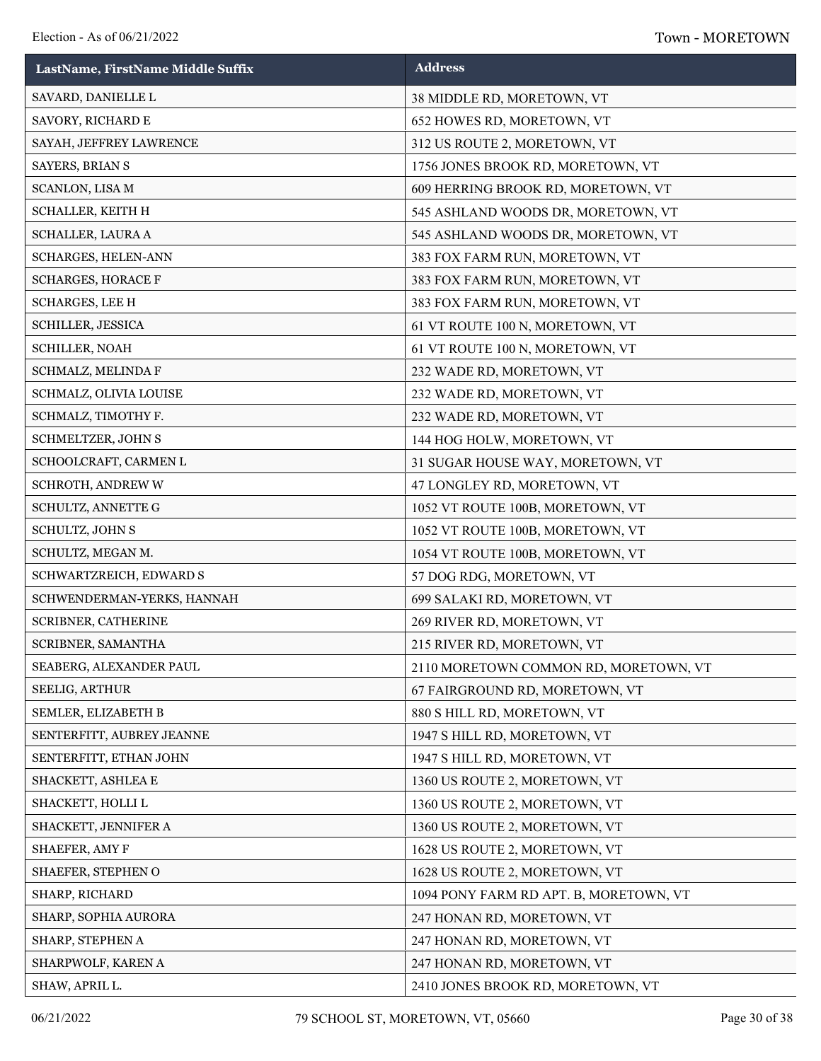| LastName, FirstName Middle Suffix | <b>Address</b>                         |
|-----------------------------------|----------------------------------------|
| SAVARD, DANIELLE L                | 38 MIDDLE RD, MORETOWN, VT             |
| SAVORY, RICHARD E                 | 652 HOWES RD, MORETOWN, VT             |
| SAYAH, JEFFREY LAWRENCE           | 312 US ROUTE 2, MORETOWN, VT           |
| SAYERS, BRIAN S                   | 1756 JONES BROOK RD, MORETOWN, VT      |
| SCANLON, LISA M                   | 609 HERRING BROOK RD, MORETOWN, VT     |
| SCHALLER, KEITH H                 | 545 ASHLAND WOODS DR, MORETOWN, VT     |
| SCHALLER, LAURA A                 | 545 ASHLAND WOODS DR, MORETOWN, VT     |
| SCHARGES, HELEN-ANN               | 383 FOX FARM RUN, MORETOWN, VT         |
| <b>SCHARGES, HORACE F</b>         | 383 FOX FARM RUN, MORETOWN, VT         |
| SCHARGES, LEE H                   | 383 FOX FARM RUN, MORETOWN, VT         |
| SCHILLER, JESSICA                 | 61 VT ROUTE 100 N, MORETOWN, VT        |
| SCHILLER, NOAH                    | 61 VT ROUTE 100 N, MORETOWN, VT        |
| SCHMALZ, MELINDA F                | 232 WADE RD, MORETOWN, VT              |
| SCHMALZ, OLIVIA LOUISE            | 232 WADE RD, MORETOWN, VT              |
| SCHMALZ, TIMOTHY F.               | 232 WADE RD, MORETOWN, VT              |
| SCHMELTZER, JOHN S                | 144 HOG HOLW, MORETOWN, VT             |
| SCHOOLCRAFT, CARMEN L             | 31 SUGAR HOUSE WAY, MORETOWN, VT       |
| SCHROTH, ANDREW W                 | 47 LONGLEY RD, MORETOWN, VT            |
| SCHULTZ, ANNETTE G                | 1052 VT ROUTE 100B, MORETOWN, VT       |
| SCHULTZ, JOHN S                   | 1052 VT ROUTE 100B, MORETOWN, VT       |
| SCHULTZ, MEGAN M.                 | 1054 VT ROUTE 100B, MORETOWN, VT       |
| SCHWARTZREICH, EDWARD S           | 57 DOG RDG, MORETOWN, VT               |
| SCHWENDERMAN-YERKS, HANNAH        | 699 SALAKI RD, MORETOWN, VT            |
| SCRIBNER, CATHERINE               | 269 RIVER RD, MORETOWN, VT             |
| SCRIBNER, SAMANTHA                | 215 RIVER RD, MORETOWN, VT             |
| SEABERG, ALEXANDER PAUL           | 2110 MORETOWN COMMON RD, MORETOWN, VT  |
| SEELIG, ARTHUR                    | 67 FAIRGROUND RD, MORETOWN, VT         |
| SEMLER, ELIZABETH B               | 880 S HILL RD, MORETOWN, VT            |
| SENTERFITT, AUBREY JEANNE         | 1947 S HILL RD, MORETOWN, VT           |
| SENTERFITT, ETHAN JOHN            | 1947 S HILL RD, MORETOWN, VT           |
| SHACKETT, ASHLEA E                | 1360 US ROUTE 2, MORETOWN, VT          |
| SHACKETT, HOLLI L                 | 1360 US ROUTE 2, MORETOWN, VT          |
| SHACKETT, JENNIFER A              | 1360 US ROUTE 2, MORETOWN, VT          |
| SHAEFER, AMY F                    | 1628 US ROUTE 2, MORETOWN, VT          |
| SHAEFER, STEPHEN O                | 1628 US ROUTE 2, MORETOWN, VT          |
| SHARP, RICHARD                    | 1094 PONY FARM RD APT. B, MORETOWN, VT |
| SHARP, SOPHIA AURORA              | 247 HONAN RD, MORETOWN, VT             |
| SHARP, STEPHEN A                  | 247 HONAN RD, MORETOWN, VT             |
| SHARPWOLF, KAREN A                | 247 HONAN RD, MORETOWN, VT             |
| SHAW, APRIL L.                    | 2410 JONES BROOK RD, MORETOWN, VT      |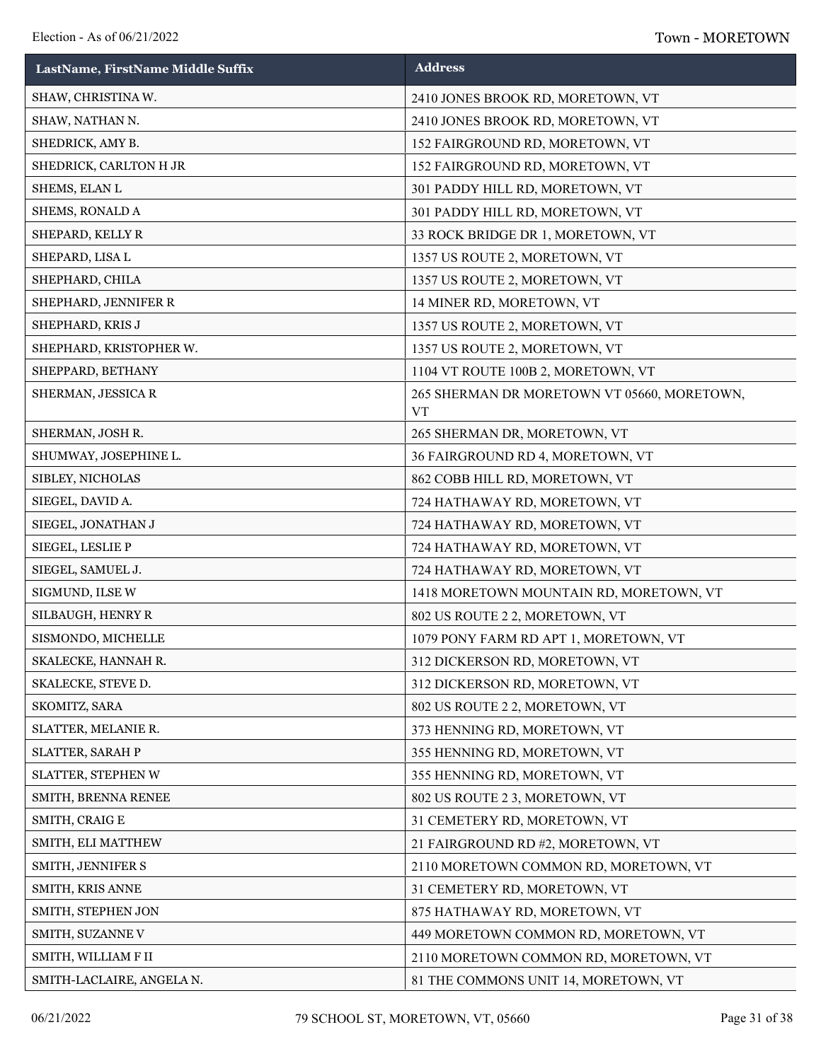| LastName, FirstName Middle Suffix | <b>Address</b>                                           |
|-----------------------------------|----------------------------------------------------------|
| SHAW, CHRISTINA W.                | 2410 JONES BROOK RD, MORETOWN, VT                        |
| SHAW, NATHAN N.                   | 2410 JONES BROOK RD, MORETOWN, VT                        |
| SHEDRICK, AMY B.                  | 152 FAIRGROUND RD, MORETOWN, VT                          |
| SHEDRICK, CARLTON H JR            | 152 FAIRGROUND RD, MORETOWN, VT                          |
| SHEMS, ELAN L                     | 301 PADDY HILL RD, MORETOWN, VT                          |
| SHEMS, RONALD A                   | 301 PADDY HILL RD, MORETOWN, VT                          |
| SHEPARD, KELLY R                  | 33 ROCK BRIDGE DR 1, MORETOWN, VT                        |
| SHEPARD, LISA L                   | 1357 US ROUTE 2, MORETOWN, VT                            |
| SHEPHARD, CHILA                   | 1357 US ROUTE 2, MORETOWN, VT                            |
| SHEPHARD, JENNIFER R              | 14 MINER RD, MORETOWN, VT                                |
| SHEPHARD, KRISJ                   | 1357 US ROUTE 2, MORETOWN, VT                            |
| SHEPHARD, KRISTOPHER W.           | 1357 US ROUTE 2, MORETOWN, VT                            |
| SHEPPARD, BETHANY                 | 1104 VT ROUTE 100B 2, MORETOWN, VT                       |
| SHERMAN, JESSICA R                | 265 SHERMAN DR MORETOWN VT 05660, MORETOWN,<br><b>VT</b> |
| SHERMAN, JOSH R.                  | 265 SHERMAN DR, MORETOWN, VT                             |
| SHUMWAY, JOSEPHINE L.             | 36 FAIRGROUND RD 4, MORETOWN, VT                         |
| SIBLEY, NICHOLAS                  | 862 COBB HILL RD, MORETOWN, VT                           |
| SIEGEL, DAVID A.                  | 724 HATHAWAY RD, MORETOWN, VT                            |
| SIEGEL, JONATHAN J                | 724 HATHAWAY RD, MORETOWN, VT                            |
| SIEGEL, LESLIE P                  | 724 HATHAWAY RD, MORETOWN, VT                            |
| SIEGEL, SAMUEL J.                 | 724 HATHAWAY RD, MORETOWN, VT                            |
| SIGMUND, ILSE W                   | 1418 MORETOWN MOUNTAIN RD, MORETOWN, VT                  |
| SILBAUGH, HENRY R                 | 802 US ROUTE 2 2, MORETOWN, VT                           |
| SISMONDO, MICHELLE                | 1079 PONY FARM RD APT 1, MORETOWN, VT                    |
| SKALECKE, HANNAH R.               | 312 DICKERSON RD, MORETOWN, VT                           |
| SKALECKE, STEVE D.                | 312 DICKERSON RD, MORETOWN, VT                           |
| SKOMITZ, SARA                     | 802 US ROUTE 2 2, MORETOWN, VT                           |
| SLATTER, MELANIE R.               | 373 HENNING RD, MORETOWN, VT                             |
| SLATTER, SARAH P                  | 355 HENNING RD, MORETOWN, VT                             |
| SLATTER, STEPHEN W                | 355 HENNING RD, MORETOWN, VT                             |
| SMITH, BRENNA RENEE               | 802 US ROUTE 2 3, MORETOWN, VT                           |
| SMITH, CRAIG E                    | 31 CEMETERY RD, MORETOWN, VT                             |
| SMITH, ELI MATTHEW                | 21 FAIRGROUND RD #2, MORETOWN, VT                        |
| SMITH, JENNIFER S                 | 2110 MORETOWN COMMON RD, MORETOWN, VT                    |
| SMITH, KRIS ANNE                  | 31 CEMETERY RD, MORETOWN, VT                             |
| SMITH, STEPHEN JON                | 875 HATHAWAY RD, MORETOWN, VT                            |
| SMITH, SUZANNE V                  | 449 MORETOWN COMMON RD, MORETOWN, VT                     |
| SMITH, WILLIAM F II               | 2110 MORETOWN COMMON RD, MORETOWN, VT                    |
| SMITH-LACLAIRE, ANGELA N.         | 81 THE COMMONS UNIT 14, MORETOWN, VT                     |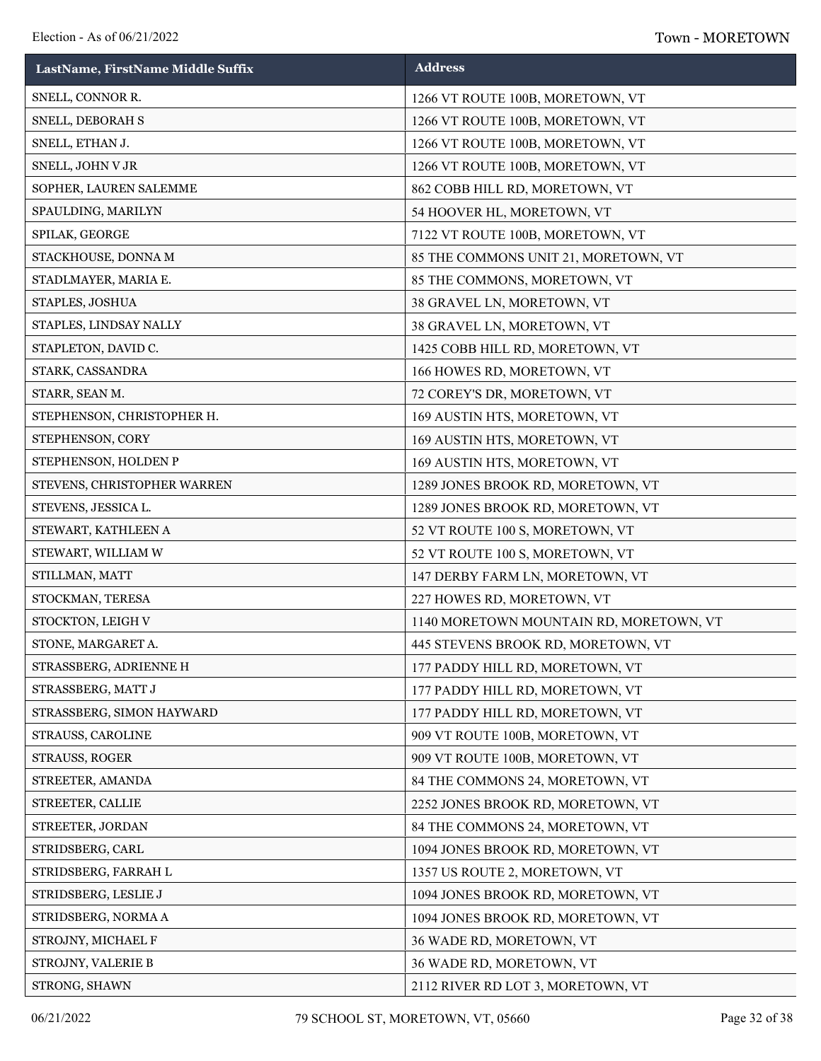| LastName, FirstName Middle Suffix | <b>Address</b>                          |
|-----------------------------------|-----------------------------------------|
| SNELL, CONNOR R.                  | 1266 VT ROUTE 100B, MORETOWN, VT        |
| SNELL, DEBORAH S                  | 1266 VT ROUTE 100B, MORETOWN, VT        |
| SNELL, ETHAN J.                   | 1266 VT ROUTE 100B, MORETOWN, VT        |
| SNELL, JOHN V JR                  | 1266 VT ROUTE 100B, MORETOWN, VT        |
| SOPHER, LAUREN SALEMME            | 862 COBB HILL RD, MORETOWN, VT          |
| SPAULDING, MARILYN                | 54 HOOVER HL, MORETOWN, VT              |
| SPILAK, GEORGE                    | 7122 VT ROUTE 100B, MORETOWN, VT        |
| STACKHOUSE, DONNA M               | 85 THE COMMONS UNIT 21, MORETOWN, VT    |
| STADLMAYER, MARIA E.              | 85 THE COMMONS, MORETOWN, VT            |
| STAPLES, JOSHUA                   | 38 GRAVEL LN, MORETOWN, VT              |
| STAPLES, LINDSAY NALLY            | 38 GRAVEL LN, MORETOWN, VT              |
| STAPLETON, DAVID C.               | 1425 COBB HILL RD, MORETOWN, VT         |
| STARK, CASSANDRA                  | 166 HOWES RD, MORETOWN, VT              |
| STARR, SEAN M.                    | 72 COREY'S DR, MORETOWN, VT             |
| STEPHENSON, CHRISTOPHER H.        | 169 AUSTIN HTS, MORETOWN, VT            |
| STEPHENSON, CORY                  | 169 AUSTIN HTS, MORETOWN, VT            |
| STEPHENSON, HOLDEN P              | 169 AUSTIN HTS, MORETOWN, VT            |
| STEVENS, CHRISTOPHER WARREN       | 1289 JONES BROOK RD, MORETOWN, VT       |
| STEVENS, JESSICA L.               | 1289 JONES BROOK RD, MORETOWN, VT       |
| STEWART, KATHLEEN A               | 52 VT ROUTE 100 S, MORETOWN, VT         |
| STEWART, WILLIAM W                | 52 VT ROUTE 100 S, MORETOWN, VT         |
| STILLMAN, MATT                    | 147 DERBY FARM LN, MORETOWN, VT         |
| STOCKMAN, TERESA                  | 227 HOWES RD, MORETOWN, VT              |
| STOCKTON, LEIGH V                 | 1140 MORETOWN MOUNTAIN RD, MORETOWN, VT |
| STONE, MARGARET A.                | 445 STEVENS BROOK RD, MORETOWN, VT      |
| STRASSBERG, ADRIENNE H            | 177 PADDY HILL RD, MORETOWN, VT         |
| STRASSBERG, MATT J                | 177 PADDY HILL RD, MORETOWN, VT         |
| STRASSBERG, SIMON HAYWARD         | 177 PADDY HILL RD, MORETOWN, VT         |
| STRAUSS, CAROLINE                 | 909 VT ROUTE 100B, MORETOWN, VT         |
| STRAUSS, ROGER                    | 909 VT ROUTE 100B, MORETOWN, VT         |
| STREETER, AMANDA                  | 84 THE COMMONS 24, MORETOWN, VT         |
| STREETER, CALLIE                  | 2252 JONES BROOK RD, MORETOWN, VT       |
| STREETER, JORDAN                  | 84 THE COMMONS 24, MORETOWN, VT         |
| STRIDSBERG, CARL                  | 1094 JONES BROOK RD, MORETOWN, VT       |
| STRIDSBERG, FARRAH L              | 1357 US ROUTE 2, MORETOWN, VT           |
| STRIDSBERG, LESLIE J              | 1094 JONES BROOK RD, MORETOWN, VT       |
| STRIDSBERG, NORMA A               | 1094 JONES BROOK RD, MORETOWN, VT       |
| STROJNY, MICHAEL F                | 36 WADE RD, MORETOWN, VT                |
| STROJNY, VALERIE B                | 36 WADE RD, MORETOWN, VT                |
| STRONG, SHAWN                     | 2112 RIVER RD LOT 3, MORETOWN, VT       |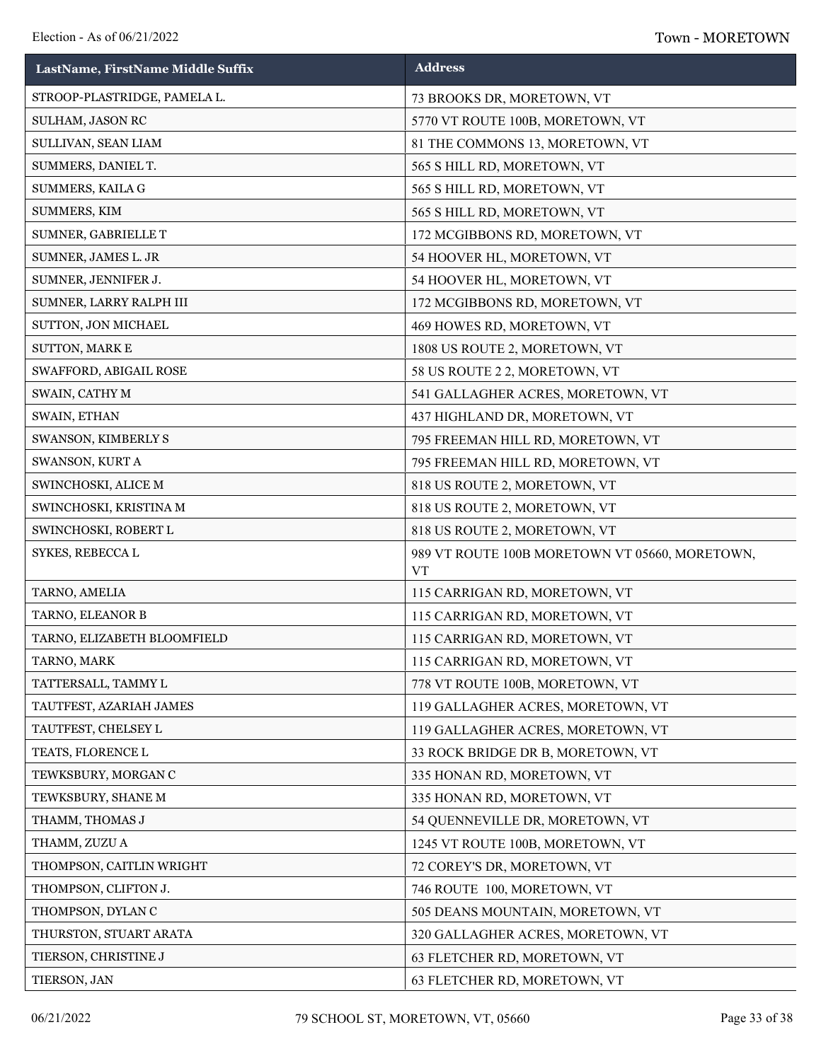| LastName, FirstName Middle Suffix | <b>Address</b>                                              |
|-----------------------------------|-------------------------------------------------------------|
| STROOP-PLASTRIDGE, PAMELA L.      | 73 BROOKS DR, MORETOWN, VT                                  |
| SULHAM, JASON RC                  | 5770 VT ROUTE 100B, MORETOWN, VT                            |
| SULLIVAN, SEAN LIAM               | 81 THE COMMONS 13, MORETOWN, VT                             |
| SUMMERS, DANIEL T.                | 565 S HILL RD, MORETOWN, VT                                 |
| SUMMERS, KAILA G                  | 565 S HILL RD, MORETOWN, VT                                 |
| SUMMERS, KIM                      | 565 S HILL RD, MORETOWN, VT                                 |
| SUMNER, GABRIELLE T               | 172 MCGIBBONS RD, MORETOWN, VT                              |
| SUMNER, JAMES L. JR               | 54 HOOVER HL, MORETOWN, VT                                  |
| SUMNER, JENNIFER J.               | 54 HOOVER HL, MORETOWN, VT                                  |
| SUMNER, LARRY RALPH III           | 172 MCGIBBONS RD, MORETOWN, VT                              |
| SUTTON, JON MICHAEL               | 469 HOWES RD, MORETOWN, VT                                  |
| SUTTON, MARK E                    | 1808 US ROUTE 2, MORETOWN, VT                               |
| SWAFFORD, ABIGAIL ROSE            | 58 US ROUTE 2 2, MORETOWN, VT                               |
| SWAIN, CATHY M                    | 541 GALLAGHER ACRES, MORETOWN, VT                           |
| SWAIN, ETHAN                      | 437 HIGHLAND DR, MORETOWN, VT                               |
| SWANSON, KIMBERLY S               | 795 FREEMAN HILL RD, MORETOWN, VT                           |
| SWANSON, KURT A                   | 795 FREEMAN HILL RD, MORETOWN, VT                           |
| SWINCHOSKI, ALICE M               | 818 US ROUTE 2, MORETOWN, VT                                |
| SWINCHOSKI, KRISTINA M            | 818 US ROUTE 2, MORETOWN, VT                                |
| SWINCHOSKI, ROBERT L              | 818 US ROUTE 2, MORETOWN, VT                                |
| SYKES, REBECCA L                  | 989 VT ROUTE 100B MORETOWN VT 05660, MORETOWN,<br><b>VT</b> |
| TARNO, AMELIA                     | 115 CARRIGAN RD, MORETOWN, VT                               |
| TARNO, ELEANOR B                  | 115 CARRIGAN RD, MORETOWN, VT                               |
| TARNO, ELIZABETH BLOOMFIELD       | 115 CARRIGAN RD, MORETOWN, VT                               |
| TARNO, MARK                       | 115 CARRIGAN RD, MORETOWN, VT                               |
| TATTERSALL, TAMMY L               | 778 VT ROUTE 100B, MORETOWN, VT                             |
| TAUTFEST, AZARIAH JAMES           | 119 GALLAGHER ACRES, MORETOWN, VT                           |
| TAUTFEST, CHELSEY L               | 119 GALLAGHER ACRES, MORETOWN, VT                           |
| TEATS, FLORENCE L                 | 33 ROCK BRIDGE DR B, MORETOWN, VT                           |
| TEWKSBURY, MORGAN C               | 335 HONAN RD, MORETOWN, VT                                  |
| TEWKSBURY, SHANE M                | 335 HONAN RD, MORETOWN, VT                                  |
| THAMM, THOMAS J                   | 54 QUENNEVILLE DR, MORETOWN, VT                             |
| THAMM, ZUZU A                     | 1245 VT ROUTE 100B, MORETOWN, VT                            |
| THOMPSON, CAITLIN WRIGHT          | 72 COREY'S DR, MORETOWN, VT                                 |
| THOMPSON, CLIFTON J.              | 746 ROUTE 100, MORETOWN, VT                                 |
| THOMPSON, DYLAN C                 | 505 DEANS MOUNTAIN, MORETOWN, VT                            |
| THURSTON, STUART ARATA            | 320 GALLAGHER ACRES, MORETOWN, VT                           |
| TIERSON, CHRISTINE J              | 63 FLETCHER RD, MORETOWN, VT                                |
| TIERSON, JAN                      | 63 FLETCHER RD, MORETOWN, VT                                |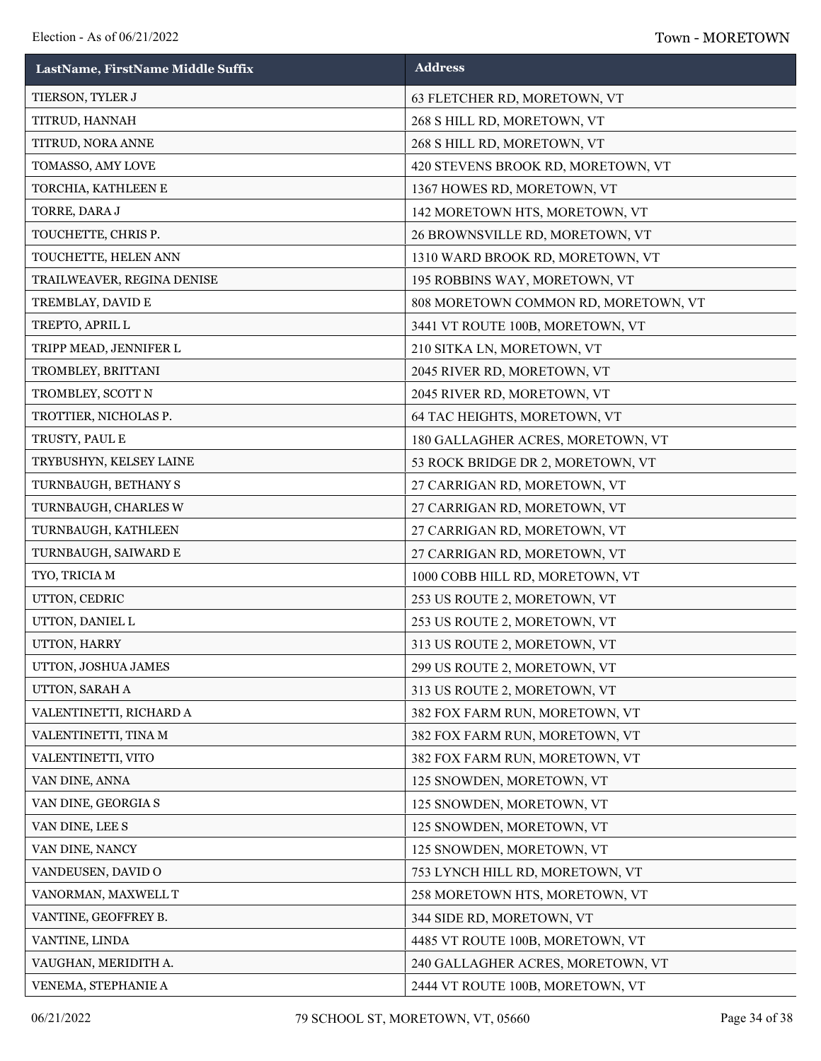| LastName, FirstName Middle Suffix | <b>Address</b>                       |
|-----------------------------------|--------------------------------------|
| TIERSON, TYLER J                  | 63 FLETCHER RD, MORETOWN, VT         |
| TITRUD, HANNAH                    | 268 S HILL RD, MORETOWN, VT          |
| TITRUD, NORA ANNE                 | 268 S HILL RD, MORETOWN, VT          |
| TOMASSO, AMY LOVE                 | 420 STEVENS BROOK RD, MORETOWN, VT   |
| TORCHIA, KATHLEEN E               | 1367 HOWES RD, MORETOWN, VT          |
| TORRE, DARA J                     | 142 MORETOWN HTS, MORETOWN, VT       |
| TOUCHETTE, CHRIS P.               | 26 BROWNSVILLE RD, MORETOWN, VT      |
| TOUCHETTE, HELEN ANN              | 1310 WARD BROOK RD, MORETOWN, VT     |
| TRAILWEAVER, REGINA DENISE        | 195 ROBBINS WAY, MORETOWN, VT        |
| TREMBLAY, DAVID E                 | 808 MORETOWN COMMON RD, MORETOWN, VT |
| TREPTO, APRIL L                   | 3441 VT ROUTE 100B, MORETOWN, VT     |
| TRIPP MEAD, JENNIFER L            | 210 SITKA LN, MORETOWN, VT           |
| TROMBLEY, BRITTANI                | 2045 RIVER RD, MORETOWN, VT          |
| TROMBLEY, SCOTT N                 | 2045 RIVER RD, MORETOWN, VT          |
| TROTTIER, NICHOLAS P.             | 64 TAC HEIGHTS, MORETOWN, VT         |
| TRUSTY, PAUL E                    | 180 GALLAGHER ACRES, MORETOWN, VT    |
| TRYBUSHYN, KELSEY LAINE           | 53 ROCK BRIDGE DR 2, MORETOWN, VT    |
| TURNBAUGH, BETHANY S              | 27 CARRIGAN RD, MORETOWN, VT         |
| TURNBAUGH, CHARLES W              | 27 CARRIGAN RD, MORETOWN, VT         |
| TURNBAUGH, KATHLEEN               | 27 CARRIGAN RD, MORETOWN, VT         |
| TURNBAUGH, SAIWARD E              | 27 CARRIGAN RD, MORETOWN, VT         |
| TYO, TRICIA M                     | 1000 COBB HILL RD, MORETOWN, VT      |
| UTTON, CEDRIC                     | 253 US ROUTE 2, MORETOWN, VT         |
| UTTON, DANIEL L                   | 253 US ROUTE 2, MORETOWN, VT         |
| UTTON, HARRY                      | 313 US ROUTE 2, MORETOWN, VT         |
| UTTON, JOSHUA JAMES               | 299 US ROUTE 2, MORETOWN, VT         |
| UTTON, SARAH A                    | 313 US ROUTE 2, MORETOWN, VT         |
| VALENTINETTI, RICHARD A           | 382 FOX FARM RUN, MORETOWN, VT       |
| VALENTINETTI, TINA M              | 382 FOX FARM RUN, MORETOWN, VT       |
| VALENTINETTI, VITO                | 382 FOX FARM RUN, MORETOWN, VT       |
| VAN DINE, ANNA                    | 125 SNOWDEN, MORETOWN, VT            |
| VAN DINE, GEORGIA S               | 125 SNOWDEN, MORETOWN, VT            |
| VAN DINE, LEE S                   | 125 SNOWDEN, MORETOWN, VT            |
| VAN DINE, NANCY                   | 125 SNOWDEN, MORETOWN, VT            |
| VANDEUSEN, DAVID O                | 753 LYNCH HILL RD, MORETOWN, VT      |
| VANORMAN, MAXWELL T               | 258 MORETOWN HTS, MORETOWN, VT       |
| VANTINE, GEOFFREY B.              | 344 SIDE RD, MORETOWN, VT            |
| VANTINE, LINDA                    | 4485 VT ROUTE 100B, MORETOWN, VT     |
| VAUGHAN, MERIDITH A.              | 240 GALLAGHER ACRES, MORETOWN, VT    |
| VENEMA, STEPHANIE A               | 2444 VT ROUTE 100B, MORETOWN, VT     |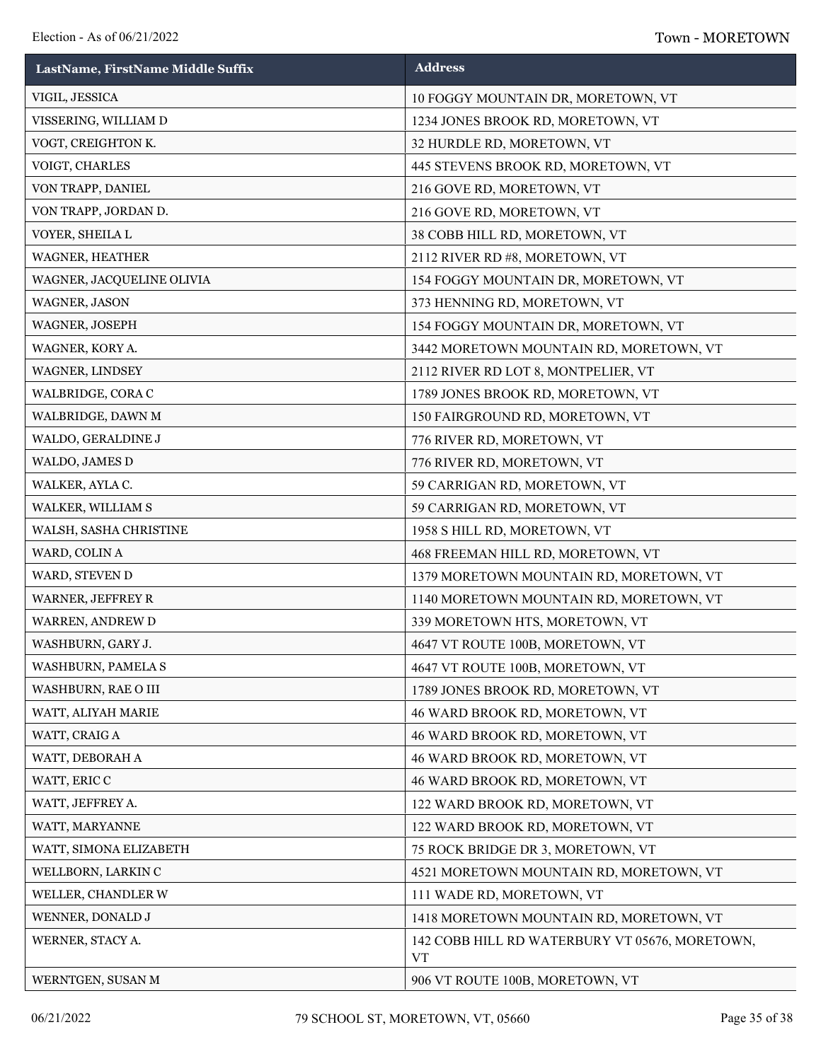| LastName, FirstName Middle Suffix | <b>Address</b>                                              |
|-----------------------------------|-------------------------------------------------------------|
| VIGIL, JESSICA                    | 10 FOGGY MOUNTAIN DR, MORETOWN, VT                          |
| VISSERING, WILLIAM D              | 1234 JONES BROOK RD, MORETOWN, VT                           |
| VOGT, CREIGHTON K.                | 32 HURDLE RD, MORETOWN, VT                                  |
| VOIGT, CHARLES                    | 445 STEVENS BROOK RD, MORETOWN, VT                          |
| VON TRAPP, DANIEL                 | 216 GOVE RD, MORETOWN, VT                                   |
| VON TRAPP, JORDAN D.              | 216 GOVE RD, MORETOWN, VT                                   |
| VOYER, SHEILA L                   | 38 COBB HILL RD, MORETOWN, VT                               |
| WAGNER, HEATHER                   | 2112 RIVER RD #8, MORETOWN, VT                              |
| WAGNER, JACQUELINE OLIVIA         | 154 FOGGY MOUNTAIN DR, MORETOWN, VT                         |
| WAGNER, JASON                     | 373 HENNING RD, MORETOWN, VT                                |
| WAGNER, JOSEPH                    | 154 FOGGY MOUNTAIN DR, MORETOWN, VT                         |
| WAGNER, KORY A.                   | 3442 MORETOWN MOUNTAIN RD, MORETOWN, VT                     |
| WAGNER, LINDSEY                   | 2112 RIVER RD LOT 8, MONTPELIER, VT                         |
| WALBRIDGE, CORA C                 | 1789 JONES BROOK RD, MORETOWN, VT                           |
| WALBRIDGE, DAWN M                 | 150 FAIRGROUND RD, MORETOWN, VT                             |
| WALDO, GERALDINE J                | 776 RIVER RD, MORETOWN, VT                                  |
| WALDO, JAMES D                    | 776 RIVER RD, MORETOWN, VT                                  |
| WALKER, AYLA C.                   | 59 CARRIGAN RD, MORETOWN, VT                                |
| WALKER, WILLIAM S                 | 59 CARRIGAN RD, MORETOWN, VT                                |
| WALSH, SASHA CHRISTINE            | 1958 S HILL RD, MORETOWN, VT                                |
| WARD, COLIN A                     | 468 FREEMAN HILL RD, MORETOWN, VT                           |
| WARD, STEVEN D                    | 1379 MORETOWN MOUNTAIN RD, MORETOWN, VT                     |
| <b>WARNER, JEFFREY R</b>          | 1140 MORETOWN MOUNTAIN RD, MORETOWN, VT                     |
| WARREN, ANDREW D                  | 339 MORETOWN HTS, MORETOWN, VT                              |
| WASHBURN, GARY J.                 | 4647 VT ROUTE 100B, MORETOWN, VT                            |
| WASHBURN, PAMELA S                | 4647 VT ROUTE 100B, MORETOWN, VT                            |
| WASHBURN, RAE O III               | 1789 JONES BROOK RD, MORETOWN, VT                           |
| WATT, ALIYAH MARIE                | 46 WARD BROOK RD, MORETOWN, VT                              |
| WATT, CRAIG A                     | 46 WARD BROOK RD, MORETOWN, VT                              |
| WATT, DEBORAH A                   | 46 WARD BROOK RD, MORETOWN, VT                              |
| WATT, ERIC C                      | 46 WARD BROOK RD, MORETOWN, VT                              |
| WATT, JEFFREY A.                  | 122 WARD BROOK RD, MORETOWN, VT                             |
| WATT, MARYANNE                    | 122 WARD BROOK RD, MORETOWN, VT                             |
| WATT, SIMONA ELIZABETH            | 75 ROCK BRIDGE DR 3, MORETOWN, VT                           |
| WELLBORN, LARKIN C                | 4521 MORETOWN MOUNTAIN RD, MORETOWN, VT                     |
| WELLER, CHANDLER W                | 111 WADE RD, MORETOWN, VT                                   |
| WENNER, DONALD J                  | 1418 MORETOWN MOUNTAIN RD, MORETOWN, VT                     |
| WERNER, STACY A.                  | 142 COBB HILL RD WATERBURY VT 05676, MORETOWN,<br><b>VT</b> |
| WERNTGEN, SUSAN M                 | 906 VT ROUTE 100B, MORETOWN, VT                             |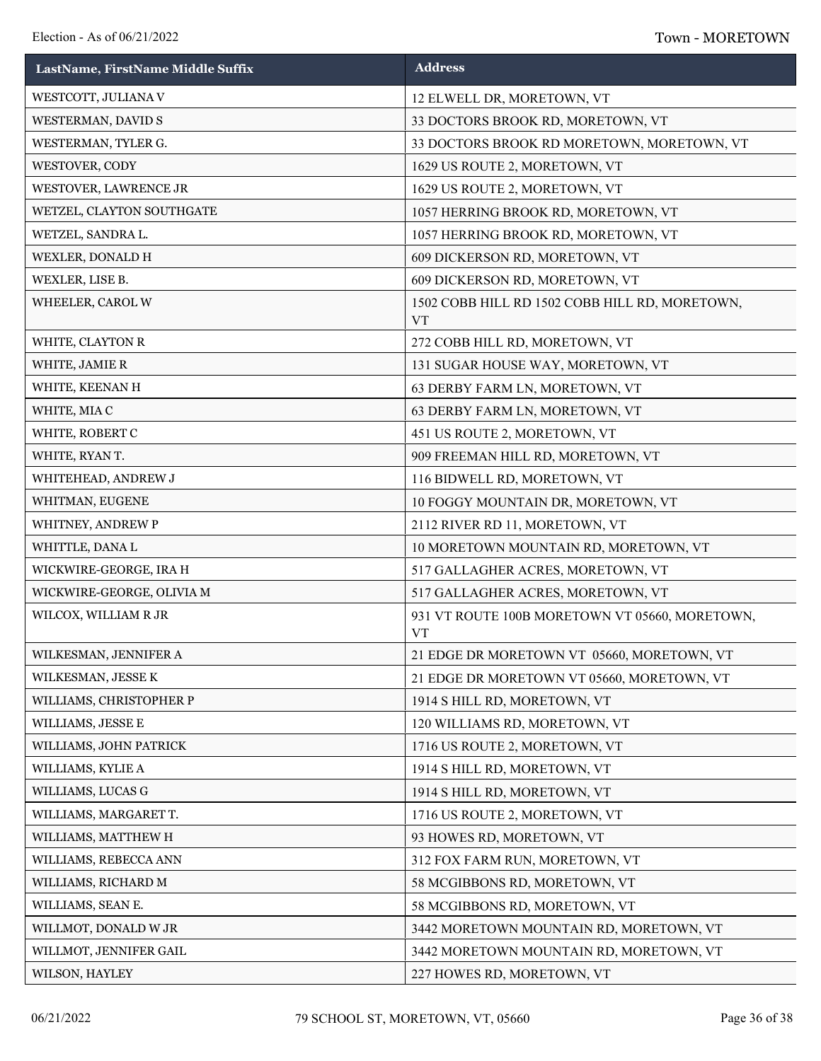| LastName, FirstName Middle Suffix | <b>Address</b>                                              |
|-----------------------------------|-------------------------------------------------------------|
| WESTCOTT, JULIANA V               | 12 ELWELL DR, MORETOWN, VT                                  |
| WESTERMAN, DAVID S                | 33 DOCTORS BROOK RD, MORETOWN, VT                           |
| WESTERMAN, TYLER G.               | 33 DOCTORS BROOK RD MORETOWN, MORETOWN, VT                  |
| WESTOVER, CODY                    | 1629 US ROUTE 2, MORETOWN, VT                               |
| WESTOVER, LAWRENCE JR             | 1629 US ROUTE 2, MORETOWN, VT                               |
| WETZEL, CLAYTON SOUTHGATE         | 1057 HERRING BROOK RD, MORETOWN, VT                         |
| WETZEL, SANDRA L.                 | 1057 HERRING BROOK RD, MORETOWN, VT                         |
| WEXLER, DONALD H                  | 609 DICKERSON RD, MORETOWN, VT                              |
| WEXLER, LISE B.                   | 609 DICKERSON RD, MORETOWN, VT                              |
| WHEELER, CAROL W                  | 1502 COBB HILL RD 1502 COBB HILL RD, MORETOWN,<br><b>VT</b> |
| WHITE, CLAYTON R                  | 272 COBB HILL RD, MORETOWN, VT                              |
| WHITE, JAMIE R                    | 131 SUGAR HOUSE WAY, MORETOWN, VT                           |
| WHITE, KEENAN H                   | 63 DERBY FARM LN, MORETOWN, VT                              |
| WHITE, MIAC                       | 63 DERBY FARM LN, MORETOWN, VT                              |
| WHITE, ROBERT C                   | 451 US ROUTE 2, MORETOWN, VT                                |
| WHITE, RYAN T.                    | 909 FREEMAN HILL RD, MORETOWN, VT                           |
| WHITEHEAD, ANDREW J               | 116 BIDWELL RD, MORETOWN, VT                                |
| WHITMAN, EUGENE                   | 10 FOGGY MOUNTAIN DR, MORETOWN, VT                          |
| WHITNEY, ANDREW P                 | 2112 RIVER RD 11, MORETOWN, VT                              |
| WHITTLE, DANA L                   | 10 MORETOWN MOUNTAIN RD, MORETOWN, VT                       |
| WICKWIRE-GEORGE, IRA H            | 517 GALLAGHER ACRES, MORETOWN, VT                           |
| WICKWIRE-GEORGE, OLIVIA M         | 517 GALLAGHER ACRES, MORETOWN, VT                           |
| WILCOX, WILLIAM R JR              | 931 VT ROUTE 100B MORETOWN VT 05660, MORETOWN,<br><b>VT</b> |
| WILKESMAN, JENNIFER A             | 21 EDGE DR MORETOWN VT 05660, MORETOWN, VT                  |
| WILKESMAN, JESSE K                | 21 EDGE DR MORETOWN VT 05660, MORETOWN, VT                  |
| WILLIAMS, CHRISTOPHER P           | 1914 S HILL RD, MORETOWN, VT                                |
| WILLIAMS, JESSE E                 | 120 WILLIAMS RD, MORETOWN, VT                               |
| WILLIAMS, JOHN PATRICK            | 1716 US ROUTE 2, MORETOWN, VT                               |
| WILLIAMS, KYLIE A                 | 1914 S HILL RD, MORETOWN, VT                                |
| WILLIAMS, LUCAS G                 | 1914 S HILL RD, MORETOWN, VT                                |
| WILLIAMS, MARGARET T.             | 1716 US ROUTE 2, MORETOWN, VT                               |
| WILLIAMS, MATTHEW H               | 93 HOWES RD, MORETOWN, VT                                   |
| WILLIAMS, REBECCA ANN             | 312 FOX FARM RUN, MORETOWN, VT                              |
| WILLIAMS, RICHARD M               | 58 MCGIBBONS RD, MORETOWN, VT                               |
| WILLIAMS, SEAN E.                 | 58 MCGIBBONS RD, MORETOWN, VT                               |
| WILLMOT, DONALD W JR              | 3442 MORETOWN MOUNTAIN RD, MORETOWN, VT                     |
| WILLMOT, JENNIFER GAIL            | 3442 MORETOWN MOUNTAIN RD, MORETOWN, VT                     |
| WILSON, HAYLEY                    | 227 HOWES RD, MORETOWN, VT                                  |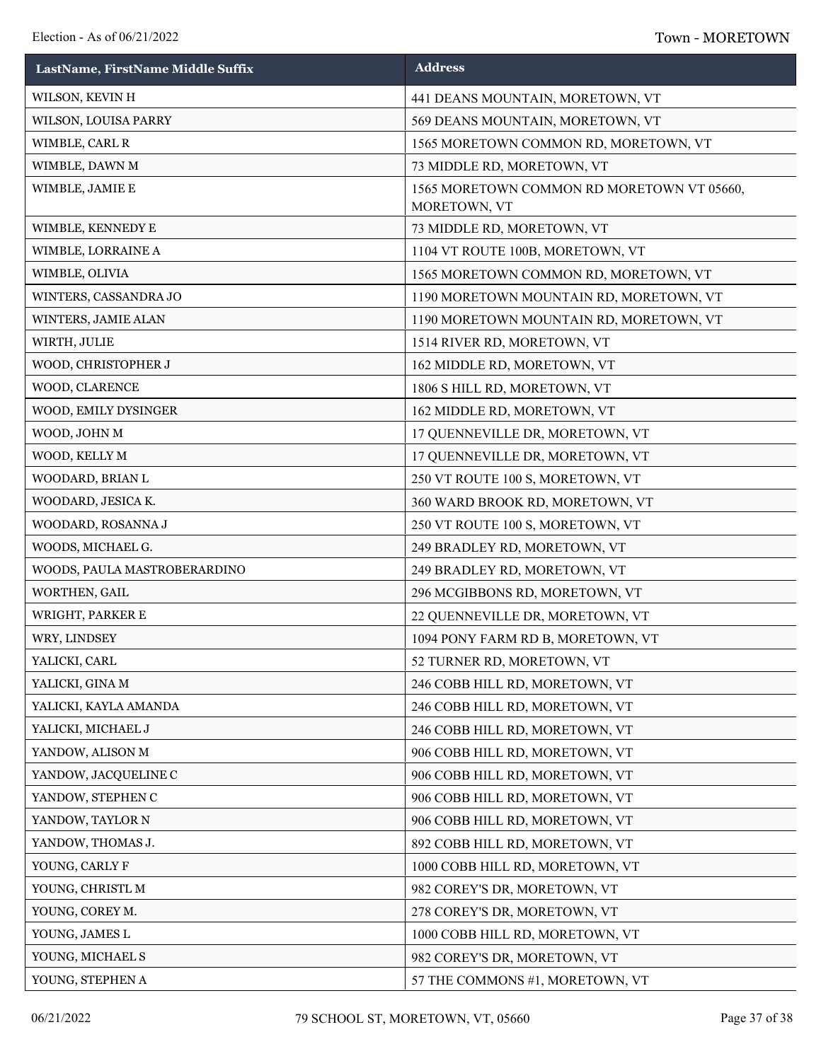| LastName, FirstName Middle Suffix | <b>Address</b>                                             |
|-----------------------------------|------------------------------------------------------------|
| WILSON, KEVIN H                   | 441 DEANS MOUNTAIN, MORETOWN, VT                           |
| WILSON, LOUISA PARRY              | 569 DEANS MOUNTAIN, MORETOWN, VT                           |
| WIMBLE, CARL R                    | 1565 MORETOWN COMMON RD, MORETOWN, VT                      |
| WIMBLE, DAWN M                    | 73 MIDDLE RD, MORETOWN, VT                                 |
| WIMBLE, JAMIE E                   | 1565 MORETOWN COMMON RD MORETOWN VT 05660,<br>MORETOWN, VT |
| WIMBLE, KENNEDY E                 | 73 MIDDLE RD, MORETOWN, VT                                 |
| WIMBLE, LORRAINE A                | 1104 VT ROUTE 100B, MORETOWN, VT                           |
| WIMBLE, OLIVIA                    | 1565 MORETOWN COMMON RD, MORETOWN, VT                      |
| WINTERS, CASSANDRA JO             | 1190 MORETOWN MOUNTAIN RD, MORETOWN, VT                    |
| WINTERS, JAMIE ALAN               | 1190 MORETOWN MOUNTAIN RD, MORETOWN, VT                    |
| WIRTH, JULIE                      | 1514 RIVER RD, MORETOWN, VT                                |
| WOOD, CHRISTOPHER J               | 162 MIDDLE RD, MORETOWN, VT                                |
| WOOD, CLARENCE                    | 1806 S HILL RD, MORETOWN, VT                               |
| WOOD, EMILY DYSINGER              | 162 MIDDLE RD, MORETOWN, VT                                |
| WOOD, JOHN M                      | 17 QUENNEVILLE DR, MORETOWN, VT                            |
| WOOD, KELLY M                     | 17 QUENNEVILLE DR, MORETOWN, VT                            |
| WOODARD, BRIAN L                  | 250 VT ROUTE 100 S, MORETOWN, VT                           |
| WOODARD, JESICA K.                | 360 WARD BROOK RD, MORETOWN, VT                            |
| WOODARD, ROSANNA J                | 250 VT ROUTE 100 S, MORETOWN, VT                           |
| WOODS, MICHAEL G.                 | 249 BRADLEY RD, MORETOWN, VT                               |
| WOODS, PAULA MASTROBERARDINO      | 249 BRADLEY RD, MORETOWN, VT                               |
| WORTHEN, GAIL                     | 296 MCGIBBONS RD, MORETOWN, VT                             |
| WRIGHT, PARKER E                  | 22 QUENNEVILLE DR, MORETOWN, VT                            |
| WRY, LINDSEY                      | 1094 PONY FARM RD B, MORETOWN, VT                          |
| YALICKI, CARL                     | 52 TURNER RD, MORETOWN, VT                                 |
| YALICKI, GINA M                   | 246 COBB HILL RD, MORETOWN, VT                             |
| YALICKI, KAYLA AMANDA             | 246 COBB HILL RD, MORETOWN, VT                             |
| YALICKI, MICHAEL J                | 246 COBB HILL RD, MORETOWN, VT                             |
| YANDOW, ALISON M                  | 906 COBB HILL RD, MORETOWN, VT                             |
| YANDOW, JACQUELINE C              | 906 COBB HILL RD, MORETOWN, VT                             |
| YANDOW, STEPHEN C                 | 906 COBB HILL RD, MORETOWN, VT                             |
| YANDOW, TAYLOR N                  | 906 COBB HILL RD, MORETOWN, VT                             |
| YANDOW, THOMAS J.                 | 892 COBB HILL RD, MORETOWN, VT                             |
| YOUNG, CARLY F                    | 1000 COBB HILL RD, MORETOWN, VT                            |
| YOUNG, CHRISTL M                  | 982 COREY'S DR, MORETOWN, VT                               |
| YOUNG, COREY M.                   | 278 COREY'S DR, MORETOWN, VT                               |
| YOUNG, JAMES L                    | 1000 COBB HILL RD, MORETOWN, VT                            |
| YOUNG, MICHAEL S                  | 982 COREY'S DR, MORETOWN, VT                               |
| YOUNG, STEPHEN A                  | 57 THE COMMONS #1, MORETOWN, VT                            |